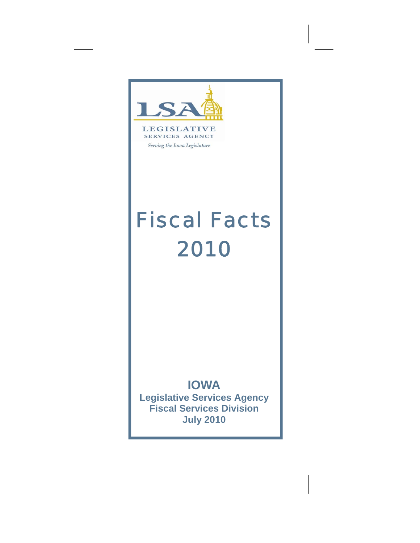



Serving the Iowa Legislature

# *Fiscal Facts 2010*

# **IOWA**

**Legislative Services Agency Fiscal Services Division July 2010**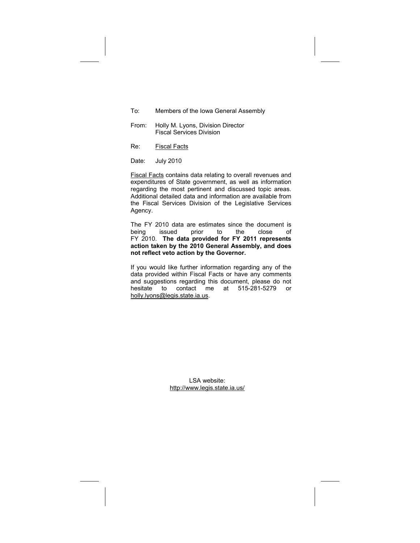- To: Members of the Iowa General Assembly
- From: Holly M. Lyons, Division Director Fiscal Services Division
- Re: Fiscal Facts

Date: July 2010

Fiscal Facts contains data relating to overall revenues and expenditures of State government, as well as information regarding the most pertinent and discussed topic areas. Additional detailed data and information are available from the Fiscal Services Division of the Legislative Services Agency.

The FY 2010 data are estimates since the document is<br>being issued prior to the close of being issued prior to the close of FY 2010. **The data provided for FY 2011 represents action taken by the 2010 General Assembly, and does not reflect veto action by the Governor.**

If you would like further information regarding any of the data provided within Fiscal Facts or have any comments and suggestions regarding this document, please do not hesitate to contact me at 515-281-5279 or holly.lyons@legis.state.ia.us.

> LSA website: http://www.legis.state.ia.us/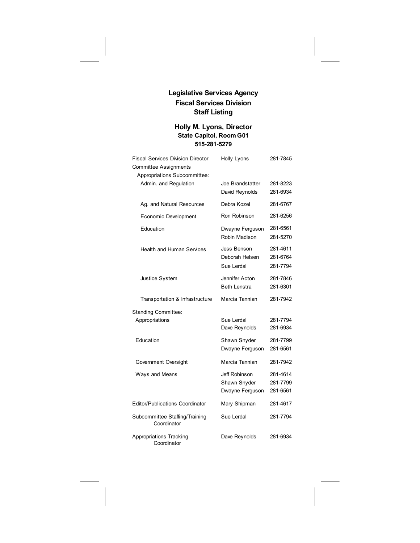# **Legislative Services Agency Fiscal Services Division Staff Listing**

# **Holly M. Lyons, Director State Capitol, Room G01 515-281-5279**

| <b>Fiscal Services Division Director</b>      | <b>Holly Lyons</b>  | 281-7845 |
|-----------------------------------------------|---------------------|----------|
| <b>Committee Assignments</b>                  |                     |          |
| Appropriations Subcommittee:                  |                     |          |
| Admin. and Regulation                         | Joe Brandstatter    | 281-8223 |
|                                               | David Reynolds      | 281-6934 |
| Ag. and Natural Resources                     | Debra Kozel         | 281-6767 |
| Economic Development                          | Ron Robinson        | 281-6256 |
| Education                                     | Dwayne Ferguson     | 281-6561 |
|                                               | Robin Madison       | 281-5270 |
| <b>Health and Human Services</b>              | Jess Benson         | 281-4611 |
|                                               | Deborah Helsen      | 281-6764 |
|                                               | Sue Lerdal          | 281-7794 |
| Justice System                                | Jennifer Acton      | 281-7846 |
|                                               | <b>Beth Lenstra</b> | 281-6301 |
| Transportation & Infrastructure               | Marcia Tannian      | 281-7942 |
| <b>Standing Committee:</b>                    |                     |          |
| Appropriations                                | Sue Lerdal          | 281-7794 |
|                                               | Dave Reynolds       | 281-6934 |
| Education                                     | Shawn Snyder        | 281-7799 |
|                                               | Dwayne Ferguson     | 281-6561 |
| Government Oversight                          | Marcia Tannian      | 281-7942 |
| Ways and Means                                | Jeff Robinson       | 281-4614 |
|                                               | Shawn Snyder        | 281-7799 |
|                                               | Dwayne Ferguson     | 281-6561 |
| <b>Editor/Publications Coordinator</b>        | Mary Shipman        | 281-4617 |
| Subcommittee Staffing/Training<br>Coordinator | Sue Lerdal          | 281-7794 |
| Appropriations Tracking<br>Coordinator        | Dave Reynolds       | 281-6934 |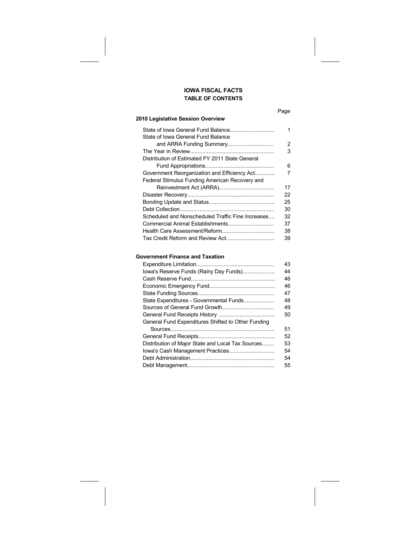# **TABLE OF CONTENTS IOWA FISCAL FACTS**

#### **2010 Legislative Session Overview**

| 1  |
|----|
| 2  |
| 3  |
|    |
| 6  |
| 7  |
|    |
| 17 |
| 22 |
| 25 |
| 30 |
| 32 |
| 37 |
| 38 |
| 39 |
|    |

# **Government Finance and Taxation**

|                                                    | 43 |
|----------------------------------------------------|----|
| lowa's Reserve Funds (Rainy Day Funds)             | 44 |
|                                                    | 46 |
|                                                    | 46 |
|                                                    | 47 |
| State Expenditures - Governmental Funds            | 48 |
|                                                    | 49 |
|                                                    | 50 |
| General Fund Expenditures Shifted to Other Funding |    |
|                                                    | 51 |
|                                                    | 52 |
| Distribution of Major State and Local Tax Sources  | 53 |
|                                                    | 54 |
|                                                    | 54 |
|                                                    | 55 |
|                                                    |    |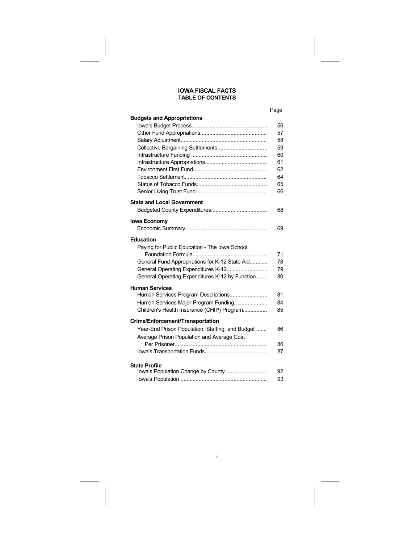### **IOWA FISCAL FACTS TABLE OF CONTENTS**

#### Page

| <b>Budgets and Appropriations</b>                |    |
|--------------------------------------------------|----|
|                                                  | 56 |
|                                                  | 57 |
|                                                  | 58 |
| Collective Bargaining Settlements                | 59 |
|                                                  | 60 |
|                                                  | 61 |
|                                                  | 62 |
|                                                  | 64 |
|                                                  | 65 |
|                                                  | 66 |
| <b>State and Local Government</b>                |    |
|                                                  | 68 |
|                                                  |    |
| <b>Iowa Economy</b>                              |    |
|                                                  | 69 |
| <b>Education</b>                                 |    |
| Paying for Public Education - The Iowa School    |    |
|                                                  | 71 |
| General Fund Appropriations for K-12 State Aid   | 78 |
| General Operating Expenditures K-12              | 79 |
| General Operating Expenditures K-12 by Function  | 80 |
| <b>Human Services</b>                            |    |
| Human Services Program Descriptions              | 81 |
| Human Services Major Program Funding             | 84 |
| Children's Health Insurance (CHIP) Program       | 85 |
|                                                  |    |
| Crime/Enforcement/Transportation                 |    |
| Year-End Prison Population, Staffing, and Budget | 86 |
| Average Prison Population and Average Cost       |    |
|                                                  | 86 |
|                                                  | 87 |
| <b>State Profile</b>                             |    |
|                                                  | 92 |
|                                                  | 93 |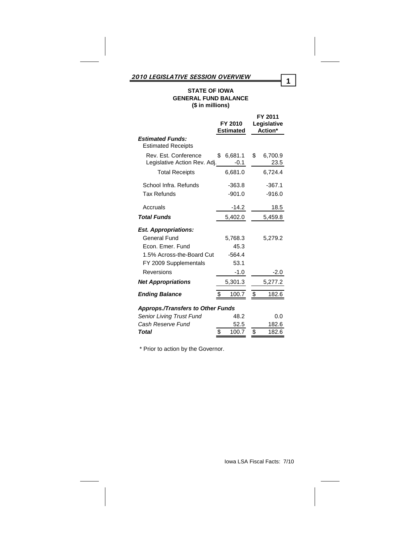# **STATE OF IOWA GENERAL FUND BALANCE (\$ in millions)**

|                                                      | FY 2010<br><b>Estimated</b> | FY 2011<br>Legislative<br>Action* |
|------------------------------------------------------|-----------------------------|-----------------------------------|
| <b>Estimated Funds:</b><br><b>Estimated Receipts</b> |                             |                                   |
| Rev. Est. Conference<br>Legislative Action Rev. Adj. | 6,681.1<br>\$.<br>-0.1      | \$<br>6,700.9<br>23.5             |
| <b>Total Receipts</b>                                | 6,681.0                     | 6,724.4                           |
| School Infra. Refunds                                | $-363.8$                    | $-367.1$                          |
| <b>Tax Refunds</b>                                   | $-901.0$                    | $-916.0$                          |
| Accruals                                             | -14.2                       | 18.5                              |
| <b>Total Funds</b>                                   | 5,402.0                     | 5,459.8                           |
| <b>Est. Appropriations:</b>                          |                             |                                   |
| General Fund                                         | 5,768.3                     | 5,279.2                           |
| Fcon, Emer, Fund                                     | 45.3                        |                                   |
| 1.5% Across-the-Board Cut                            | $-564.4$                    |                                   |
| FY 2009 Supplementals                                | 53.1                        |                                   |
| Reversions                                           | $-1.0$                      | $-2.0$                            |
| <b>Net Appropriations</b>                            | 5,301.3                     | 5,277.2                           |
| <b>Ending Balance</b>                                | 100.7                       | \$<br>182.6                       |
| <b>Approps./Transfers to Other Funds</b>             |                             |                                   |
| Senior Living Trust Fund                             | 48.2                        | 0.0                               |
| Cash Reserve Fund                                    | 52.5                        | 182.6                             |
| <b>Total</b>                                         | \$<br>100.7                 | \$<br>182.6                       |

\* Prior to action by the Governor.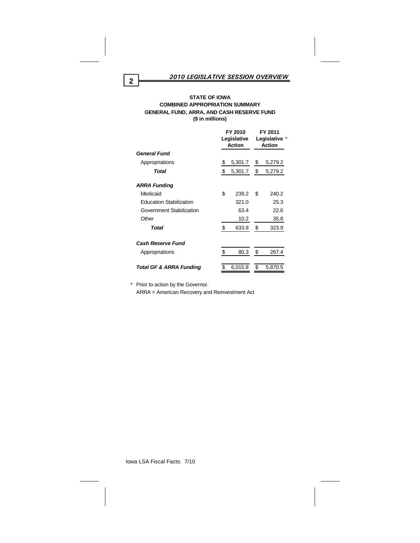#### **STATE OF IOWA COMBINED APPROPRIATION SUMMARY GENERAL FUND, ARRA, AND CASH RESERVE FUND (\$ in millions)**

|                                    | FY 2010<br>Legislative<br>Action | FY 2011<br>Legislative *<br>Action |         |  |
|------------------------------------|----------------------------------|------------------------------------|---------|--|
| General Fund                       |                                  |                                    |         |  |
| Appropriations                     | \$<br>5,301.7                    | \$                                 | 5,279.2 |  |
| Total                              | \$<br>5,301.7                    |                                    | 5,279.2 |  |
| <b>ARRA Funding</b>                |                                  |                                    |         |  |
| Medicaid                           | \$<br>239.2                      |                                    | 240.2   |  |
| <b>Education Stabilization</b>     | 321.0                            |                                    | 25.3    |  |
| Government Stabilization           | 63.4                             |                                    | 22.6    |  |
| Other                              | 10.2                             |                                    | 35.8    |  |
| Total                              | \$<br>633.8                      | \$                                 | 323.9   |  |
| <b>Cash Reserve Fund</b>           |                                  |                                    |         |  |
| Appropriations                     | \$<br>80.3                       | \$                                 | 267.4   |  |
| <b>Total GF &amp; ARRA Funding</b> | \$<br>6,015.8                    | \$                                 | 5,870.5 |  |

\* Prior to action by the Governor. ARRA = American Recovery and Reinvestment Act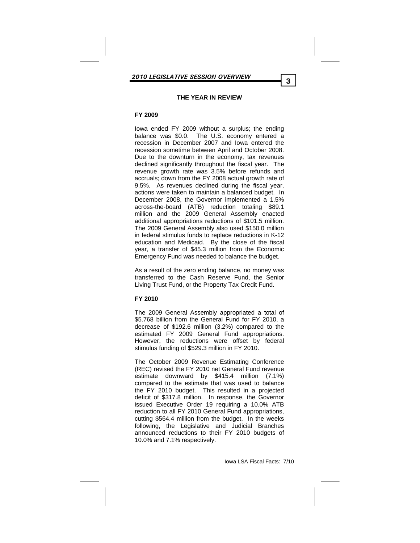#### **THE YEAR IN REVIEW**

# **FY 2009**

Iowa ended FY 2009 without a surplus; the ending<br>balance was \$0.0. The U.S. economy entered a The U.S. economy entered a recession in December 2007 and Iowa entered the recession sometime between April and October 2008. Due to the downturn in the economy, tax revenues declined significantly throughout the fiscal year. The revenue growth rate was 3.5% before refunds and accruals; down from the FY 2008 actual growth rate of 9.5%. As revenues declined during the fiscal year, actions were taken to maintain a balanced budget. In December 2008, the Governor implemented a 1.5% across-the-board (ATB) reduction totaling \$89.1 million and the 2009 General Assembly enacted additional appropriations reductions of \$101.5 million. The 2009 General Assembly also used \$150.0 million in federal stimulus funds to replace reductions in K-12 education and Medicaid. By the close of the fiscal year, a transfer of \$45.3 million from the Economic Emergency Fund was needed to balance the budget.

As a result of the zero ending balance, no money was transferred to the Cash Reserve Fund, the Senior Living Trust Fund, or the Property Tax Credit Fund.

# **FY 2010**

The 2009 General Assembly appropriated a total of \$5.768 billion from the General Fund for FY 2010, a decrease of \$192.6 million (3.2%) compared to the estimated FY 2009 General Fund appropriations. However, the reductions were offset by federal stimulus funding of \$529.3 million in FY 2010.

The October 2009 Revenue Estimating Conference (REC) revised the FY 2010 net General Fund revenue estimate downward by \$415.4 million (7.1%) compared to the estimate that was used to balance the FY 2010 budget. This resulted in a projected deficit of \$317.8 million. In response, the Governor issued Executive Order 19 requiring a 10.0% ATB reduction to all FY 2010 General Fund appropriations, cutting \$564.4 million from the budget. In the weeks following, the Legislative and Judicial Branches announced reductions to their FY 2010 budgets of 10.0% and 7.1% respectively.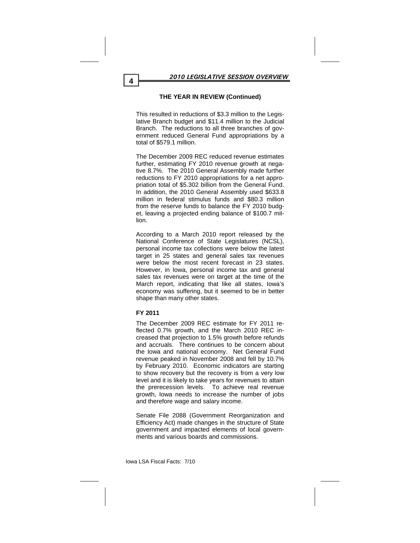# **THE YEAR IN REVIEW (Continued)**

This resulted in reductions of \$3.3 million to the Legislative Branch budget and \$11.4 million to the Judicial Branch. The reductions to all three branches of government reduced General Fund appropriations by a total of \$579.1 million.

The December 2009 REC reduced revenue estimates further, estimating FY 2010 revenue growth at negative 8.7%. The 2010 General Assembly made further reductions to FY 2010 appropriations for a net appropriation total of \$5.302 billion from the General Fund. In addition, the 2010 General Assembly used \$633.8 million in federal stimulus funds and \$80.3 million from the reserve funds to balance the FY 2010 budget, leaving a projected ending balance of \$100.7 million.

According to a March 2010 report released by the National Conference of State Legislatures (NCSL), personal income tax collections were below the latest target in 25 states and general sales tax revenues were below the most recent forecast in 23 states. However, in Iowa, personal income tax and general sales tax revenues were on target at the time of the March report, indicating that like all states, Iowa's economy was suffering, but it seemed to be in better shape than many other states.

# **FY 2011**

The December 2009 REC estimate for FY 2011 reflected 0.7% growth, and the March 2010 REC increased that projection to 1.5% growth before refunds and accruals. There continues to be concern about the Iowa and national economy. Net General Fund revenue peaked in November 2008 and fell by 10.7% by February 2010. Economic indicators are starting to show recovery but the recovery is from a very low level and it is likely to take years for revenues to attain the prerecession levels. To achieve real revenue growth, Iowa needs to increase the number of jobs and therefore wage and salary income.

Senate File 2088 (Government Reorganization and Efficiency Act) made changes in the structure of State government and impacted elements of local governments and various boards and commissions.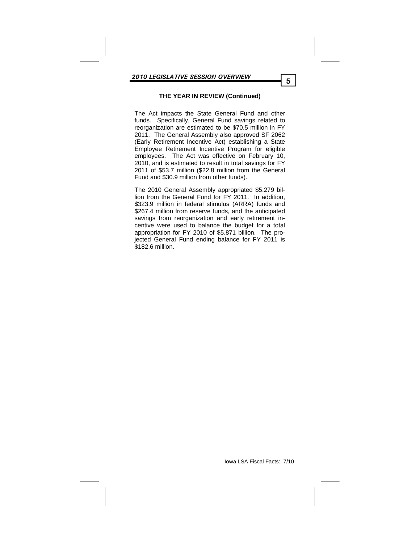# **THE YEAR IN REVIEW (Continued)**

The Act impacts the State General Fund and other funds. Specifically, General Fund savings related to reorganization are estimated to be \$70.5 million in FY 2011. The General Assembly also approved SF 2062 (Early Retirement Incentive Act) establishing a State Employee Retirement Incentive Program for eligible employees. The Act was effective on February 10, 2010, and is estimated to result in total savings for FY 2011 of \$53.7 million (\$22.8 million from the General Fund and \$30.9 million from other funds).

The 2010 General Assembly appropriated \$5.279 billion from the General Fund for FY 2011. In addition, \$323.9 million in federal stimulus (ARRA) funds and \$267.4 million from reserve funds, and the anticipated savings from reorganization and early retirement incentive were used to balance the budget for a total appropriation for FY 2010 of \$5.871 billion. The projected General Fund ending balance for FY 2011 is \$182.6 million.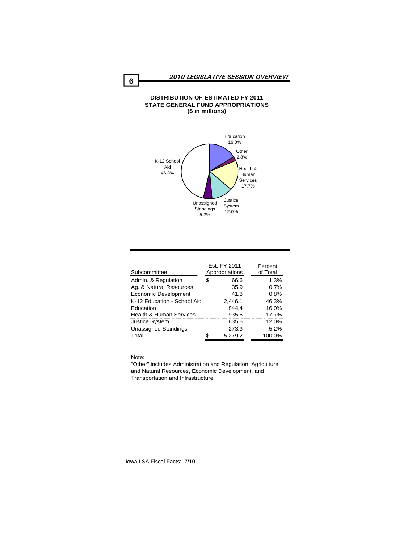#### **DISTRIBUTION OF ESTIMATED FY 2011 STATE GENERAL FUND APPROPRIATIONS (\$ in millions)**



| Subcommittee                | Est. FY 2011<br>Appropriations | Percent<br>of Total |
|-----------------------------|--------------------------------|---------------------|
| Admin. & Regulation         | 66.6                           | 1.3%                |
| Ag. & Natural Resources     | 35.9                           | 0.7%                |
| Economic Development        | 41.8                           | 0.8%                |
| K-12 Education - School Aid | 2.446.1                        | 46.3%               |
| Education                   | 844.4                          | 16.0%               |
| Health & Human Services     | 935.5                          | 17.7%               |
| <b>Justice System</b>       | 635.6                          | 12.0%               |
| <b>Unassigned Standings</b> | 273.3                          | 5.2%                |
| Total                       | 5,279.2                        | 100.0%              |

Note:

"Other" includes Administration and Regulation, Agriculture and Natural Resources, Economic Development, and Transportation and Infrastructure.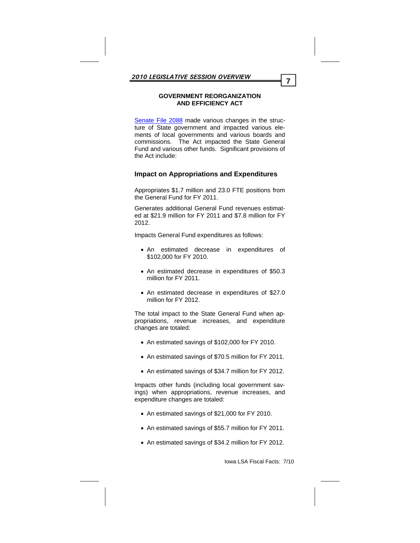### **GOVERNMENT REORGANIZATION AND EFFICIENCY ACT**

Senate File 2088 made various changes in the structure of State government and impacted various elements of local governments and various boards and commissions. The Act impacted the State General Fund and various other funds. Significant provisions of the Act include:

# **Impact on Appropriations and Expenditures**

Appropriates \$1.7 million and 23.0 FTE positions from the General Fund for FY 2011.

Generates additional General Fund revenues estimated at \$21.9 million for FY 2011 and \$7.8 million for FY 2012.

Impacts General Fund expenditures as follows:

- An estimated decrease in expenditures of \$102,000 for FY 2010.
- An estimated decrease in expenditures of \$50.3 million for FY 2011.
- An estimated decrease in expenditures of \$27.0 million for FY 2012.

The total impact to the State General Fund when appropriations, revenue increases, and expenditure changes are totaled:

- An estimated savings of \$102,000 for FY 2010.
- An estimated savings of \$70.5 million for FY 2011.
- An estimated savings of \$34.7 million for FY 2012.

Impacts other funds (including local government savings) when appropriations, revenue increases, and expenditure changes are totaled:

- An estimated savings of \$21,000 for FY 2010.
- An estimated savings of \$55.7 million for FY 2011.
- An estimated savings of \$34.2 million for FY 2012.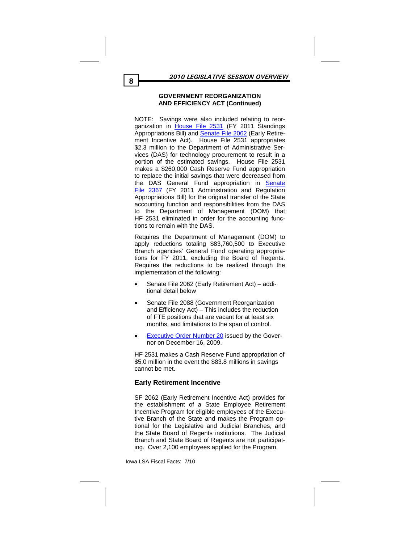NOTE: Savings were also included relating to reorganization in House File 2531 (FY 2011 Standings Appropriations Bill) and Senate File 2062 (Early Retirement Incentive Act). House File 2531 appropriates \$2.3 million to the Department of Administrative Services (DAS) for technology procurement to result in a portion of the estimated savings. House File 2531 makes a \$260,000 Cash Reserve Fund appropriation to replace the initial savings that were decreased from the DAS General Fund appropriation in Senate File 2367 (FY 2011 Administration and Regulation Appropriations Bill) for the original transfer of the State accounting function and responsibilities from the DAS to the Department of Management (DOM) that HF 2531 eliminated in order for the accounting functions to remain with the DAS.

Requires the Department of Management (DOM) to apply reductions totaling \$83,760,500 to Executive Branch agencies' General Fund operating appropriations for FY 2011, excluding the Board of Regents. Requires the reductions to be realized through the implementation of the following:

- Senate File 2062 (Early Retirement Act) additional detail below
- Senate File 2088 (Government Reorganization and Efficiency Act) – This includes the reduction of FTE positions that are vacant for at least six months, and limitations to the span of control.
- Executive Order Number 20 issued by the Governor on December 16, 2009.

HF 2531 makes a Cash Reserve Fund appropriation of \$5.0 million in the event the \$83.8 millions in savings cannot be met.

# **Early Retirement Incentive**

SF 2062 (Early Retirement Incentive Act) provides for the establishment of a State Employee Retirement Incentive Program for eligible employees of the Executive Branch of the State and makes the Program optional for the Legislative and Judicial Branches, and the State Board of Regents institutions. The Judicial Branch and State Board of Regents are not participating. Over 2,100 employees applied for the Program.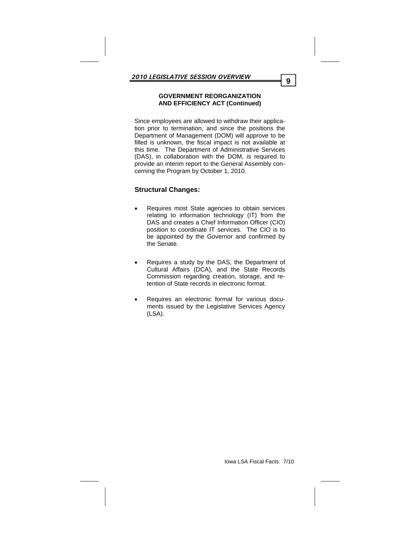Since employees are allowed to withdraw their application prior to termination, and since the positions the Department of Management (DOM) will approve to be filled is unknown, the fiscal impact is not available at this time. The Department of Administrative Services (DAS), in collaboration with the DOM, is required to provide an interim report to the General Assembly concerning the Program by October 1, 2010.

# **Structural Changes:**

- Requires most State agencies to obtain services relating to information technology (IT) from the DAS and creates a Chief Information Officer (CIO) position to coordinate IT services. The CIO is to be appointed by the Governor and confirmed by the Senate.
- Requires a study by the DAS, the Department of Cultural Affairs (DCA), and the State Records Commission regarding creation, storage, and retention of State records in electronic format.
- Requires an electronic format for various documents issued by the Legislative Services Agency (LSA).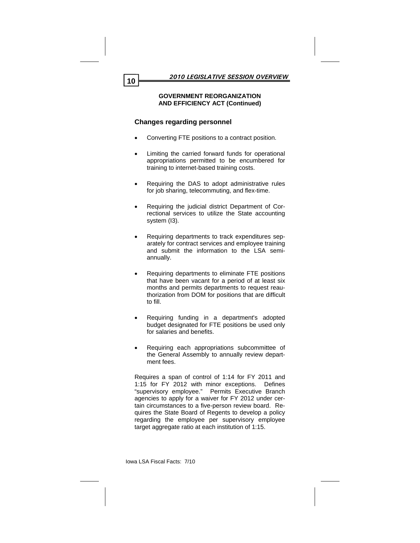# **Changes regarding personnel**

- Converting FTE positions to a contract position.
- Limiting the carried forward funds for operational appropriations permitted to be encumbered for training to internet-based training costs.
- Requiring the DAS to adopt administrative rules for job sharing, telecommuting, and flex-time.
- Requiring the judicial district Department of Correctional services to utilize the State accounting system (I3).
- Requiring departments to track expenditures separately for contract services and employee training and submit the information to the LSA semiannually.
- Requiring departments to eliminate FTE positions that have been vacant for a period of at least six months and permits departments to request reauthorization from DOM for positions that are difficult to fill.
- Requiring funding in a department's adopted budget designated for FTE positions be used only for salaries and benefits.
- Requiring each appropriations subcommittee of the General Assembly to annually review department fees.

Requires a span of control of 1:14 for FY 2011 and 1:15 for FY 2012 with minor exceptions. Defines "supervisory employee." Permits Executive Branch agencies to apply for a waiver for FY 2012 under certain circumstances to a five-person review board. Requires the State Board of Regents to develop a policy regarding the employee per supervisory employee target aggregate ratio at each institution of 1:15.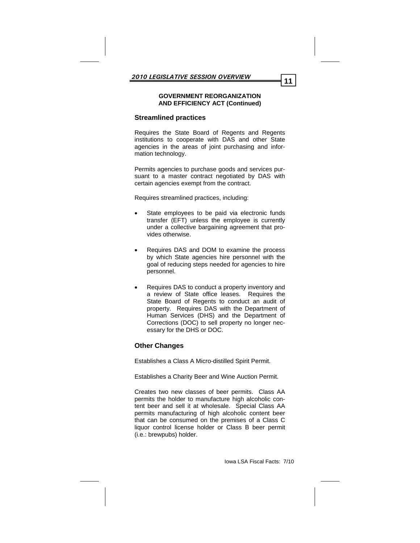# **Streamlined practices**

Requires the State Board of Regents and Regents institutions to cooperate with DAS and other State agencies in the areas of joint purchasing and information technology.

Permits agencies to purchase goods and services pursuant to a master contract negotiated by DAS with certain agencies exempt from the contract.

Requires streamlined practices, including:

- State employees to be paid via electronic funds transfer (EFT) unless the employee is currently under a collective bargaining agreement that provides otherwise.
- Requires DAS and DOM to examine the process by which State agencies hire personnel with the goal of reducing steps needed for agencies to hire personnel.
- Requires DAS to conduct a property inventory and a review of State office leases. Requires the State Board of Regents to conduct an audit of property. Requires DAS with the Department of Human Services (DHS) and the Department of Corrections (DOC) to sell property no longer necessary for the DHS or DOC.

# **Other Changes**

Establishes a Class A Micro-distilled Spirit Permit.

Establishes a Charity Beer and Wine Auction Permit.

Creates two new classes of beer permits. Class AA permits the holder to manufacture high alcoholic content beer and sell it at wholesale. Special Class AA permits manufacturing of high alcoholic content beer that can be consumed on the premises of a Class C liquor control license holder or Class B beer permit (i.e.: brewpubs) holder.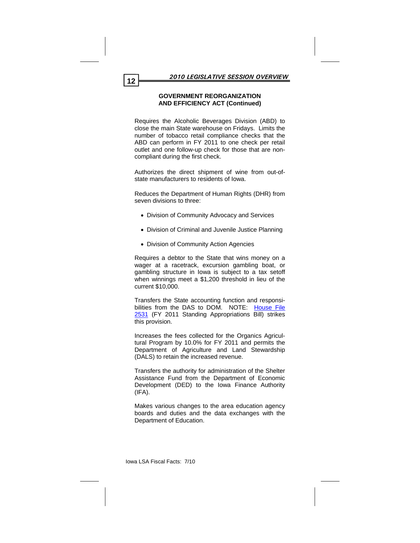Requires the Alcoholic Beverages Division (ABD) to close the main State warehouse on Fridays. Limits the number of tobacco retail compliance checks that the ABD can perform in FY 2011 to one check per retail outlet and one follow-up check for those that are noncompliant during the first check.

Authorizes the direct shipment of wine from out-ofstate manufacturers to residents of Iowa.

Reduces the Department of Human Rights (DHR) from seven divisions to three:

- Division of Community Advocacy and Services
- Division of Criminal and Juvenile Justice Planning
- Division of Community Action Agencies

Requires a debtor to the State that wins money on a wager at a racetrack, excursion gambling boat, or gambling structure in Iowa is subject to a tax setoff when winnings meet a \$1,200 threshold in lieu of the current \$10,000.

Transfers the State accounting function and responsibilities from the DAS to DOM. NOTE: House File 2531 (FY 2011 Standing Appropriations Bill) strikes this provision.

Increases the fees collected for the Organics Agricultural Program by 10.0% for FY 2011 and permits the Department of Agriculture and Land Stewardship (DALS) to retain the increased revenue.

Transfers the authority for administration of the Shelter Assistance Fund from the Department of Economic Development (DED) to the Iowa Finance Authority  $(IFA)$ .

Makes various changes to the area education agency boards and duties and the data exchanges with the Department of Education.

Iowa LSA Fiscal Facts: 7/10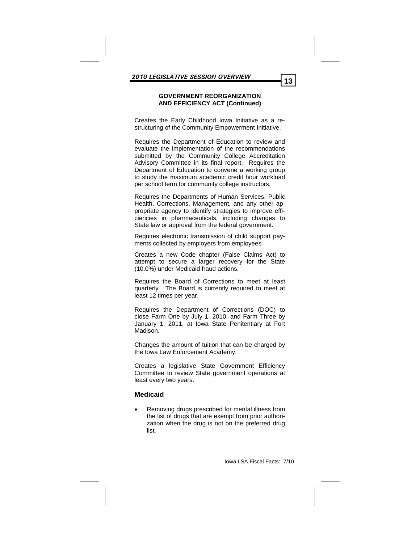Creates the Early Childhood Iowa Initiative as a restructuring of the Community Empowerment Initiative.

Requires the Department of Education to review and evaluate the implementation of the recommendations submitted by the Community College Accreditation Advisory Committee in its final report. Requires the Department of Education to convene a working group to study the maximum academic credit hour workload per school term for community college instructors.

Requires the Departments of Human Services, Public Health, Corrections, Management, and any other appropriate agency to identify strategies to improve efficiencies in pharmaceuticals, including changes to State law or approval from the federal government.

Requires electronic transmission of child support payments collected by employers from employees.

Creates a new Code chapter (False Claims Act) to attempt to secure a larger recovery for the State (10.0%) under Medicaid fraud actions.

Requires the Board of Corrections to meet at least quarterly. The Board is currently required to meet at least 12 times per year.

Requires the Department of Corrections (DOC) to close Farm One by July 1, 2010, and Farm Three by January 1, 2011, at Iowa State Penitentiary at Fort Madison.

Changes the amount of tuition that can be charged by the Iowa Law Enforcement Academy.

Creates a legislative State Government Efficiency Committee to review State government operations at least every two years.

# **Medicaid**

 Removing drugs prescribed for mental illness from the list of drugs that are exempt from prior authorization when the drug is not on the preferred drug list.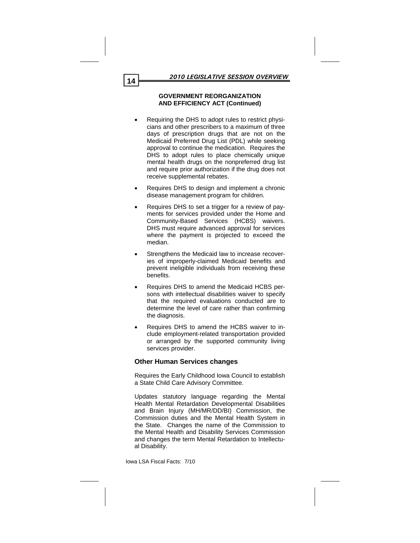- Requiring the DHS to adopt rules to restrict physicians and other prescribers to a maximum of three days of prescription drugs that are not on the Medicaid Preferred Drug List (PDL) while seeking approval to continue the medication. Requires the DHS to adopt rules to place chemically unique mental health drugs on the nonpreferred drug list and require prior authorization if the drug does not receive supplemental rebates.
- Requires DHS to design and implement a chronic disease management program for children.
- Requires DHS to set a trigger for a review of payments for services provided under the Home and Community-Based Services (HCBS) waivers. DHS must require advanced approval for services where the payment is projected to exceed the median.
- Strengthens the Medicaid law to increase recoveries of improperly-claimed Medicaid benefits and prevent ineligible individuals from receiving these benefits.
- Requires DHS to amend the Medicaid HCBS persons with intellectual disabilities waiver to specify that the required evaluations conducted are to determine the level of care rather than confirming the diagnosis.
- Requires DHS to amend the HCBS waiver to include employment-related transportation provided or arranged by the supported community living services provider.

# **Other Human Services changes**

Requires the Early Childhood Iowa Council to establish a State Child Care Advisory Committee.

Updates statutory language regarding the Mental Health Mental Retardation Developmental Disabilities and Brain Injury (MH/MR/DD/BI) Commission, the Commission duties and the Mental Health System in the State. Changes the name of the Commission to the Mental Health and Disability Services Commission and changes the term Mental Retardation to Intellectual Disability.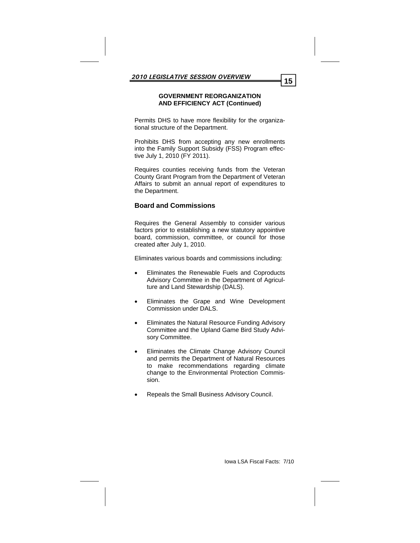Permits DHS to have more flexibility for the organizational structure of the Department.

Prohibits DHS from accepting any new enrollments into the Family Support Subsidy (FSS) Program effective July 1, 2010 (FY 2011).

Requires counties receiving funds from the Veteran County Grant Program from the Department of Veteran Affairs to submit an annual report of expenditures to the Department.

# **Board and Commissions**

Requires the General Assembly to consider various factors prior to establishing a new statutory appointive board, commission, committee, or council for those created after July 1, 2010.

Eliminates various boards and commissions including:

- Eliminates the Renewable Fuels and Coproducts Advisory Committee in the Department of Agriculture and Land Stewardship (DALS).
- Eliminates the Grape and Wine Development Commission under DALS.
- Eliminates the Natural Resource Funding Advisory Committee and the Upland Game Bird Study Advisory Committee.
- Eliminates the Climate Change Advisory Council and permits the Department of Natural Resources to make recommendations regarding climate change to the Environmental Protection Commission.
- Repeals the Small Business Advisory Council.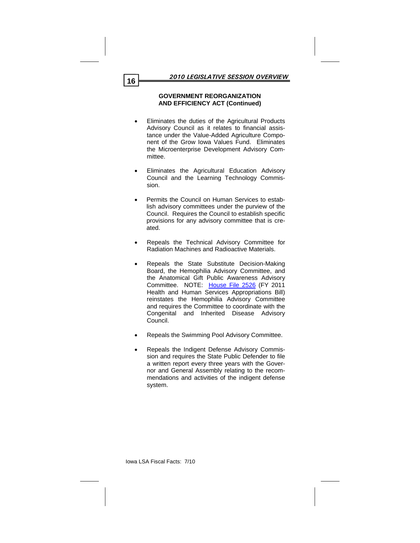- Eliminates the duties of the Agricultural Products Advisory Council as it relates to financial assistance under the Value-Added Agriculture Component of the Grow Iowa Values Fund. Eliminates the Microenterprise Development Advisory Committee.
- Eliminates the Agricultural Education Advisory Council and the Learning Technology Commission.
- Permits the Council on Human Services to establish advisory committees under the purview of the Council. Requires the Council to establish specific provisions for any advisory committee that is created.
- Repeals the Technical Advisory Committee for Radiation Machines and Radioactive Materials.
- Repeals the State Substitute Decision-Making Board, the Hemophilia Advisory Committee, and the Anatomical Gift Public Awareness Advisory Committee. NOTE: House File 2526 (FY 2011 Health and Human Services Appropriations Bill) reinstates the Hemophilia Advisory Committee and requires the Committee to coordinate with the Congenital and Inherited Disease Advisory Council.
- Repeals the Swimming Pool Advisory Committee.
- Repeals the Indigent Defense Advisory Commission and requires the State Public Defender to file a written report every three years with the Governor and General Assembly relating to the recommendations and activities of the indigent defense system.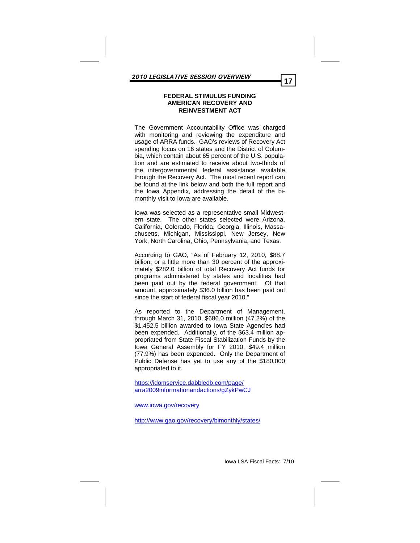The Government Accountability Office was charged with monitoring and reviewing the expenditure and usage of ARRA funds. GAO's reviews of Recovery Act spending focus on 16 states and the District of Columbia, which contain about 65 percent of the U.S. population and are estimated to receive about two-thirds of the intergovernmental federal assistance available through the Recovery Act. The most recent report can be found at the link below and both the full report and the Iowa Appendix, addressing the detail of the bimonthly visit to Iowa are available.

Iowa was selected as a representative small Midwestern state. The other states selected were Arizona, California, Colorado, Florida, Georgia, Illinois, Massachusetts, Michigan, Mississippi, New Jersey, New York, North Carolina, Ohio, Pennsylvania, and Texas.

According to GAO, "As of February 12, 2010, \$88.7 billion, or a little more than 30 percent of the approximately \$282.0 billion of total Recovery Act funds for programs administered by states and localities had been paid out by the federal government. Of that amount, approximately \$36.0 billion has been paid out since the start of federal fiscal year 2010."

As reported to the Department of Management, through March 31, 2010, \$686.0 million (47.2%) of the \$1,452.5 billion awarded to Iowa State Agencies had been expended. Additionally, of the \$63.4 million appropriated from State Fiscal Stabilization Funds by the Iowa General Assembly for FY 2010, \$49.4 million (77.9%) has been expended. Only the Department of Public Defense has yet to use any of the \$180,000 appropriated to it.

https://idomservice.dabbledb.com/page/ arra2009informationandactions/gZykPwCJ

www.iowa.gov/recovery

http://www.gao.gov/recovery/bimonthly/states/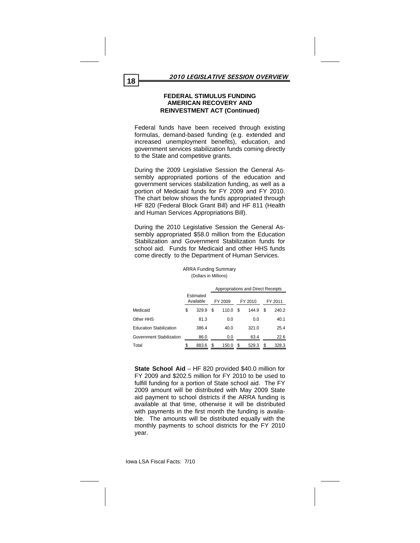Federal funds have been received through existing formulas, demand-based funding (e.g. extended and increased unemployment benefits), education, and government services stabilization funds coming directly to the State and competitive grants.

During the 2009 Legislative Session the General Assembly appropriated portions of the education and government services stabilization funding, as well as a portion of Medicaid funds for FY 2009 and FY 2010. The chart below shows the funds appropriated through HF 820 (Federal Block Grant Bill) and HF 811 (Health and Human Services Appropriations Bill).

During the 2010 Legislative Session the General Assembly appropriated \$58.0 million from the Education Stabilization and Government Stabilization funds for school aid. Funds for Medicaid and other HHS funds come directly to the Department of Human Services.

|                                |                        | Appropriations and Direct Receipts |         |   |         |    |         |
|--------------------------------|------------------------|------------------------------------|---------|---|---------|----|---------|
|                                | Estimated<br>Available |                                    | FY 2009 |   | FY 2010 |    | FY 2011 |
| Medicaid                       | \$<br>329.9            | S                                  | 110.0   | S | 144.9   | \$ | 240.2   |
| Other HHS                      | 81.3                   |                                    | 0.0     |   | 0.0     |    | 40.1    |
| <b>Education Stabilization</b> | 386.4                  |                                    | 40.0    |   | 321.0   |    | 25.4    |
| Government Stabilization       | 86.0                   |                                    | 0.0     |   | 63.4    |    | 22.6    |
| Total                          | \$<br>883.6            | \$                                 | 150.0   | S | 529.3   | \$ | 328.3   |

ARRA Funding Summary (Dollars in Millions)

**State School Aid** – HF 820 provided \$40.0 million for FY 2009 and \$202.5 million for FY 2010 to be used to fulfill funding for a portion of State school aid. The FY 2009 amount will be distributed with May 2009 State aid payment to school districts if the ARRA funding is available at that time, otherwise it will be distributed with payments in the first month the funding is available. The amounts will be distributed equally with the monthly payments to school districts for the FY 2010 year.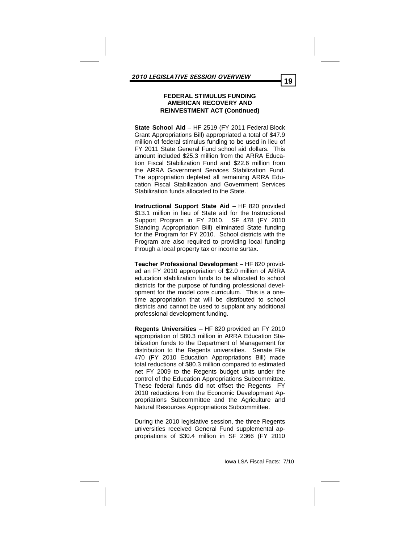**State School Aid** – HF 2519 (FY 2011 Federal Block Grant Appropriations Bill) appropriated a total of \$47.9 million of federal stimulus funding to be used in lieu of FY 2011 State General Fund school aid dollars. This amount included \$25.3 million from the ARRA Education Fiscal Stabilization Fund and \$22.6 million from the ARRA Government Services Stabilization Fund. The appropriation depleted all remaining ARRA Education Fiscal Stabilization and Government Services Stabilization funds allocated to the State.

**Instructional Support State Aid** – HF 820 provided \$13.1 million in lieu of State aid for the Instructional Support Program in FY 2010. SF 478 (FY 2010 Standing Appropriation Bill) eliminated State funding for the Program for FY 2010. School districts with the Program are also required to providing local funding through a local property tax or income surtax.

**Teacher Professional Development** – HF 820 provided an FY 2010 appropriation of \$2.0 million of ARRA education stabilization funds to be allocated to school districts for the purpose of funding professional development for the model core curriculum. This is a onetime appropriation that will be distributed to school districts and cannot be used to supplant any additional professional development funding.

**Regents Universities** – HF 820 provided an FY 2010 appropriation of \$80.3 million in ARRA Education Stabilization funds to the Department of Management for distribution to the Regents universities. Senate File 470 (FY 2010 Education Appropriations Bill) made total reductions of \$80.3 million compared to estimated net FY 2009 to the Regents budget units under the control of the Education Appropriations Subcommittee. These federal funds did not offset the Regents FY 2010 reductions from the Economic Development Appropriations Subcommittee and the Agriculture and Natural Resources Appropriations Subcommittee.

During the 2010 legislative session, the three Regents universities received General Fund supplemental appropriations of \$30.4 million in SF 2366 (FY 2010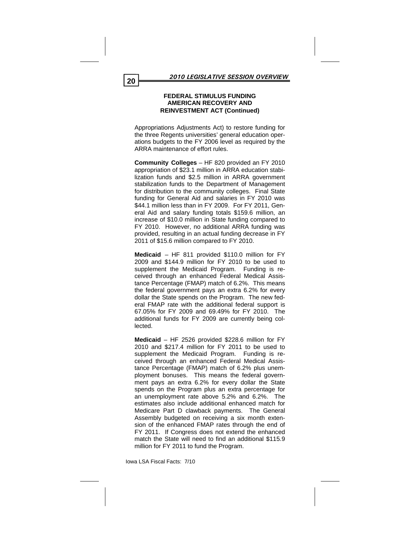Appropriations Adjustments Act) to restore funding for the three Regents universities' general education operations budgets to the FY 2006 level as required by the ARRA maintenance of effort rules.

**Community Colleges** – HF 820 provided an FY 2010 appropriation of \$23.1 million in ARRA education stabilization funds and \$2.5 million in ARRA government stabilization funds to the Department of Management for distribution to the community colleges. Final State funding for General Aid and salaries in FY 2010 was \$44.1 million less than in FY 2009. For FY 2011, General Aid and salary funding totals \$159.6 million, an increase of \$10.0 million in State funding compared to FY 2010. However, no additional ARRA funding was provided, resulting in an actual funding decrease in FY 2011 of \$15.6 million compared to FY 2010.

**Medicaid** – HF 811 provided \$110.0 million for FY 2009 and \$144.9 million for FY 2010 to be used to supplement the Medicaid Program. Funding is received through an enhanced Federal Medical Assistance Percentage (FMAP) match of 6.2%. This means the federal government pays an extra 6.2% for every dollar the State spends on the Program. The new federal FMAP rate with the additional federal support is 67.05% for FY 2009 and 69.49% for FY 2010. The additional funds for FY 2009 are currently being collected.

**Medicaid** – HF 2526 provided \$228.6 million for FY 2010 and \$217.4 million for FY 2011 to be used to supplement the Medicaid Program. Funding is received through an enhanced Federal Medical Assistance Percentage (FMAP) match of 6.2% plus unemployment bonuses. This means the federal government pays an extra 6.2% for every dollar the State spends on the Program plus an extra percentage for an unemployment rate above 5.2% and 6.2%. The estimates also include additional enhanced match for Medicare Part D clawback payments. The General Assembly budgeted on receiving a six month extension of the enhanced FMAP rates through the end of FY 2011. If Congress does not extend the enhanced match the State will need to find an additional \$115.9 million for FY 2011 to fund the Program.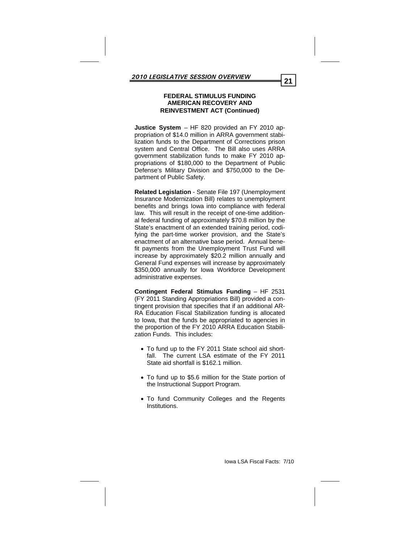**Justice System** – HF 820 provided an FY 2010 appropriation of \$14.0 million in ARRA government stabilization funds to the Department of Corrections prison system and Central Office. The Bill also uses ARRA government stabilization funds to make FY 2010 appropriations of \$180,000 to the Department of Public Defense's Military Division and \$750,000 to the Department of Public Safety.

**Related Legislation** - Senate File 197 (Unemployment Insurance Modernization Bill) relates to unemployment benefits and brings Iowa into compliance with federal law. This will result in the receipt of one-time additional federal funding of approximately \$70.8 million by the State's enactment of an extended training period, codifying the part-time worker provision, and the State's enactment of an alternative base period. Annual benefit payments from the Unemployment Trust Fund will increase by approximately \$20.2 million annually and General Fund expenses will increase by approximately \$350,000 annually for Iowa Workforce Development administrative expenses.

**Contingent Federal Stimulus Funding** – HF 2531 (FY 2011 Standing Appropriations Bill) provided a contingent provision that specifies that if an additional AR-RA Education Fiscal Stabilization funding is allocated to Iowa, that the funds be appropriated to agencies in the proportion of the FY 2010 ARRA Education Stabilization Funds. This includes:

- To fund up to the FY 2011 State school aid shortfall. The current LSA estimate of the FY 2011 State aid shortfall is \$162.1 million.
- To fund up to \$5.6 million for the State portion of the Instructional Support Program.
- To fund Community Colleges and the Regents Institutions.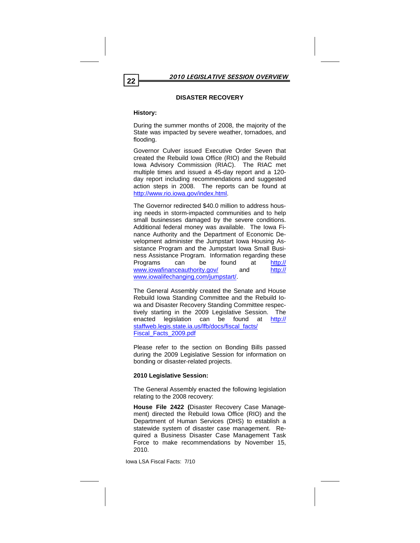# **DISASTER RECOVERY**

# **History:**

During the summer months of 2008, the majority of the State was impacted by severe weather, tornadoes, and flooding.

Governor Culver issued Executive Order Seven that created the Rebuild Iowa Office (RIO) and the Rebuild Iowa Advisory Commission (RIAC). The RIAC met multiple times and issued a 45-day report and a 120 day report including recommendations and suggested action steps in 2008. The reports can be found at http://www.rio.iowa.gov/index.html.

The Governor redirected \$40.0 million to address housing needs in storm-impacted communities and to help small businesses damaged by the severe conditions. Additional federal money was available. The Iowa Finance Authority and the Department of Economic Development administer the Jumpstart Iowa Housing Assistance Program and the Jumpstart Iowa Small Business Assistance Program. Information regarding these Programs can be found at http:// www.iowafinanceauthority.gov/ and http:// www.iowalifechanging.com/jumpstart/.

The General Assembly created the Senate and House Rebuild Iowa Standing Committee and the Rebuild Iowa and Disaster Recovery Standing Committee respectively starting in the 2009 Legislative Session. The enacted legislation can be found at http:// staffweb.legis.state.ia.us/lfb/docs/fiscal\_facts/ Fiscal\_Facts\_2009.pdf

Please refer to the section on Bonding Bills passed during the 2009 Legislative Session for information on bonding or disaster-related projects.

# **2010 Legislative Session:**

The General Assembly enacted the following legislation relating to the 2008 recovery:

**House File 2422 (**Disaster Recovery Case Management) directed the Rebuild Iowa Office (RIO) and the Department of Human Services (DHS) to establish a statewide system of disaster case management. Required a Business Disaster Case Management Task Force to make recommendations by November 15, 2010.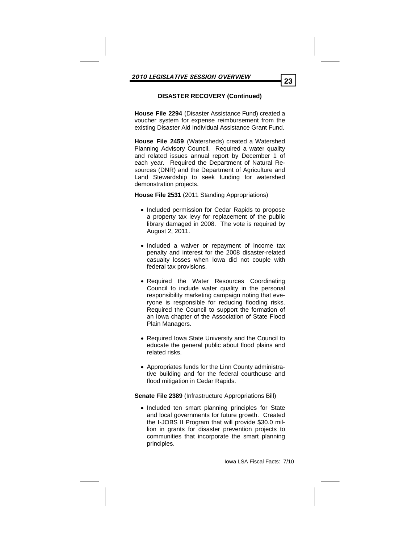# **DISASTER RECOVERY (Continued)**

**House File 2294** (Disaster Assistance Fund) created a voucher system for expense reimbursement from the existing Disaster Aid Individual Assistance Grant Fund.

**House File 2459** (Watersheds) created a Watershed Planning Advisory Council. Required a water quality and related issues annual report by December 1 of each year. Required the Department of Natural Resources (DNR) and the Department of Agriculture and Land Stewardship to seek funding for watershed demonstration projects.

**House File 2531** (2011 Standing Appropriations)

- Included permission for Cedar Rapids to propose a property tax levy for replacement of the public library damaged in 2008. The vote is required by August 2, 2011.
- Included a waiver or repayment of income tax penalty and interest for the 2008 disaster-related casualty losses when Iowa did not couple with federal tax provisions.
- Required the Water Resources Coordinating Council to include water quality in the personal responsibility marketing campaign noting that everyone is responsible for reducing flooding risks. Required the Council to support the formation of an Iowa chapter of the Association of State Flood Plain Managers.
- Required Iowa State University and the Council to educate the general public about flood plains and related risks.
- Appropriates funds for the Linn County administrative building and for the federal courthouse and flood mitigation in Cedar Rapids.

# **Senate File 2389** (Infrastructure Appropriations Bill)

• Included ten smart planning principles for State and local governments for future growth. Created the I-JOBS II Program that will provide \$30.0 million in grants for disaster prevention projects to communities that incorporate the smart planning principles.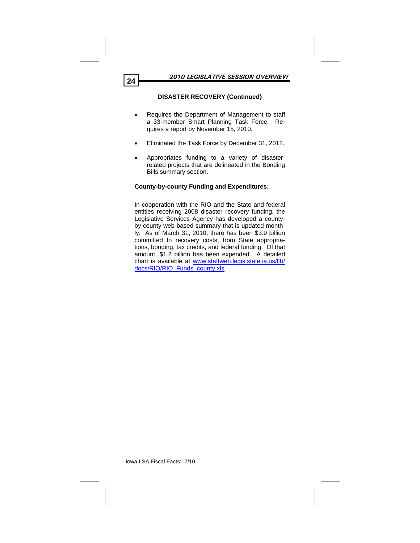# **DISASTER RECOVERY (Continued)**

- Requires the Department of Management to staff a 33-member Smart Planning Task Force. Requires a report by November 15, 2010.
- Eliminated the Task Force by December 31, 2012.
- Appropriates funding to a variety of disasterrelated projects that are delineated in the Bonding Bills summary section.

# **County-by-county Funding and Expenditures:**

In cooperation with the RIO and the State and federal entities receiving 2008 disaster recovery funding, the Legislative Services Agency has developed a countyby-county web-based summary that is updated monthly. As of March 31, 2010, there has been \$3.9 billion committed to recovery costs, from State appropriations, bonding, tax credits, and federal funding. Of that amount, \$1.2 billion has been expended. A detailed chart is available at www.staffweb.legis.state.ia.us/lfb/ docs/RIO/RIO\_Funds\_county.xls.

Iowa LSA Fiscal Facts: 7/10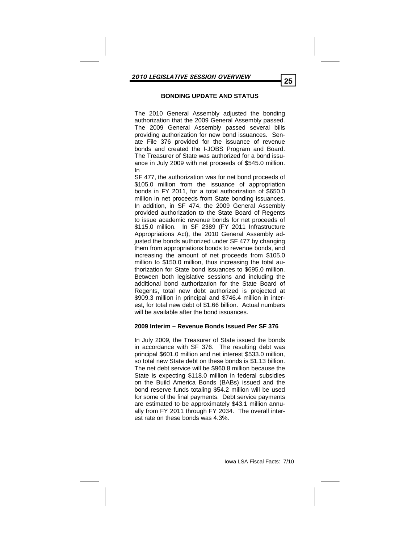# **BONDING UPDATE AND STATUS**

The 2010 General Assembly adjusted the bonding authorization that the 2009 General Assembly passed. The 2009 General Assembly passed several bills providing authorization for new bond issuances. Senate File 376 provided for the issuance of revenue bonds and created the I-JOBS Program and Board. The Treasurer of State was authorized for a bond issuance in July 2009 with net proceeds of \$545.0 million. In

SF 477, the authorization was for net bond proceeds of \$105.0 million from the issuance of appropriation bonds in FY 2011, for a total authorization of \$650.0 million in net proceeds from State bonding issuances. In addition, in SF 474, the 2009 General Assembly provided authorization to the State Board of Regents to issue academic revenue bonds for net proceeds of \$115.0 million. In SF 2389 (FY 2011 Infrastructure Appropriations Act), the 2010 General Assembly adjusted the bonds authorized under SF 477 by changing them from appropriations bonds to revenue bonds, and increasing the amount of net proceeds from \$105.0 million to \$150.0 million, thus increasing the total authorization for State bond issuances to \$695.0 million. Between both legislative sessions and including the additional bond authorization for the State Board of Regents, total new debt authorized is projected at \$909.3 million in principal and \$746.4 million in interest, for total new debt of \$1.66 billion. Actual numbers will be available after the bond issuances.

#### **2009 Interim – Revenue Bonds Issued Per SF 376**

In July 2009, the Treasurer of State issued the bonds in accordance with SF 376. The resulting debt was principal \$601.0 million and net interest \$533.0 million, so total new State debt on these bonds is \$1.13 billion. The net debt service will be \$960.8 million because the State is expecting \$118.0 million in federal subsidies on the Build America Bonds (BABs) issued and the bond reserve funds totaling \$54.2 million will be used for some of the final payments. Debt service payments are estimated to be approximately \$43.1 million annually from FY 2011 through FY 2034. The overall interest rate on these bonds was 4.3%.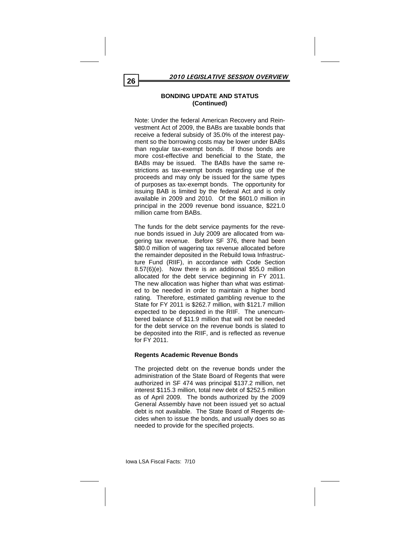Note: Under the federal American Recovery and Reinvestment Act of 2009, the BABs are taxable bonds that receive a federal subsidy of 35.0% of the interest payment so the borrowing costs may be lower under BABs than regular tax-exempt bonds. If those bonds are more cost-effective and beneficial to the State, the BABs may be issued. The BABs have the same restrictions as tax-exempt bonds regarding use of the proceeds and may only be issued for the same types of purposes as tax-exempt bonds. The opportunity for issuing BAB is limited by the federal Act and is only available in 2009 and 2010. Of the \$601.0 million in principal in the 2009 revenue bond issuance, \$221.0 million came from BABs.

The funds for the debt service payments for the revenue bonds issued in July 2009 are allocated from wagering tax revenue. Before SF 376, there had been \$80.0 million of wagering tax revenue allocated before the remainder deposited in the Rebuild Iowa Infrastructure Fund (RIIF), in accordance with Code Section 8.57(6)(e). Now there is an additional \$55.0 million allocated for the debt service beginning in FY 2011. The new allocation was higher than what was estimated to be needed in order to maintain a higher bond rating. Therefore, estimated gambling revenue to the State for FY 2011 is \$262.7 million, with \$121.7 million expected to be deposited in the RIIF. The unencumbered balance of \$11.9 million that will not be needed for the debt service on the revenue bonds is slated to be deposited into the RIIF, and is reflected as revenue for FY 2011.

# **Regents Academic Revenue Bonds**

The projected debt on the revenue bonds under the administration of the State Board of Regents that were authorized in SF 474 was principal \$137.2 million, net interest \$115.3 million, total new debt of \$252.5 million as of April 2009. The bonds authorized by the 2009 General Assembly have not been issued yet so actual debt is not available. The State Board of Regents decides when to issue the bonds, and usually does so as needed to provide for the specified projects.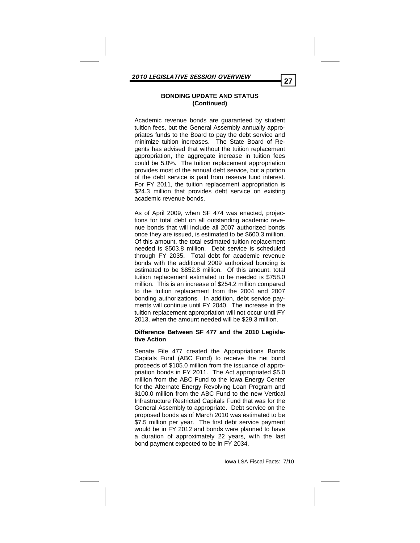Academic revenue bonds are guaranteed by student tuition fees, but the General Assembly annually appropriates funds to the Board to pay the debt service and minimize tuition increases. The State Board of Regents has advised that without the tuition replacement appropriation, the aggregate increase in tuition fees could be 5.0%. The tuition replacement appropriation provides most of the annual debt service, but a portion of the debt service is paid from reserve fund interest. For FY 2011, the tuition replacement appropriation is \$24.3 million that provides debt service on existing academic revenue bonds.

As of April 2009, when SF 474 was enacted, projections for total debt on all outstanding academic revenue bonds that will include all 2007 authorized bonds once they are issued, is estimated to be \$600.3 million. Of this amount, the total estimated tuition replacement needed is \$503.8 million. Debt service is scheduled through FY 2035. Total debt for academic revenue bonds with the additional 2009 authorized bonding is estimated to be \$852.8 million. Of this amount, total tuition replacement estimated to be needed is \$758.0 million. This is an increase of \$254.2 million compared to the tuition replacement from the 2004 and 2007 bonding authorizations. In addition, debt service payments will continue until FY 2040. The increase in the tuition replacement appropriation will not occur until FY 2013, when the amount needed will be \$29.3 million.

# **Difference Between SF 477 and the 2010 Legislative Action**

Senate File 477 created the Appropriations Bonds Capitals Fund (ABC Fund) to receive the net bond proceeds of \$105.0 million from the issuance of appropriation bonds in FY 2011. The Act appropriated \$5.0 million from the ABC Fund to the Iowa Energy Center for the Alternate Energy Revolving Loan Program and \$100.0 million from the ABC Fund to the new Vertical Infrastructure Restricted Capitals Fund that was for the General Assembly to appropriate. Debt service on the proposed bonds as of March 2010 was estimated to be \$7.5 million per year. The first debt service payment would be in FY 2012 and bonds were planned to have a duration of approximately 22 years, with the last bond payment expected to be in FY 2034.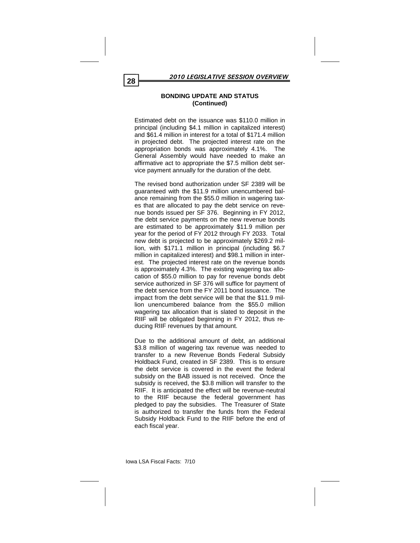Estimated debt on the issuance was \$110.0 million in principal (including \$4.1 million in capitalized interest) and \$61.4 million in interest for a total of \$171.4 million in projected debt. The projected interest rate on the appropriation bonds was approximately 4.1%. The General Assembly would have needed to make an affirmative act to appropriate the \$7.5 million debt service payment annually for the duration of the debt.

The revised bond authorization under SF 2389 will be guaranteed with the \$11.9 million unencumbered balance remaining from the \$55.0 million in wagering taxes that are allocated to pay the debt service on revenue bonds issued per SF 376. Beginning in FY 2012, the debt service payments on the new revenue bonds are estimated to be approximately \$11.9 million per year for the period of FY 2012 through FY 2033. Total new debt is projected to be approximately \$269.2 million, with \$171.1 million in principal (including \$6.7 million in capitalized interest) and \$98.1 million in interest. The projected interest rate on the revenue bonds is approximately 4.3%. The existing wagering tax allocation of \$55.0 million to pay for revenue bonds debt service authorized in SF 376 will suffice for payment of the debt service from the FY 2011 bond issuance. The impact from the debt service will be that the \$11.9 million unencumbered balance from the \$55.0 million wagering tax allocation that is slated to deposit in the RIIF will be obligated beginning in FY 2012, thus reducing RIIF revenues by that amount.

Due to the additional amount of debt, an additional \$3.8 million of wagering tax revenue was needed to transfer to a new Revenue Bonds Federal Subsidy Holdback Fund, created in SF 2389. This is to ensure the debt service is covered in the event the federal subsidy on the BAB issued is not received. Once the subsidy is received, the \$3.8 million will transfer to the RIIF. It is anticipated the effect will be revenue-neutral to the RIIF because the federal government has pledged to pay the subsidies. The Treasurer of State is authorized to transfer the funds from the Federal Subsidy Holdback Fund to the RIIF before the end of each fiscal year.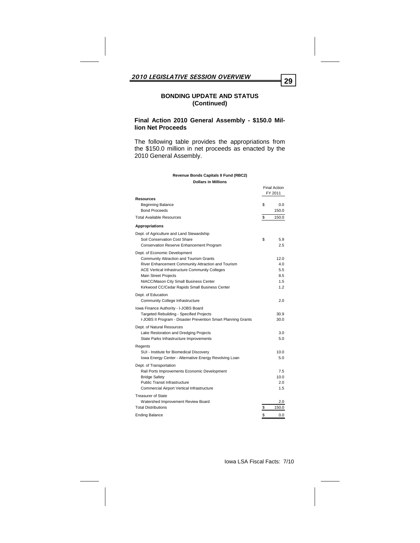# **Final Action 2010 General Assembly - \$150.0 Million Net Proceeds**

The following table provides the appropriations from the \$150.0 million in net proceeds as enacted by the 2010 General Assembly.

|                                                                                                                                                                                                                                                                                                                    | <b>Final Action</b><br>FY 2011          |
|--------------------------------------------------------------------------------------------------------------------------------------------------------------------------------------------------------------------------------------------------------------------------------------------------------------------|-----------------------------------------|
| <b>Resources</b><br><b>Beginning Balance</b><br><b>Bond Proceeds</b>                                                                                                                                                                                                                                               | \$<br>0.0<br>150.0                      |
| <b>Total Available Resources</b>                                                                                                                                                                                                                                                                                   | \$<br>150.0                             |
| <b>Appropriations</b>                                                                                                                                                                                                                                                                                              |                                         |
| Dept. of Agriculture and Land Stewardship<br>Soil Conservation Cost Share<br>Conservation Reserve Enhancement Program                                                                                                                                                                                              | \$<br>5.9<br>2.5                        |
| Dept. of Economic Development<br><b>Community Attraction and Tourism Grants</b><br>River Enhancement Community Attraction and Tourism<br>ACE Vertical Infrastructure Community Colleges<br><b>Main Street Projects</b><br>NIACC/Mason City Small Business Center<br>Kirkwood CC/Cedar Rapids Small Business Center | 12.0<br>4.0<br>5.5<br>8.5<br>1.5<br>1.2 |
| Dept. of Education<br>Community College Infrastructure                                                                                                                                                                                                                                                             | 2.0                                     |
| Iowa Finance Authority - I-JOBS Board<br><b>Targeted Rebuilding - Specified Projects</b><br>I-JOBS II Program - Disaster Prevention Smart Planning Grants                                                                                                                                                          | 30.9<br>30.0                            |
| Dept. of Natural Resources<br>Lake Restoration and Dredging Projects<br>State Parks Infrastructure Improvements                                                                                                                                                                                                    | 3.0<br>5.0                              |
| Regents<br>SUI - Institute for Biomedical Discovery<br>Iowa Energy Center - Alternative Energy Revolving Loan                                                                                                                                                                                                      | 10.0<br>5.0                             |
| Dept. of Transportation<br>Rail Ports Improvements Economic Development<br><b>Bridge Safety</b><br><b>Public Transit Infrastructure</b><br>Commercial Airport Vertical Infrastructure                                                                                                                              | 7.5<br>10.0<br>2.0<br>1.5               |
| <b>Treasurer of State</b><br>Watershed Improvement Review Board<br><b>Total Distributions</b>                                                                                                                                                                                                                      | \$<br>2.0<br>150.0                      |
| <b>Ending Balance</b>                                                                                                                                                                                                                                                                                              | \$<br>0.0                               |

#### **Revenue Bonds Capitals II Fund (RBC2) Dollars in Millions**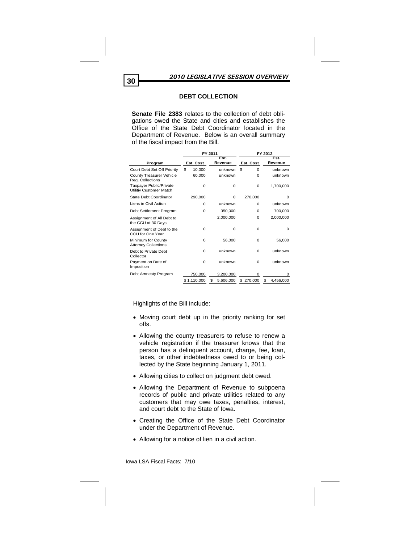# **DEBT COLLECTION**

**Senate File 2383** relates to the collection of debt obligations owed the State and cities and establishes the Office of the State Debt Coordinator located in the Department of Revenue. Below is an overall summary of the fiscal impact from the Bill.

|                                                    | FY 2011      |                 | FY 2012        |                 |  |  |
|----------------------------------------------------|--------------|-----------------|----------------|-----------------|--|--|
| Program                                            | Est. Cost    | Est.<br>Revenue | Est. Cost      | Est.<br>Revenue |  |  |
| Court Debt Set Off Priority                        | \$<br>10,000 | unknown         | \$<br>$\Omega$ | unknown         |  |  |
| County Treasurer Vehicle<br>Reg. Collections       | 60,000       | unknown         | $\Omega$       | unknown         |  |  |
| Taxpayer Public/Private<br>Utilitiy Customer Match | $\Omega$     | $\Omega$        | 0              | 1,700,000       |  |  |
| State Debt Coordinator                             | 290,000      | $\Omega$        | 270,000        | $\Omega$        |  |  |
| Liens in Civil Action                              | $\Omega$     | unknown         | $\Omega$       | unknown         |  |  |
| Debt Settlement Program                            | $\Omega$     | 350,000         | $\Omega$       | 700,000         |  |  |
| Assignment of All Debt to<br>the CCU at 30 Days    |              | 2,000,000       | $\Omega$       | 2,000,000       |  |  |
| Assignment of Debt to the<br>CCU for One Year      | $\Omega$     | $\Omega$        | 0              | 0               |  |  |
| Minimum for County<br><b>Attorney Collections</b>  | $\Omega$     | 56,000          | $\Omega$       | 56,000          |  |  |
| Debt to Private Debt<br>Collector                  | $\Omega$     | unknown         | $\Omega$       | unknown         |  |  |
| Payment on Date of<br>Imposition                   | $\Omega$     | unknown         | $\Omega$       | unknown         |  |  |
| Debt Amnesty Program                               | 750,000      | 3,200,000       | $\Omega$       | $\mathbf 0$     |  |  |
|                                                    | \$1,110,000  | 5,606,000<br>\$ | \$<br>270,000  | \$<br>4,456,000 |  |  |

Highlights of the Bill include:

- Moving court debt up in the priority ranking for set offs.
- Allowing the county treasurers to refuse to renew a vehicle registration if the treasurer knows that the person has a delinquent account, charge, fee, loan, taxes, or other indebtedness owed to or being collected by the State beginning January 1, 2011.
- Allowing cities to collect on judgment debt owed.
- Allowing the Department of Revenue to subpoena records of public and private utilities related to any customers that may owe taxes, penalties, interest, and court debt to the State of Iowa.
- Creating the Office of the State Debt Coordinator under the Department of Revenue.
- Allowing for a notice of lien in a civil action.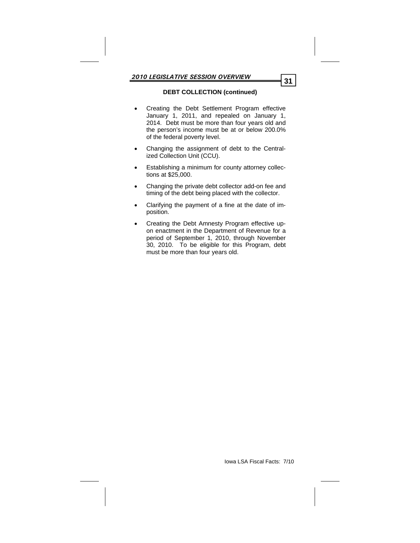# **DEBT COLLECTION (continued)**

- Creating the Debt Settlement Program effective January 1, 2011, and repealed on January 1, 2014. Debt must be more than four years old and the person's income must be at or below 200.0% of the federal poverty level.
- Changing the assignment of debt to the Centralized Collection Unit (CCU).
- Establishing a minimum for county attorney collections at \$25,000.
- Changing the private debt collector add-on fee and timing of the debt being placed with the collector.
- Clarifying the payment of a fine at the date of imposition.
- Creating the Debt Amnesty Program effective upon enactment in the Department of Revenue for a period of September 1, 2010, through November 30, 2010. To be eligible for this Program, debt must be more than four years old.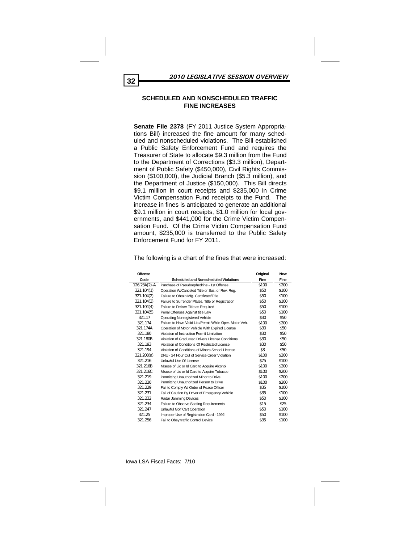#### **SCHEDULED AND NONSCHEDULED TRAFFIC FINE INCREASES**

**Senate File 2378** (FY 2011 Justice System Appropriations Bill) increased the fine amount for many scheduled and nonscheduled violations. The Bill established a Public Safety Enforcement Fund and requires the Treasurer of State to allocate \$9.3 million from the Fund to the Department of Corrections (\$3.3 million), Department of Public Safety (\$450,000), Civil Rights Commission (\$100,000), the Judicial Branch (\$5.3 million), and the Department of Justice (\$150,000). This Bill directs \$9.1 million in court receipts and \$235,000 in Crime Victim Compensation Fund receipts to the Fund. The increase in fines is anticipated to generate an additional \$9.1 million in court receipts, \$1.0 million for local governments, and \$441,000 for the Crime Victim Compensation Fund. Of the Crime Victim Compensation Fund amount, \$235,000 is transferred to the Public Safety Enforcement Fund for FY 2011.

| Offense      |                                                          | Original | <b>New</b> |
|--------------|----------------------------------------------------------|----------|------------|
| Code         | <b>Scheduled and Nonscheduled Violations</b>             | Fine     | Fine       |
| 126.23A(2)-A | Purchase of Pseudoephedrine - 1st Offense                | \$100    | \$200      |
| 321.104(1)   | Operation W/Canceled Title or Sus. or Rev. Reg.          | \$50     | \$100      |
| 321.104(2)   | Failure to Obtain Mfg. Certificate/Title                 | \$50     | \$100      |
| 321.104(3)   | Failure to Surrender Plates, Title or Registration       | \$50     | \$100      |
| 321.104(4)   | Failure to Deliver Title as Required                     | \$50     | \$100      |
| 321.104(5)   | Penal Offenses Against title Law                         | \$50     | \$100      |
| 321.17       | <b>Operating Nonregistered Vehicle</b>                   | \$30     | \$50       |
| 321.174      | Failure to Have Valid Lic./Permit While Oper. Motor Veh. | \$100    | \$200      |
| 321.174A     | Operation of Motor Vehicle With Expired License          | \$30     | \$50       |
| 321.180      | Violation of Instruction Permit Limitation               | \$30     | \$50       |
| 321.180B     | Violation of Graduated Drivers License Conditions        | \$30     | \$50       |
| 321.193      | Violation of Conditions Of Restricted License            | \$30     | \$50       |
| 321.194      | Violation of Conditions of Minors School License         | \$3      | \$50       |
| 321.208(a)   | DNU - 24 Hour Out of Service Order Violation             | \$100    | \$200      |
| 321.216      | Unlawful Use Of License                                  | \$75     | \$100      |
| 321.216B     | Misuse of Lic or Id Card to Acquire Alcohol              | \$100    | \$200      |
| 321.216C     | Misuse of Lic or Id Card to Acquire Tobacco              | \$100    | \$200      |
| 321.219      | Permitting Unauthorized Minor to Drive                   | \$100    | \$200      |
| 321.220      | Permitting Unauthorized Person to Drive                  | \$100    | \$200      |
| 321.229      | Fail to Comply W/ Order of Peace Officer                 | \$35     | \$100      |
| 321.231      | Fail of Caution By Driver of Emergency Vehicle           | \$35     | \$100      |
| 321.232      | Radar Jamming Devices                                    | \$50     | \$100      |
| 321.234      | Failure to Observe Seating Requirements                  | \$15     | \$25       |
| 321.247      | Unlawful Golf Cart Operation                             | \$50     | \$100      |
| 321.25       | Improper Use of Registration Card - 1992                 | \$50     | \$100      |
| 321.256      | Fail to Obey traffic Control Device                      | \$35     | \$100      |

The following is a chart of the fines that were increased: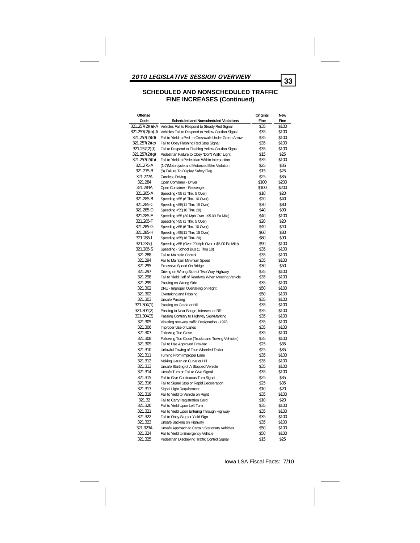| Offense       |                                                                   | Original | New   |
|---------------|-------------------------------------------------------------------|----------|-------|
| Code          | <b>Scheduled and Nonscheduled Violations</b>                      | Fine     | Fine  |
|               | 321.257(2)(a)-A Vehicles Fail to Respond to Steady Red Signal     | \$35     | \$100 |
|               | 321.257(2)(b)-A Vehicles Fail to Respond to Yellow Caution Signal | \$35     | \$100 |
| 321.257(2)(d) | Fail to Yield to Ped. In Crosswalk Under Green Arrow              | \$35     | \$100 |
| 321.257(2)(e) | Fail to Obey Flashing Red Stop Signal                             | \$35     | \$100 |
| 321.257(2)(f) | Fail to Respond to Flashing Yellow Caution Signal                 | \$35     | \$100 |
| 321.257(2)(q) | Pedestrian Failure to Obey "Don't Walk" Light                     | \$15     | \$25  |
| 321.257(2)(h) | Fail to Yield to Pedestrian Within Intersection                   | \$35     | \$100 |
| 321.275-A     | (1-7)Motorcycle and Motorized Bike Violation                      | \$25     | \$35  |
| 321.275-B     | (8) Failure To Display Safety Flag                                | \$15     | \$25  |
| 321.277A      |                                                                   | \$25     | \$35  |
| 321.284       | Careless Driving                                                  | \$100    | \$200 |
|               | Open Container - Driver                                           |          |       |
| 321.284A      | Open Container - Passenger                                        | \$100    | \$200 |
| 321.285-A     | Speeding <55 (1 Thru 5 Over)                                      | \$10     | \$20  |
| 321.285-B     | Speeding <55 (6 Thru 10 Over)                                     | \$20     | \$40  |
| 321.285-C     | Speeding <55(11 Thru 15 Over)                                     | \$30     | \$80  |
| 321.285-D     | Speeding <55(16 Thru 20)                                          | \$40     | \$90  |
| 321.285-E     | Speeding <55 (20 Mph Over +\$5.00 Ea Mile)                        | \$40     | \$100 |
| 321.285-F     | Speeding >55 (1 Thru 5 Over)                                      | \$20     | \$20  |
| 321.285-G     | Speeding >55 (6 Thru 10 Over)                                     | \$40     | \$40  |
| 321.285-H     | Speeding >55(11 Thru 15 Over)                                     | \$60     | \$80  |
| 321.285-I     | Speeding >55(16 Thru 20)                                          | \$80     | \$90  |
| 321.285-J     | Speeding >55 (Over 20 Mph Over + \$5.00 Ea Mile)                  | \$90     | \$100 |
| 321.285-S     | Speeding - School Bus (1 Thru 10)                                 | \$35     | \$100 |
| 321.288       | Fail to Maintain Control                                          | \$35     | \$100 |
| 321.294       | Fail to Maintain Minimum Speed                                    | \$35     | \$100 |
| 321.295       | Excessive Speed On Bridge                                         | \$30     | \$50  |
| 321.297       | Driving on Wrong Side of Two Way Highway                          | \$35     | \$100 |
| 321.298       | Fail to Yield Half of Roadway When Meeting Vehicle                | \$35     | \$100 |
| 321.299       | Passing on Wrong Side                                             | \$35     | \$100 |
| 321.302       | DNU - Improper Overtaking on Right                                | \$50     | \$100 |
| 321.302       | Overtaking and Passing                                            | \$50     | \$100 |
| 321.303       | <b>Unsafe Passing</b>                                             | \$35     | \$100 |
| 321.304(1)    | Passing on Grade or Hill                                          | \$35     | \$100 |
| 321.304(2)    | Passing to Near Bridge, Intersect or RR                           | \$35     | \$100 |
| 321.304(3)    | Passing Contrary to Highway Sign/Marking                          | \$35     | \$100 |
| 321.305       | Violating one-way traffic Designation - 1978                      | \$35     | \$100 |
| 321.306       | Improper Use of Lanes                                             | \$35     | \$100 |
| 321.307       | Following Too Close                                               | \$35     | \$100 |
| 321.308       | Following Too Close (Trucks and Towing Vehicles)                  | \$35     | \$100 |
| 321.309       |                                                                   | \$25     | \$35  |
|               | Fail to Use Approved Drawbar                                      | \$25     | \$35  |
| 321.310       | Unlawful Towing of Four Wheeled Trailer                           |          |       |
| 321.311       | Turning From Improper Lane                                        | \$35     | \$100 |
| 321.312       | Making U-turn on Curve or Hill                                    | \$35     | \$100 |
| 321.313       | Unsafe Starting of A Stopped Vehicle                              | \$35     | \$100 |
| 321.314       | Unsafe Turn or Fail to Give Signal                                | \$35     | \$100 |
| 321.315       | Fail to Give Continuous Turn Signal                               | \$25     | \$35  |
| 321.316       | Fail to Signal Stop or Rapid Deceleration                         | \$25     | \$35  |
| 321.317       | Signal Light Requirement                                          | \$10     | \$20  |
| 321.319       | Fail to Yield to Vehicle on Right                                 | \$35     | \$100 |
| 321.32        | Fail to Carry Registration Card                                   | \$10     | \$20  |
| 321.320       | Fail to Yield Upon Left Turn                                      | \$35     | \$100 |
| 321.321       | Fail to Yield Upon Entering Through Highway                       | \$35     | \$100 |
| 321.322       | Fail to Obey Stop or Yield Sign                                   | \$35     | \$100 |
| 321.323       | Unsafe Backing on Highway                                         | \$35     | \$100 |
| 321.323A      | Unsafe Approach to Certain Stationary Vehicles                    | \$50     | \$100 |
| 321.324       | Fail to Yield to Emergency Vehicle                                | \$50     | \$100 |
| 321.325       | Pedestrian Disobeying Traffic Control Signal                      | \$15     | \$25  |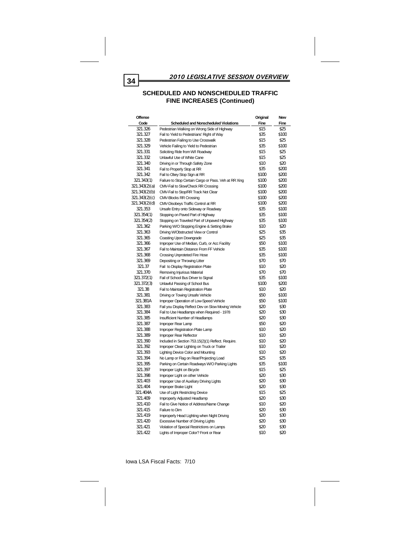| <b>Offense</b> |                                                       | Original | <b>New</b> |
|----------------|-------------------------------------------------------|----------|------------|
| Code           | <b>Scheduled and Nonscheduled Violations</b>          | Fine     | Fine       |
| 321.326        | Pedestrian Walking on Wrong Side of Highway           | \$15     | \$25       |
| 321.327        | Fail to Yield to Pedestrians' Right of Way            | \$35     | \$100      |
| 321.328        | Pedestrian Failing to Use Crosswalk                   | \$15     | \$25       |
| 321.329        | Vehicle Failing to Yield to Pedestrian                | \$35     | \$100      |
| 321.331        | Soliciting Ride from W/I Roadway                      | \$15     | \$25       |
| 321.332        | Unlawful Use of White Cane                            | \$15     | \$25       |
| 321.340        | Driving in or Through Safety Zone                     | \$10     | \$20       |
| 321.341        | Fail to Properly Stop at RR                           | \$35     | \$200      |
| 321.342        | Fail to Obey Stop Sign at RR                          | \$100    | \$200      |
| 321.343(1)     | Failure to Stop Certain Cargo or Pass. Veh at RR Xing | \$100    | \$200      |
| 321.343(2)(a)  | CMV-Fail to Slow/Check RR Crossing                    | \$100    | \$200      |
| 321.343(2)(b)  | CMV-Fail to Stop/RR Track Not Clear                   | \$100    | \$200      |
| 321.343(2)(c)  | CMV-Blocks RR Crossing                                | \$100    | \$200      |
| 321.343(2)(d)  | CMV-Disobeys Traffic Control at RR                    | \$100    | \$200      |
| 321.353        | Unsafe Entry onto Sideway or Roadway                  | \$35     | \$100      |
| 321.354(1)     | Stopping on Paved Part of Highway                     | \$35     | \$100      |
| 321.354(2)     | Stopping on Traveled Part of Unpaved Highway          | \$35     | \$100      |
| 321.362        | Parking W/O Stopping Engine & Setting Brake           | \$10     | \$20       |
| 321.363        | Driving W/Obstructed View or Control                  | \$25     | \$35       |
| 321.365        | Coasting Upon Downgrade                               | \$25     | \$35       |
| 321.366        | Improper Use of Median, Curb, or Acc Facility         | \$50     | \$100      |
| 321.367        | Fail to Maintain Distance From FF Vehicle             | \$35     | \$100      |
| 321.368        | Crossing Unproteted Fire Hose                         | \$35     | \$100      |
| 321.369        | Depositing or Throwing Litter                         | \$70     | \$70       |
| 321.37         | Fail to Display Registration Plate                    | \$10     | \$20       |
| 321.370        | Removing Injurious Material                           | \$70     | \$70       |
| 321.372(1)     | Fail of School Bus Driver to Signal                   | \$35     | \$100      |
| 321.372(3)     | Unlawful Passing of School Bus                        | \$100    | \$200      |
| 321.38         | Fail to Maintain Registration Plate                   | \$10     | \$20       |
| 321.381        | Driving or Towing Unsafe Vehicle                      | \$50     | \$100      |
| 321.381A       | Improper Operation of Low-Speed Vehicle               | \$50     | \$100      |
| 321.383        | Fail you Display Reflect Dev on Slow Moving Vehicle   | \$20     | \$30       |
| 321.384        | Fail to Use Headlamps when Required - 1978            | \$20     | \$30       |
| 321.385        | Insufficient Number of Headlamps                      | \$20     | \$30       |
| 321.387        | Improper Rear Lamp                                    | \$50     | \$20       |
| 321.388        | Improper Registration Plate Lamp                      | \$10     | \$20       |
| 321.389        | Improper Rear Reflector                               | \$10     | \$20       |
| 321.390        | Included in Section 753.15(2)(1) Reflect. Require.    | \$10     | \$20       |
| 321.392        | Improper Clear Lighting on Truck or Trailer           | \$10     | \$20       |
| 321.393        | Lighting Device Color and Mounting                    | \$10     | \$20       |
| 321.394        | No Lamp or Flag on Rear/Projecting Load               | \$25     | \$35       |
| 321.395        | Parking on Certain Roadways W/O Parking Lights        | \$35     | \$100      |
| 321.397        | Improper Light on Bicycle                             | \$15     | \$25       |
| 321.398        | Improper Light on other Vehicle                       | \$20     | \$30       |
| 321.403        | Improper Use of Auxiliary Driving Lights              | \$20     | \$30       |
| 321.404        | Improper Brake Light                                  | \$20     | \$30       |
| 321.404A       | Use of Light Restricting Device                       | \$15     | \$25       |
| 321.409        | Improperly Adjusted Headlamp                          | \$20     | \$30       |
| 321.410        | Fail to Give Notice of Address/Name Change            | \$10     | \$20       |
| 321.415        | Failure to Dim                                        | \$20     | \$30       |
| 321.419        | Improperly Head Lighting when Night Driving           | \$20     | \$30       |
| 321.420        | <b>Excessive Number of Driving Lights</b>             | \$20     | \$30       |
| 321.421        | Violation of Special Restrictions on Lamps            | \$20     | \$30       |
| 321.422        | Lights of Improper Color? Front or Rear               | \$10     | \$20       |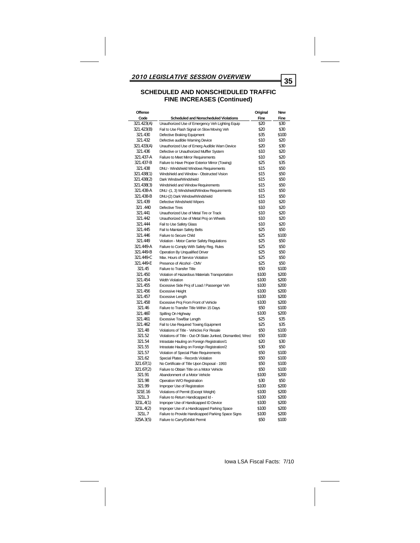| Offense    |                                                             | Original      | <b>New</b> |
|------------|-------------------------------------------------------------|---------------|------------|
| Code       | <b>Scheduled and Nonscheduled Violations</b>                | Fine          | Fine       |
| 321.423(A) | Unauthorized Use of Emergency Veh Lighting Equip            | \$20          | \$30       |
| 321.423(B) | Fail to Use Flash Signal on Slow Moving Veh                 | \$20          | \$30       |
| 321.430    | Defective Braking Equipment                                 | \$35          | \$100      |
| 321.432    | Defective audible Warning Device                            | \$10          | \$20       |
| 321.433(A) | Unauthorized Use of Emerg Audible Warn Device               | \$20          | \$30       |
| 321.436    | Defective or Unauthorized Muffler System                    | \$10          | \$20       |
| 321.437-A  | Failure to Meet Mirror Requirements                         | \$10          | \$20       |
| 321.437-B  | Failure to Have Proper Exterior Mirror (Towing)             | \$25          | \$35       |
| 321.438    | DNU - Windshield Windows Requirements                       | \$15          | \$50       |
| 321.438(1) | Windshield and Window - Obstructed Vision                   | \$15          | \$50       |
| 321.438(2) | Dark Window/Windshield                                      | \$15          | \$50       |
| 321.438(3) | Windshield and Window Requirements                          | \$15          | \$50       |
| 321.438-A  | DNU-(1, 3) Windshield/Window Requirements                   | \$15          | \$50       |
| 321.438-B  | DNU-(2) Dark Window/Windshield                              | \$15          | \$50       |
| 321.439    | Defective Windshield Wipers                                 | \$10          | \$20       |
| 321.440    | Defective Tires                                             | \$10          | \$20       |
| 321.441    | Unauthorized Use of Metal Tire or Track                     | \$10          | \$20       |
| 321.442    | Unauthorized Use of Metal Proj on Wheels                    | \$10          | \$20       |
| 321.444    | Fail to Use Safety Glass                                    | \$10          | \$20       |
| 321.445    | Fail to Maintain Safety Belts                               | \$25          | \$50       |
| 321.446    | Failure to Secure Child                                     | \$25          | \$100      |
| 321.449    | Violation - Motor Carrier Safety Regulations                | \$25          | \$50       |
| 321.449-A  | Failure to Comply With Safety Reg. Rules                    | \$25          | \$50       |
| 321.449-B  | Operation By Unqualified Driver                             | \$25          | \$50       |
| 321.449-C  | Max. Hours of Service Violation                             | \$25          | \$50       |
| 321.449-E  | Presence of Alcohol - CMV                                   | \$25          | \$50       |
| 321.45     | Failure to Transfer Title                                   | \$50          | \$100      |
| 321.450    | Violation of Hazardous Materials Transportation             | \$100         | \$200      |
| 321.454    | <b>Width Violation</b>                                      | \$100         | \$200      |
| 321.455    | Excessive Side Proj of Load / Passenger Veh                 | \$100         | \$200      |
| 321.456    | <b>Excessive Height</b>                                     | \$100         | \$200      |
| 321.457    | Excessive Length                                            | \$100         | \$200      |
| 321.458    | Excessive Proj From Front of Vehicle                        | \$100         | \$200      |
| 321.46     | Failure to Transfer Title Within 15 Days                    | \$50          | \$100      |
| 321.460    | Spilling On Highway                                         | \$100         | \$200      |
| 321.461    | Excessive Tow/Bar Length                                    | \$25          | \$35       |
| 321.462    | Fail to Use Required Towing Equipment                       | \$25          | \$35       |
| 321.48     | Violations of Title - Vehicles For Resale                   | \$50          | \$100      |
| 321.52     | Violations of Title - Out-Of-State Junked, Dismantled, Wrec | \$50          | \$100      |
| 321.54     | Intrastate Hauling on Foreign Registration/1                | \$20          | \$30       |
| 321.55     | Intrastate Hauling on Foreign Registration/2                | \$30          | \$50       |
| 321.57     | Violation of Special Plate Requirements                     | \$50          | \$100      |
| 321.62     |                                                             | \$50          | \$100      |
|            | Special Plates - Records Violation                          | \$50          |            |
| 321.67(1)  | No Certificate of Title Upon Disposal - 1993                |               | \$100      |
| 321.67(2)  | Failure to Obtain Title on a Motor Vehicle                  | \$50          | \$100      |
| 321.91     | Abandonment of a Motor Vehicle                              | \$100<br>\$30 | \$200      |
| 321.98     | Operation W/O Registration                                  |               | \$50       |
| 321.99     | Improper Use of Registration                                | \$100         | \$200      |
| 321E.16    | Violations of Permit (Except Weight)                        | \$100         | \$200      |
| 321L.3     | Failure to Return Handicapped Id -                          | \$100         | \$200      |
| 321L.4(1)  | Improper Use of Handicapped ID Device                       | \$100         | \$200      |
| 321L.4(2)  | Improper Use of a Handicapped Parking Space                 | \$100         | \$200      |
| 321L.7     | Failure to Provide Handicapped Parking Space Signs          | \$100         | \$200      |
| 325A.3(5)  | Failure to Carry/Exhibit Permit                             | \$50          | \$100      |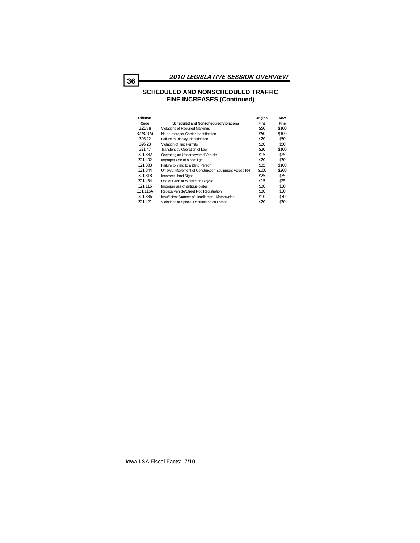| Offense   |                                                       | Original | <b>New</b> |
|-----------|-------------------------------------------------------|----------|------------|
| Code      | <b>Scheduled and Nonscheduled Violations</b>          | Fine     | Fine       |
| 325A.8    | Violations of Required Markings                       | \$50     | \$100      |
| 3278.1(A) | No or Improper Carrier Identification                 | \$50     | \$100      |
| 326.22    | Failure to Display Identification                     | \$20     | \$50       |
| 326.23    | Violation of Trip Permits                             | \$20     | \$50       |
| 321.47    | Transfers by Operation of Law                         | \$30     | \$100      |
| 321.382   | Operating an Underpowered Vehicle                     | \$15     | \$25       |
| 321.402   | Improper Use of a spot light                          | \$20     | \$30       |
| 321.333   | Failure to Yield to a Blind Person                    | \$35     | \$100      |
| 321.344   | Unlawful Movement of Construction Equipment Across RR | \$100    | \$200      |
| 321.318   | <b>Incorrect Hand Signal</b>                          | \$25     | \$35       |
| 321.434   | Use of Siren or Whistle on Bicycle                    | \$15     | \$25       |
| 321.115   | Improper use of antique plates                        | \$30     | \$30       |
| 321.115A  | Replica Vehicle/Street Rod Registration               | \$30     | \$30       |
| 321.386   | Insufficient Number of Headlamps - Motorcycles        | \$10     | \$30       |
| 321.421   | Violations of Special Restrictions on Lamps           | \$20     | \$30       |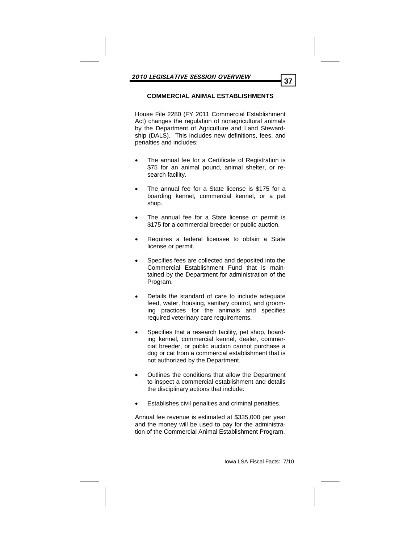### **COMMERCIAL ANIMAL ESTABLISHMENTS**

House File 2280 (FY 2011 Commercial Establishment Act) changes the regulation of nonagricultural animals by the Department of Agriculture and Land Stewardship (DALS). This includes new definitions, fees, and penalties and includes:

- The annual fee for a Certificate of Registration is \$75 for an animal pound, animal shelter, or research facility.
- The annual fee for a State license is \$175 for a boarding kennel, commercial kennel, or a pet shop.
- The annual fee for a State license or permit is \$175 for a commercial breeder or public auction.
- Requires a federal licensee to obtain a State license or permit.
- Specifies fees are collected and deposited into the Commercial Establishment Fund that is maintained by the Department for administration of the Program.
- Details the standard of care to include adequate feed, water, housing, sanitary control, and grooming practices for the animals and specifies required veterinary care requirements.
- Specifies that a research facility, pet shop, boarding kennel, commercial kennel, dealer, commercial breeder, or public auction cannot purchase a dog or cat from a commercial establishment that is not authorized by the Department.
- Outlines the conditions that allow the Department to inspect a commercial establishment and details the disciplinary actions that include:
- Establishes civil penalties and criminal penalties.

Annual fee revenue is estimated at \$335,000 per year and the money will be used to pay for the administration of the Commercial Animal Establishment Program.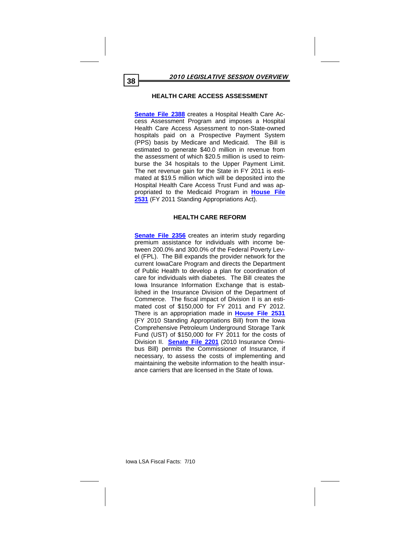### **HEALTH CARE ACCESS ASSESSMENT**

**Senate File 2388** creates a Hospital Health Care Access Assessment Program and imposes a Hospital Health Care Access Assessment to non-State-owned hospitals paid on a Prospective Payment System (PPS) basis by Medicare and Medicaid. The Bill is estimated to generate \$40.0 million in revenue from the assessment of which \$20.5 million is used to reimburse the 34 hospitals to the Upper Payment Limit. The net revenue gain for the State in FY 2011 is estimated at \$19.5 million which will be deposited into the Hospital Health Care Access Trust Fund and was appropriated to the Medicaid Program in **House File 2531** (FY 2011 Standing Appropriations Act).

#### **HEALTH CARE REFORM**

**Senate File 2356** creates an interim study regarding premium assistance for individuals with income between 200.0% and 300.0% of the Federal Poverty Level (FPL). The Bill expands the provider network for the current IowaCare Program and directs the Department of Public Health to develop a plan for coordination of care for individuals with diabetes. The Bill creates the Iowa Insurance Information Exchange that is established in the Insurance Division of the Department of Commerce. The fiscal impact of Division II is an estimated cost of \$150,000 for FY 2011 and FY 2012. There is an appropriation made in **House File 2531** (FY 2010 Standing Appropriations Bill) from the Iowa Comprehensive Petroleum Underground Storage Tank Fund (UST) of \$150,000 for FY 2011 for the costs of Division II. **Senate File 2201** (2010 Insurance Omnibus Bill) permits the Commissioner of Insurance, if necessary, to assess the costs of implementing and maintaining the website information to the health insurance carriers that are licensed in the State of Iowa.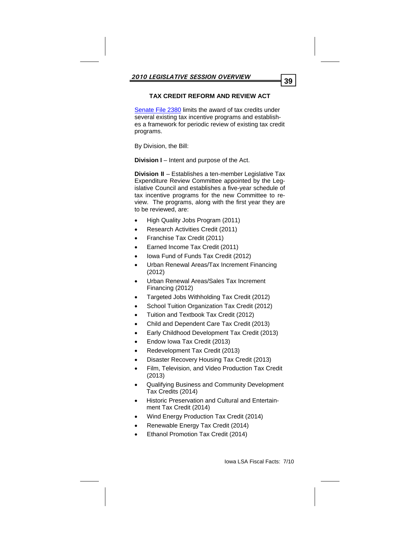# **TAX CREDIT REFORM AND REVIEW ACT**

Senate File 2380 limits the award of tax credits under several existing tax incentive programs and establishes a framework for periodic review of existing tax credit programs.

By Division, the Bill:

**Division I** – Intent and purpose of the Act.

**Division II** – Establishes a ten-member Legislative Tax Expenditure Review Committee appointed by the Legislative Council and establishes a five-year schedule of tax incentive programs for the new Committee to review. The programs, along with the first year they are to be reviewed, are:

- High Quality Jobs Program (2011)
- Research Activities Credit (2011)
- Franchise Tax Credit (2011)
- Earned Income Tax Credit (2011)
- Iowa Fund of Funds Tax Credit (2012)
- Urban Renewal Areas/Tax Increment Financing (2012)
- Urban Renewal Areas/Sales Tax Increment Financing (2012)
- Targeted Jobs Withholding Tax Credit (2012)
- School Tuition Organization Tax Credit (2012)
- Tuition and Textbook Tax Credit (2012)
- Child and Dependent Care Tax Credit (2013)
- Early Childhood Development Tax Credit (2013)
- Endow Iowa Tax Credit (2013)
- Redevelopment Tax Credit (2013)
- Disaster Recovery Housing Tax Credit (2013)
- Film, Television, and Video Production Tax Credit (2013)
- Qualifying Business and Community Development Tax Credits (2014)
- Historic Preservation and Cultural and Entertainment Tax Credit (2014)
- Wind Energy Production Tax Credit (2014)
- Renewable Energy Tax Credit (2014)
- Ethanol Promotion Tax Credit (2014)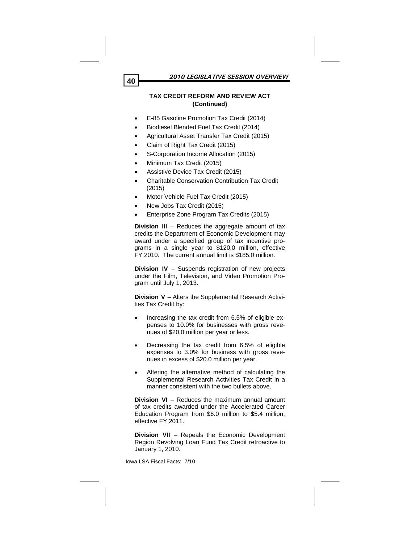# **TAX CREDIT REFORM AND REVIEW ACT (Continued)**

- E-85 Gasoline Promotion Tax Credit (2014)
- Biodiesel Blended Fuel Tax Credit (2014)
- Agricultural Asset Transfer Tax Credit (2015)
- Claim of Right Tax Credit (2015)
- S-Corporation Income Allocation (2015)
- Minimum Tax Credit (2015)
- Assistive Device Tax Credit (2015)
- Charitable Conservation Contribution Tax Credit (2015)
- Motor Vehicle Fuel Tax Credit (2015)
- New Jobs Tax Credit (2015)
- Enterprise Zone Program Tax Credits (2015)

**Division III** – Reduces the aggregate amount of tax credits the Department of Economic Development may award under a specified group of tax incentive programs in a single year to \$120.0 million, effective FY 2010. The current annual limit is \$185.0 million.

**Division IV** – Suspends registration of new projects under the Film, Television, and Video Promotion Program until July 1, 2013.

**Division V** – Alters the Supplemental Research Activities Tax Credit by:

- Increasing the tax credit from 6.5% of eligible expenses to 10.0% for businesses with gross revenues of \$20.0 million per year or less.
- Decreasing the tax credit from 6.5% of eligible expenses to 3.0% for business with gross revenues in excess of \$20.0 million per year.
- Altering the alternative method of calculating the Supplemental Research Activities Tax Credit in a manner consistent with the two bullets above.

**Division VI** – Reduces the maximum annual amount of tax credits awarded under the Accelerated Career Education Program from \$6.0 million to \$5.4 million, effective FY 2011.

**Division VII** – Repeals the Economic Development Region Revolving Loan Fund Tax Credit retroactive to January 1, 2010.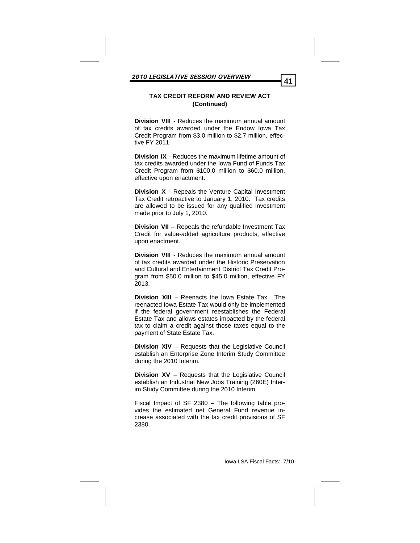# **TAX CREDIT REFORM AND REVIEW ACT (Continued)**

**Division VIII** - Reduces the maximum annual amount of tax credits awarded under the Endow Iowa Tax Credit Program from \$3.0 million to \$2.7 million, effective FY 2011.

**Division IX** - Reduces the maximum lifetime amount of tax credits awarded under the Iowa Fund of Funds Tax Credit Program from \$100.0 million to \$60.0 million, effective upon enactment.

**Division X** - Repeals the Venture Capital Investment Tax Credit retroactive to January 1, 2010. Tax credits are allowed to be issued for any qualified investment made prior to July 1, 2010.

**Division VII** – Repeals the refundable Investment Tax Credit for value-added agriculture products, effective upon enactment.

**Division VIII** - Reduces the maximum annual amount of tax credits awarded under the Historic Preservation and Cultural and Entertainment District Tax Credit Program from \$50.0 million to \$45.0 million, effective FY 2013.

**Division XIII** – Reenacts the Iowa Estate Tax. The reenacted Iowa Estate Tax would only be implemented if the federal government reestablishes the Federal Estate Tax and allows estates impacted by the federal tax to claim a credit against those taxes equal to the payment of State Estate Tax.

**Division XIV** – Requests that the Legislative Council establish an Enterprise Zone Interim Study Committee during the 2010 Interim.

**Division XV** – Requests that the Legislative Council establish an Industrial New Jobs Training (260E) Interim Study Committee during the 2010 Interim.

Fiscal Impact of SF 2380 – The following table provides the estimated net General Fund revenue increase associated with the tax credit provisions of SF 2380.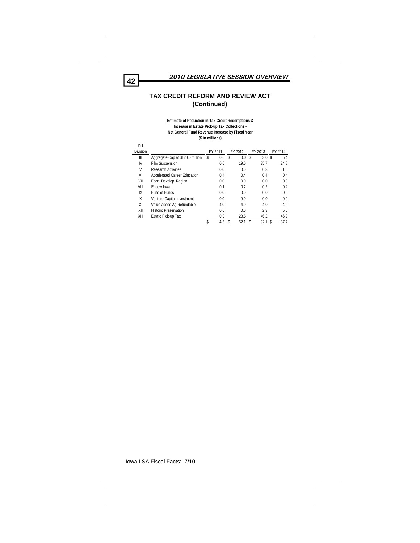

# **TAX CREDIT REFORM AND REVIEW ACT (Continued)**

#### **Estimate of Reduction in Tax Credit Redemptions & Increase in Estate Pick-up Tax Collections - Net General Fund Revenue Increase by Fiscal Year (\$ in millions)**

| Bill     |                                  |    |         |   |         |   |                  |            |
|----------|----------------------------------|----|---------|---|---------|---|------------------|------------|
| Division |                                  |    | FY 2011 |   | FY 2012 |   | FY 2013          | FY 2014    |
| Ш        | Aggregate Cap at \$120.0 million | S  | 0.0     | S | 0.0     | S | 3.0 <sup>5</sup> | 5.4        |
| IV       | Film Suspension                  |    | 0.0     |   | 19.0    |   | 35.7             | 24.8       |
| ٧        | <b>Research Activities</b>       |    | 0.0     |   | 0.0     |   | 0.3              | 1.0        |
| VI       | Accelerated Career Education     |    | 0.4     |   | 0.4     |   | 0.4              | 0.4        |
| VII      | Econ. Develop. Region            |    | 0.0     |   | 0.0     |   | 0.0              | 0.0        |
| VIII     | Endow Iowa                       |    | 0.1     |   | 0.2     |   | 0.2              | 0.2        |
| IX       | Fund of Funds                    |    | 0.0     |   | 0.0     |   | 0.0              | 0.0        |
| Χ        | Venture Capital Investment       |    | 0.0     |   | 0.0     |   | 0.0              | 0.0        |
| XI       | Value-added Ag Refundable        |    | 4.0     |   | 4.0     |   | 4.0              | 4.0        |
| XII      | <b>Historic Preservation</b>     |    | 0.0     |   | 0.0     |   | 2.3              | 5.0        |
| XIII     | Estate Pick-up Tax               |    | 0.0     |   | 28.5    |   | 46.2             | 46.9       |
|          |                                  | \$ | 4.5     | S | 52.1    | S | 92.1             | \$<br>87.7 |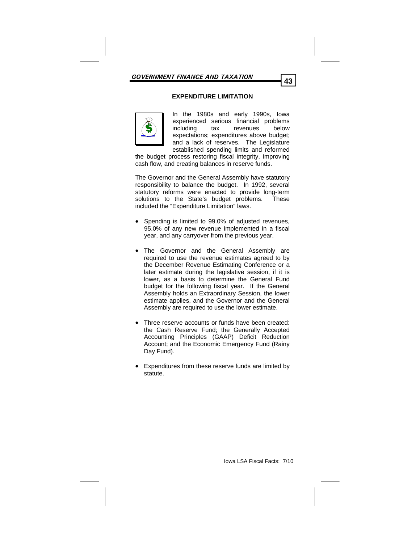# **EXPENDITURE LIMITATION**



In the 1980s and early 1990s, Iowa experienced serious financial problems including tax revenues below expectations; expenditures above budget; and a lack of reserves. The Legislature established spending limits and reformed

the budget process restoring fiscal integrity, improving cash flow, and creating balances in reserve funds.

The Governor and the General Assembly have statutory responsibility to balance the budget. In 1992, several statutory reforms were enacted to provide long-term solutions to the State's budget problems. These included the "Expenditure Limitation" laws.

- Spending is limited to 99.0% of adjusted revenues, 95.0% of any new revenue implemented in a fiscal year, and any carryover from the previous year.
- The Governor and the General Assembly are required to use the revenue estimates agreed to by the December Revenue Estimating Conference or a later estimate during the legislative session, if it is lower, as a basis to determine the General Fund budget for the following fiscal year. If the General Assembly holds an Extraordinary Session, the lower estimate applies, and the Governor and the General Assembly are required to use the lower estimate.
- Three reserve accounts or funds have been created: the Cash Reserve Fund; the Generally Accepted Accounting Principles (GAAP) Deficit Reduction Account; and the Economic Emergency Fund (Rainy Day Fund).
- Expenditures from these reserve funds are limited by statute.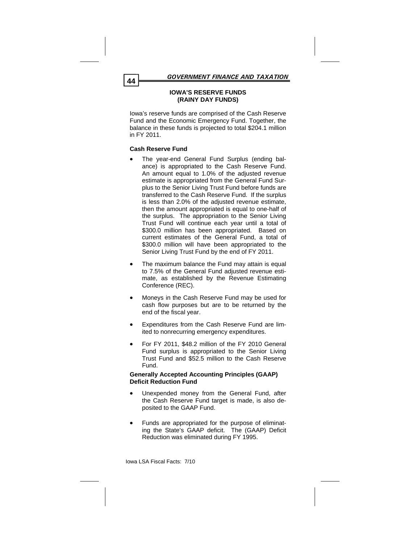# **IOWA'S RESERVE FUNDS (RAINY DAY FUNDS)**

Iowa's reserve funds are comprised of the Cash Reserve Fund and the Economic Emergency Fund. Together, the balance in these funds is projected to total \$204.1 million in FY 2011.

# **Cash Reserve Fund**

- The year-end General Fund Surplus (ending balance) is appropriated to the Cash Reserve Fund. An amount equal to 1.0% of the adjusted revenue estimate is appropriated from the General Fund Surplus to the Senior Living Trust Fund before funds are transferred to the Cash Reserve Fund. If the surplus is less than 2.0% of the adjusted revenue estimate, then the amount appropriated is equal to one-half of the surplus. The appropriation to the Senior Living Trust Fund will continue each year until a total of \$300.0 million has been appropriated. Based on current estimates of the General Fund, a total of \$300.0 million will have been appropriated to the Senior Living Trust Fund by the end of FY 2011.
- The maximum balance the Fund may attain is equal to 7.5% of the General Fund adjusted revenue estimate, as established by the Revenue Estimating Conference (REC).
- Moneys in the Cash Reserve Fund may be used for cash flow purposes but are to be returned by the end of the fiscal year.
- Expenditures from the Cash Reserve Fund are limited to nonrecurring emergency expenditures.
- For FY 2011, \$48.2 million of the FY 2010 General Fund surplus is appropriated to the Senior Living Trust Fund and \$52.5 million to the Cash Reserve Fund.

# **Generally Accepted Accounting Principles (GAAP) Deficit Reduction Fund**

- Unexpended money from the General Fund, after the Cash Reserve Fund target is made, is also deposited to the GAAP Fund.
- Funds are appropriated for the purpose of eliminating the State's GAAP deficit. The (GAAP) Deficit Reduction was eliminated during FY 1995.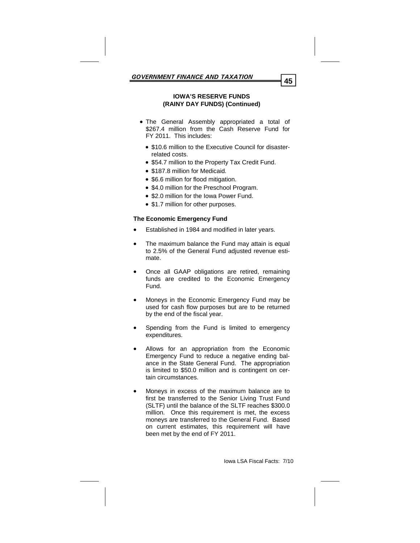### **IOWA'S RESERVE FUNDS (RAINY DAY FUNDS) (Continued)**

- The General Assembly appropriated a total of \$267.4 million from the Cash Reserve Fund for FY 2011. This includes:
	- \$10.6 million to the Executive Council for disasterrelated costs.
	- \$54.7 million to the Property Tax Credit Fund.
	- \$187.8 million for Medicaid.
	- \$6.6 million for flood mitigation.
	- \$4.0 million for the Preschool Program.
	- \$2.0 million for the Iowa Power Fund.
	- \$1.7 million for other purposes.

# **The Economic Emergency Fund**

- Established in 1984 and modified in later years.
- The maximum balance the Fund may attain is equal to 2.5% of the General Fund adjusted revenue estimate.
- Once all GAAP obligations are retired, remaining funds are credited to the Economic Emergency Fund.
- Moneys in the Economic Emergency Fund may be used for cash flow purposes but are to be returned by the end of the fiscal year.
- Spending from the Fund is limited to emergency expenditures.
- Allows for an appropriation from the Economic Emergency Fund to reduce a negative ending balance in the State General Fund. The appropriation is limited to \$50.0 million and is contingent on certain circumstances.
- Moneys in excess of the maximum balance are to first be transferred to the Senior Living Trust Fund (SLTF) until the balance of the SLTF reaches \$300.0 million. Once this requirement is met, the excess moneys are transferred to the General Fund. Based on current estimates, this requirement will have been met by the end of FY 2011.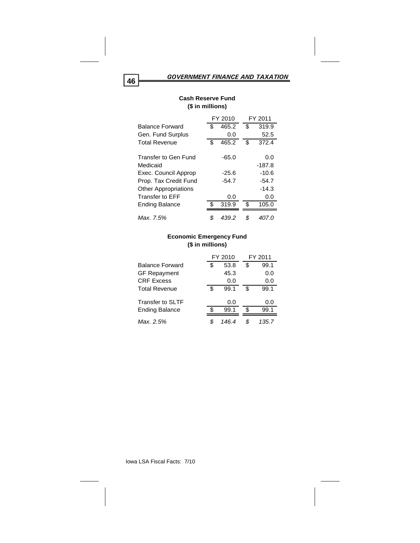|                             |     | FY 2010 |     | FY 2011  |
|-----------------------------|-----|---------|-----|----------|
| <b>Balance Forward</b>      | \$  | 465.2   | \$  | 319.9    |
| Gen. Fund Surplus           |     | 0.0     |     | 52.5     |
| <b>Total Revenue</b>        | \$  | 465.2   | \$  | 372.4    |
| Transfer to Gen Fund        |     | $-65.0$ |     | 0.0      |
| Medicaid                    |     |         |     | $-187.8$ |
| Exec. Council Approp        |     | $-25.6$ |     | $-10.6$  |
| Prop. Tax Credit Fund       |     | $-54.7$ |     | $-54.7$  |
| <b>Other Appropriations</b> |     |         |     | $-14.3$  |
| Transfer to FFF             |     | 0.0     |     | 0.0      |
| Ending Balance              | \$. | 319.9   | \$. | 105.0    |
| Max. 7.5%                   | \$  | 439.2   | \$  | 407.0    |

# **Cash Reserve Fund (\$ in millions)**

# **Economic Emergency Fund (\$ in millions)**

|                        | FY 2010 |       |     | FY 2011 |
|------------------------|---------|-------|-----|---------|
| <b>Balance Forward</b> | S       | 53.8  | \$  | 99.1    |
| <b>GF Repayment</b>    |         | 45.3  |     | 0.0     |
| <b>CRF Excess</b>      |         | 0.0   |     | 0.0     |
| <b>Total Revenue</b>   | \$      | 99.1  | \$. | 99.1    |
| Transfer to SLTF       |         | 0.0   |     | 0.0     |
| <b>Ending Balance</b>  | S.      | 99.1  | .ፍ  | 99.1    |
| Max. 2.5%              | \$      | 146.4 |     | 135.7   |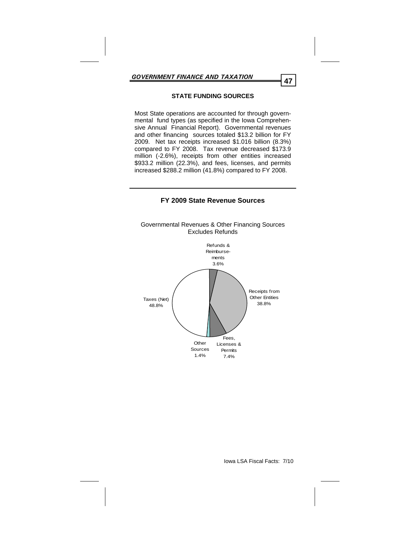# **STATE FUNDING SOURCES**

Most State operations are accounted for through governmental fund types (as specified in the Iowa Comprehensive Annual Financial Report). Governmental revenues and other financing sources totaled \$13.2 billion for FY 2009. Net tax receipts increased \$1.016 billion (8.3%) compared to FY 2008. Tax revenue decreased \$173.9 million (-2.6%), receipts from other entities increased \$933.2 million (22.3%), and fees, licenses, and permits increased \$288.2 million (41.8%) compared to FY 2008.



# **FY 2009 State Revenue Sources**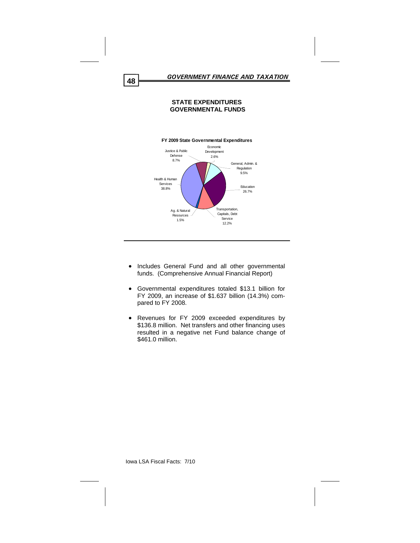### **STATE EXPENDITURES GOVERNMENTAL FUNDS**



- Includes General Fund and all other governmental funds. (Comprehensive Annual Financial Report)
- Governmental expenditures totaled \$13.1 billion for FY 2009, an increase of \$1.637 billion (14.3%) compared to FY 2008.
- Revenues for FY 2009 exceeded expenditures by \$136.8 million. Net transfers and other financing uses resulted in a negative net Fund balance change of \$461.0 million.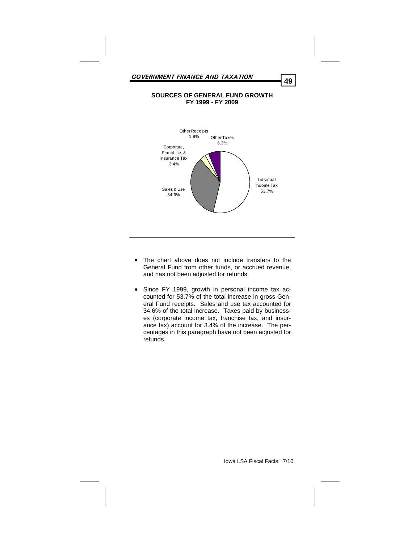#### **SOURCES OF GENERAL FUND GROWTH FY 1999 - FY 2009**



- The chart above does not include transfers to the General Fund from other funds, or accrued revenue, and has not been adjusted for refunds.
- Since FY 1999, growth in personal income tax accounted for 53.7% of the total increase in gross General Fund receipts. Sales and use tax accounted for 34.6% of the total increase. Taxes paid by businesses (corporate income tax, franchise tax, and insurance tax) account for 3.4% of the increase. The percentages in this paragraph have not been adjusted for refunds.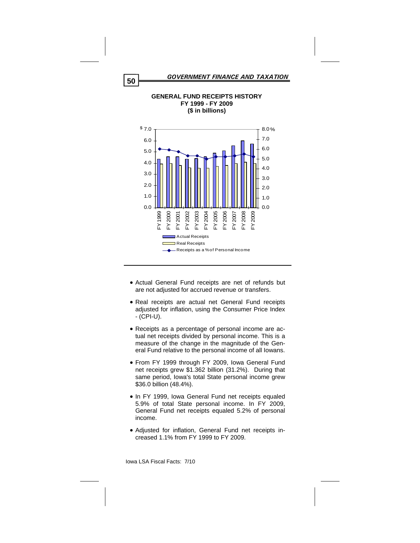

**GENERAL FUND RECEIPTS HISTORY** 

- Actual General Fund receipts are net of refunds but are not adjusted for accrued revenue or transfers.
- Real receipts are actual net General Fund receipts adjusted for inflation, using the Consumer Price Index - (CPI-U).
- Receipts as a percentage of personal income are actual net receipts divided by personal income. This is a measure of the change in the magnitude of the General Fund relative to the personal income of all Iowans.
- From FY 1999 through FY 2009, Iowa General Fund net receipts grew \$1.362 billion (31.2%). During that same period, Iowa's total State personal income grew \$36.0 billion (48.4%).
- In FY 1999, Iowa General Fund net receipts equaled 5.9% of total State personal income. In FY 2009, General Fund net receipts equaled 5.2% of personal income.
- Adjusted for inflation, General Fund net receipts increased 1.1% from FY 1999 to FY 2009.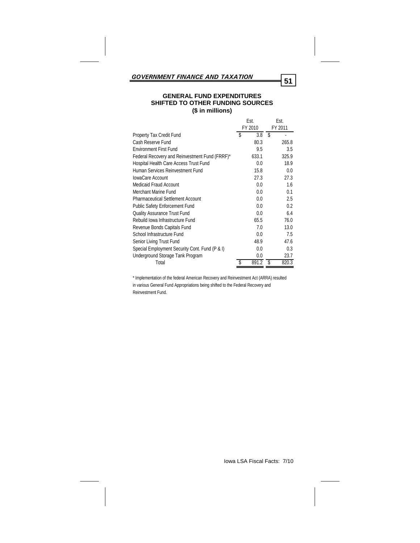# **GENERAL FUND EXPENDITURES SHIFTED TO OTHER FUNDING SOURCES (\$ in millions)**

|                                                |   | Est.    |      | Est.    |
|------------------------------------------------|---|---------|------|---------|
|                                                |   | FY 2010 |      | FY 2011 |
| Property Tax Credit Fund                       | S | 3.8     | - \$ |         |
| Cash Reserve Fund                              |   | 80.3    |      | 265.8   |
| <b>Environment First Fund</b>                  |   | 9.5     |      | 3.5     |
| Federal Recovery and Reinvestment Fund (FRRF)* |   | 633.1   |      | 325.9   |
| Hospital Health Care Access Trust Fund         |   | 0.0     |      | 18.9    |
| Human Services Reinvestment Fund               |   | 15.8    |      | 0.0     |
| IowaCare Account                               |   | 27.3    |      | 27.3    |
| Medicaid Fraud Account                         |   | 0.0     |      | 1.6     |
| Merchant Marine Fund                           |   | 0.0     |      | 0.1     |
| <b>Pharmaceutical Settlement Account</b>       |   | 0.0     |      | 2.5     |
| <b>Public Safety Enforcement Fund</b>          |   | 0.0     |      | 0.2     |
| <b>Quality Assurance Trust Fund</b>            |   | 0.0     |      | 6.4     |
| Rebuild Iowa Infrastructure Fund               |   | 65.5    |      | 76.0    |
| Revenue Bonds Capitals Fund                    |   | 7.0     |      | 13.0    |
| School Infrastructure Fund                     |   | 0.0     |      | 7.5     |
| Senior Living Trust Fund                       |   | 48.9    |      | 47.6    |
| Special Employment Security Cont. Fund (P & I) |   | 0.0     |      | 0.3     |
| Underground Storage Tank Program               |   | 0.0     |      | 23.7    |
| Total                                          |   | 891.2   |      | 820.3   |

\* Implementation of the federal American Recovery and Reinvestment Act (ARRA) resulted in various General Fund Appropriations being shifted to the Federal Recovery and Reinvestment Fund.

Iowa LSA Fiscal Facts: 7/10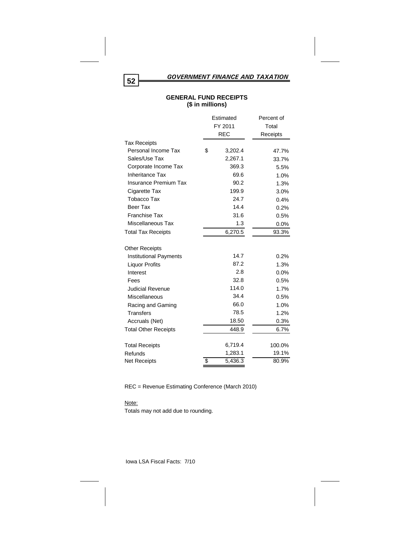# *GOVERNMENT FINANCE AND TAXATION* **<sup>52</sup>**

|                               | Estimated     | Percent of |
|-------------------------------|---------------|------------|
|                               | FY 2011       | Total      |
|                               | <b>REC</b>    | Receipts   |
| <b>Tax Receipts</b>           |               |            |
| Personal Income Tax           | \$<br>3,202.4 | 47.7%      |
| Sales/Use Tax                 | 2,267.1       | 33.7%      |
| Corporate Income Tax          | 369.3         | 5.5%       |
| <b>Inheritance Tax</b>        | 69.6          | 1.0%       |
| <b>Insurance Premium Tax</b>  | 90.2          | 1.3%       |
| Cigarette Tax                 | 199.9         | 3.0%       |
| <b>Tobacco Tax</b>            | 24.7          | 0.4%       |
| Beer Tax                      | 14.4          | 0.2%       |
| <b>Franchise Tax</b>          | 31.6          | 0.5%       |
| Miscellaneous Tax             | 1.3           | $0.0\%$    |
| <b>Total Tax Receipts</b>     | 6,270.5       | 93.3%      |
| <b>Other Receipts</b>         |               |            |
| <b>Institutional Payments</b> | 14.7          | 0.2%       |
| <b>Liquor Profits</b>         | 87.2          | 1.3%       |
| Interest                      | 2.8           | $0.0\%$    |
| Fees                          | 32.8          | 0.5%       |
| <b>Judicial Revenue</b>       | 114.0         | 1.7%       |
| Miscellaneous                 | 34.4          | 0.5%       |
| Racing and Gaming             | 66.0          | 1.0%       |
| <b>Transfers</b>              | 78.5          | 1.2%       |
| Accruals (Net)                | 18.50         | 0.3%       |
| <b>Total Other Receipts</b>   | 448.9         | 6.7%       |
| <b>Total Receipts</b>         | 6,719.4       | 100.0%     |
| Refunds                       | 1,283.1       | 19.1%      |
| <b>Net Receipts</b>           | \$<br>5,436.3 | 80.9%      |

### **GENERAL FUND RECEIPTS (\$ in millions)**

REC = Revenue Estimating Conference (March 2010)

#### Note:

Totals may not add due to rounding.

Iowa LSA Fiscal Facts: 7/10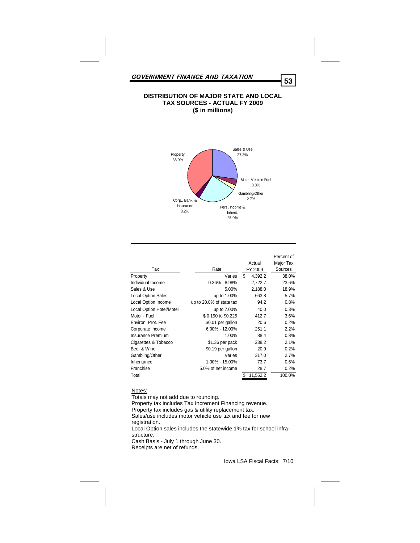#### **DISTRIBUTION OF MAJOR STATE AND LOCAL TAX SOURCES - ACTUAL FY 2009 (\$ in millions)**



| Tax                             | Rate                     | Actual<br>FY 2009 | Percent of<br>Major Tax<br>Sources |
|---------------------------------|--------------------------|-------------------|------------------------------------|
| Property                        | Varies                   | \$<br>4.392.2     | 38.0%                              |
| Individual Income               | $0.36\% - 8.98\%$        | 2,722.7           | 23.6%                              |
| Sales & Use                     | 5.00%                    | 2,188.0           | 18.9%                              |
| <b>Local Option Sales</b>       | up to 1.00%              | 663.8             | 5.7%                               |
| Local Option Income             | up to 20.0% of state tax | 94.2              | 0.8%                               |
| <b>Local Option Hotel/Motel</b> | up to 7.00%              | 40.0              | 0.3%                               |
| Motor - Fuel                    | \$0.190 to \$0.225       | 412.7             | 3.6%                               |
| Environ, Prot. Fee              | \$0.01 per gallon        | 20.6              | 0.2%                               |
| Corporate Income                | $6.00\% - 12.00\%$       | 251.1             | 2.2%                               |
| Insurance Premium               | 1.00%                    | 88.4              | 0.8%                               |
| Cigarettes & Tobacco            | \$1.36 per pack          | 238.2             | 2.1%                               |
| Beer & Wine                     | \$0.19 per gallon        | 20.9              | 0.2%                               |
| Gambling/Other                  | Varies                   | 317.0             | 2.7%                               |
| Inheritance                     | 1.00% - 15.00%           | 73.7              | 0.6%                               |
| Franchise                       | 5.0% of net income       | 28.7              | 0.2%                               |
| Total                           |                          | \$<br>11,552.2    | 100.0%                             |

#### Notes:

Totals may not add due to rounding. Property tax includes Tax Increment Financing revenue. Property tax includes gas & utility replacement tax. Sales/use includes motor vehicle use tax and fee for new registration. Local Option sales includes the statewide 1% tax for school infrastructure. Cash Basis - July 1 through June 30. Receipts are net of refunds.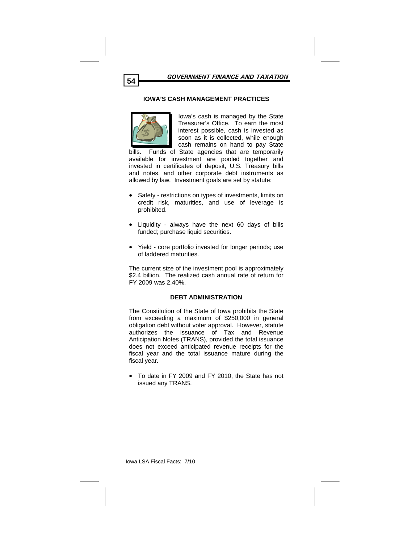#### **IOWA'S CASH MANAGEMENT PRACTICES**



Iowa's cash is managed by the State Treasurer's Office. To earn the most interest possible, cash is invested as soon as it is collected, while enough cash remains on hand to pay State

bills. Funds of State agencies that are temporarily available for investment are pooled together and invested in certificates of deposit, U.S. Treasury bills and notes, and other corporate debt instruments as allowed by law. Investment goals are set by statute:

- Safety restrictions on types of investments, limits on credit risk, maturities, and use of leverage is prohibited.
- Liquidity always have the next 60 days of bills funded; purchase liquid securities.
- Yield core portfolio invested for longer periods; use of laddered maturities.

The current size of the investment pool is approximately \$2.4 billion. The realized cash annual rate of return for FY 2009 was 2.40%.

#### **DEBT ADMINISTRATION**

The Constitution of the State of Iowa prohibits the State from exceeding a maximum of \$250,000 in general obligation debt without voter approval. However, statute authorizes the issuance of Tax and Revenue Anticipation Notes (TRANS), provided the total issuance does not exceed anticipated revenue receipts for the fiscal year and the total issuance mature during the fiscal year.

 To date in FY 2009 and FY 2010, the State has not issued any TRANS.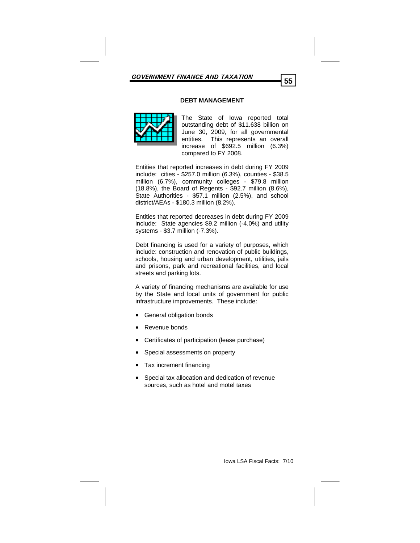#### **DEBT MANAGEMENT**



The State of Iowa reported total outstanding debt of \$11.638 billion on June 30, 2009, for all governmental entities. This represents an overall increase of \$692.5 million (6.3%) compared to FY 2008.

Entities that reported increases in debt during FY 2009 include: cities - \$257.0 million (6.3%), counties - \$38.5 million (6.7%), community colleges - \$79.8 million (18.8%), the Board of Regents - \$92.7 million (8.6%), State Authorities - \$57.1 million (2.5%), and school district/AEAs - \$180.3 million (8.2%).

Entities that reported decreases in debt during FY 2009 include: State agencies \$9.2 million (-4.0%) and utility systems - \$3.7 million (-7.3%).

Debt financing is used for a variety of purposes, which include: construction and renovation of public buildings, schools, housing and urban development, utilities, jails and prisons, park and recreational facilities, and local streets and parking lots.

A variety of financing mechanisms are available for use by the State and local units of government for public infrastructure improvements. These include:

- **General obligation bonds**
- Revenue bonds
- Certificates of participation (lease purchase)
- Special assessments on property
- Tax increment financing
- Special tax allocation and dedication of revenue sources, such as hotel and motel taxes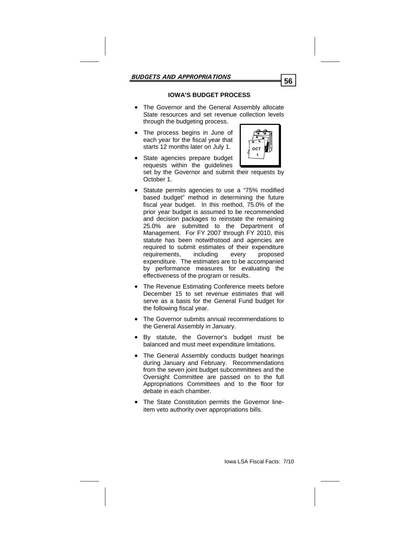# **IOWA'S BUDGET PROCESS**

- The Governor and the General Assembly allocate State resources and set revenue collection levels through the budgeting process.
- The process begins in June of each year for the fiscal year that starts 12 months later on July 1.
- State agencies prepare budget requests within the guidelines set by the Governor and submit their requests by October 1.
- Statute permits agencies to use a "75% modified based budget" method in determining the future fiscal year budget. In this method, 75.0% of the prior year budget is assumed to be recommended and decision packages to reinstate the remaining 25.0% are submitted to the Department of Management. For FY 2007 through FY 2010, this statute has been notwithstood and agencies are required to submit estimates of their expenditure requirements, including every proposed expenditure. The estimates are to be accompanied by performance measures for evaluating the effectiveness of the program or results.
- The Revenue Estimating Conference meets before December 15 to set revenue estimates that will serve as a basis for the General Fund budget for the following fiscal year.
- The Governor submits annual recommendations to the General Assembly in January.
- By statute, the Governor's budget must be balanced and must meet expenditure limitations.
- The General Assembly conducts budget hearings during January and February. Recommendations from the seven joint budget subcommittees and the Oversight Committee are passed on to the full Appropriations Committees and to the floor for debate in each chamber.
- The State Constitution permits the Governor lineitem veto authority over appropriations bills.



**1**

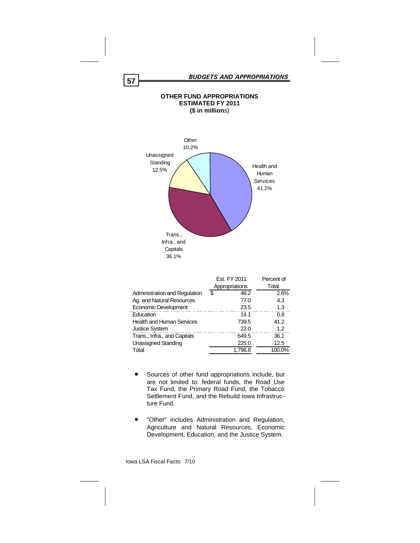

|                                  | Est. FY 2011<br>Appropriations | Percent of<br>Total |
|----------------------------------|--------------------------------|---------------------|
| Administration and Regulation    | \$<br>46.2                     | 2.6%                |
| Ag. and Natural Resources        | 77.0                           | 4.3                 |
| Economic Development             | 23.5                           | 1.3                 |
| Education                        | 14.1                           | 0.8                 |
| <b>Health and Human Services</b> | 739.5                          | 41.2                |
| <b>Justice System</b>            | 22.0                           | 1.2                 |
| Trans., Infra., and Capitals     | 649.5                          | 36.1                |
| Unassigned Standing              | 225.0                          | 12.5                |
| Total                            | 1.796.8                        | 100.0%              |

- Sources of other fund appropriations include, but are not limited to: federal funds, the Road Use Tax Fund, the Primary Road Fund, the Tobacco Settlement Fund, and the Rebuild Iowa Infrastructure Fund.
- "Other" includes Administration and Regulation, Agriculture and Natural Resources, Economic Development, Education, and the Justice System.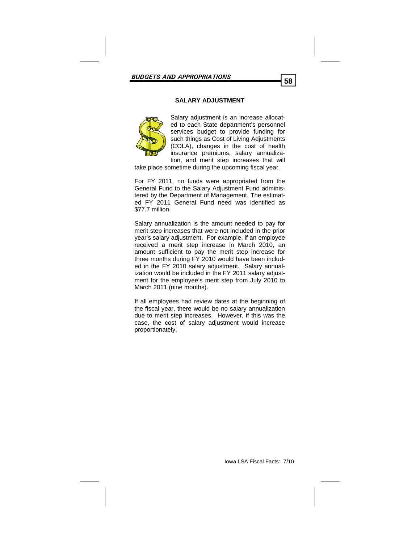# **SALARY ADJUSTMENT**



Salary adjustment is an increase allocated to each State department's personnel services budget to provide funding for such things as Cost of Living Adjustments (COLA), changes in the cost of health insurance premiums, salary annualization, and merit step increases that will

take place sometime during the upcoming fiscal year.

For FY 2011, no funds were appropriated from the General Fund to the Salary Adjustment Fund administered by the Department of Management. The estimated FY 2011 General Fund need was identified as \$77.7 million.

Salary annualization is the amount needed to pay for merit step increases that were not included in the prior year's salary adjustment. For example, if an employee received a merit step increase in March 2010, an amount sufficient to pay the merit step increase for three months during FY 2010 would have been included in the FY 2010 salary adjustment. Salary annualization would be included in the FY 2011 salary adjustment for the employee's merit step from July 2010 to March 2011 (nine months).

If all employees had review dates at the beginning of the fiscal year, there would be no salary annualization due to merit step increases. However, if this was the case, the cost of salary adjustment would increase proportionately.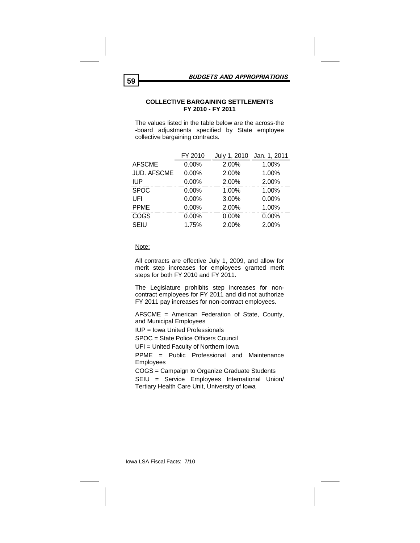#### **COLLECTIVE BARGAINING SETTLEMENTS FY 2010 - FY 2011**

The values listed in the table below are the across-the -board adjustments specified by State employee collective bargaining contracts.

|                    | FY 2010  | July 1, 2010 | Jan. 1, 2011 |
|--------------------|----------|--------------|--------------|
| <b>AFSCME</b>      | 0.00%    | 2.00%        | 1.00%        |
| <b>JUD. AFSCME</b> | 0.00%    | 2.00%        | 1.00%        |
| <b>IUP</b>         | 0.00%    | 2.00%        | 2.00%        |
| <b>SPOC</b>        | $0.00\%$ | 1.00%        | 1.00%        |
| UFI                | $0.00\%$ | 3.00%        | $0.00\%$     |
| <b>PPME</b>        | 0.00%    | 2.00%        | 1.00%        |
| COGS               | 0.00%    | 0.00%        | 0.00%        |
| <b>SEIU</b>        | 1.75%    | 2.00%        | 2.00%        |

#### Note:

All contracts are effective July 1, 2009, and allow for merit step increases for employees granted merit steps for both FY 2010 and FY 2011.

The Legislature prohibits step increases for noncontract employees for FY 2011 and did not authorize FY 2011 pay increases for non-contract employees.

AFSCME = American Federation of State, County, and Municipal Employees

IUP = Iowa United Professionals

SPOC = State Police Officers Council

UFI = United Faculty of Northern Iowa

PPME = Public Professional and Maintenance Employees

COGS = Campaign to Organize Graduate Students

SEIU = Service Employees International Union/ Tertiary Health Care Unit, University of Iowa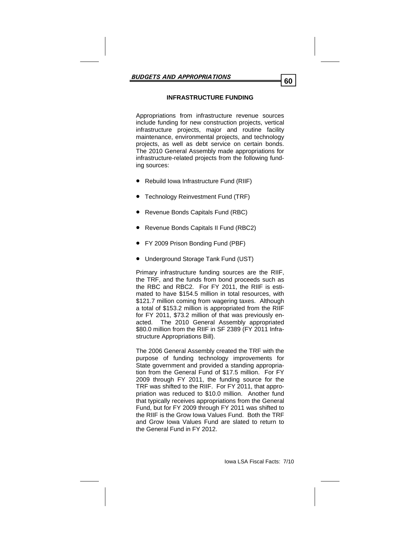# **INFRASTRUCTURE FUNDING**

Appropriations from infrastructure revenue sources include funding for new construction projects, vertical infrastructure projects, major and routine facility maintenance, environmental projects, and technology projects, as well as debt service on certain bonds. The 2010 General Assembly made appropriations for infrastructure-related projects from the following funding sources:

- Rebuild Iowa Infrastructure Fund (RIIF)
- Technology Reinvestment Fund (TRF)
- Revenue Bonds Capitals Fund (RBC)
- Revenue Bonds Capitals II Fund (RBC2)
- FY 2009 Prison Bonding Fund (PBF)
- Underground Storage Tank Fund (UST)

Primary infrastructure funding sources are the RIIF, the TRF, and the funds from bond proceeds such as the RBC and RBC2. For FY 2011, the RIIF is estimated to have \$154.5 million in total resources, with \$121.7 million coming from wagering taxes. Although a total of \$153.2 million is appropriated from the RIIF for FY 2011, \$73.2 million of that was previously enacted. The 2010 General Assembly appropriated \$80.0 million from the RIIF in SF 2389 (FY 2011 Infrastructure Appropriations Bill).

The 2006 General Assembly created the TRF with the purpose of funding technology improvements for State government and provided a standing appropriation from the General Fund of \$17.5 million. For FY 2009 through FY 2011, the funding source for the TRF was shifted to the RIIF. For FY 2011, that appropriation was reduced to \$10.0 million. Another fund that typically receives appropriations from the General Fund, but for FY 2009 through FY 2011 was shifted to the RIIF is the Grow Iowa Values Fund. Both the TRF and Grow Iowa Values Fund are slated to return to the General Fund in FY 2012.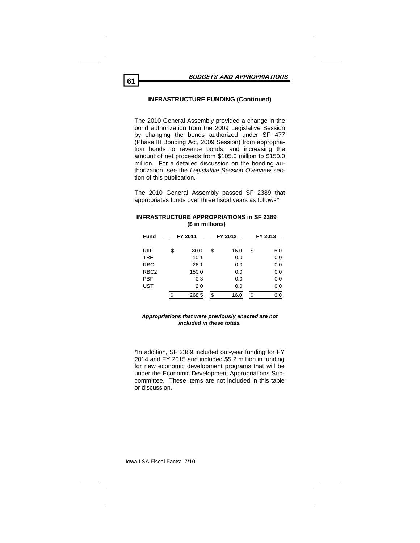# **INFRASTRUCTURE FUNDING (Continued)**

The 2010 General Assembly provided a change in the bond authorization from the 2009 Legislative Session by changing the bonds authorized under SF 477 (Phase III Bonding Act, 2009 Session) from appropriation bonds to revenue bonds, and increasing the amount of net proceeds from \$105.0 million to \$150.0 million. For a detailed discussion on the bonding authorization, see the *Legislative Session Overview* section of this publication.

The 2010 General Assembly passed SF 2389 that appropriates funds over three fiscal years as follows\*:

| <b>Fund</b>      | FY 2011<br>FY 2012 |    |      |    | FY 2013 |  |
|------------------|--------------------|----|------|----|---------|--|
| <b>RIIF</b>      | \$<br>80.0         | \$ | 16.0 | \$ | 6.0     |  |
| <b>TRF</b>       | 10.1               |    | 0.0  |    | 0.0     |  |
| <b>RBC</b>       | 26.1               |    | 0.0  |    | 0.0     |  |
| RBC <sub>2</sub> | 150.0              |    | 0.0  |    | 0.0     |  |
| PBF              | 0.3                |    | 0.0  |    | 0.0     |  |
| <b>UST</b>       | 2.0                |    | 0.0  |    | 0.0     |  |
|                  | \$<br>268.5        | \$ | 16.0 | \$ | 6.0     |  |

#### **INFRASTRUCTURE APPROPRIATIONS in SF 2389 (\$ in millions)**

#### *Appropriations that were previously enacted are not included in these totals.*

\*In addition, SF 2389 included out-year funding for FY 2014 and FY 2015 and included \$5.2 million in funding for new economic development programs that will be under the Economic Development Appropriations Subcommittee. These items are not included in this table or discussion.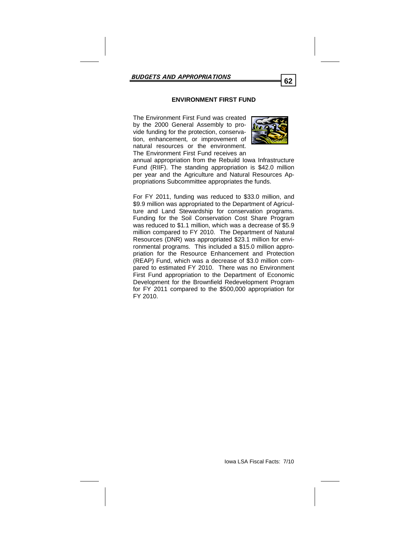### **ENVIRONMENT FIRST FUND**

The Environment First Fund was created by the 2000 General Assembly to provide funding for the protection, conservation, enhancement, or improvement of natural resources or the environment. The Environment First Fund receives an



annual appropriation from the Rebuild Iowa Infrastructure Fund (RIIF). The standing appropriation is \$42.0 million per year and the Agriculture and Natural Resources Appropriations Subcommittee appropriates the funds.

For FY 2011, funding was reduced to \$33.0 million, and \$9.9 million was appropriated to the Department of Agriculture and Land Stewardship for conservation programs. Funding for the Soil Conservation Cost Share Program was reduced to \$1.1 million, which was a decrease of \$5.9 million compared to FY 2010. The Department of Natural Resources (DNR) was appropriated \$23.1 million for environmental programs. This included a \$15.0 million appropriation for the Resource Enhancement and Protection (REAP) Fund, which was a decrease of \$3.0 million compared to estimated FY 2010. There was no Environment First Fund appropriation to the Department of Economic Development for the Brownfield Redevelopment Program for FY 2011 compared to the \$500,000 appropriation for FY 2010.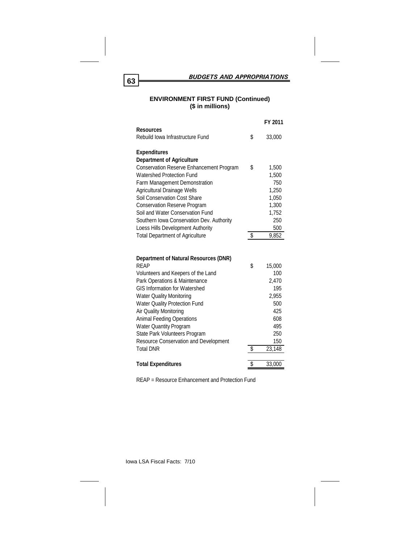*BUDGETS AND APPROPRIATIONS* **<sup>63</sup>**

### **ENVIRONMENT FIRST FUND (Continued) (\$ in millions)**

|                                                                  | FY 2011      |
|------------------------------------------------------------------|--------------|
| <b>Resources</b>                                                 |              |
| Rebuild Iowa Infrastructure Fund                                 | \$<br>33,000 |
| <b>Expenditures</b>                                              |              |
| <b>Department of Agriculture</b>                                 |              |
| <b>Conservation Reserve Enhancement Program</b>                  | \$<br>1,500  |
| <b>Watershed Protection Fund</b>                                 | 1,500        |
| Farm Management Demonstration                                    | 750          |
| Agricultural Drainage Wells                                      | 1,250        |
| Soil Conservation Cost Share                                     | 1,050        |
| <b>Conservation Reserve Program</b>                              | 1,300        |
| Soil and Water Conservation Fund                                 | 1,752        |
| Southern Iowa Conservation Dev. Authority                        | 250          |
| Loess Hills Development Authority                                | 500          |
| <b>Total Department of Agriculture</b>                           | \$<br>9,852  |
|                                                                  |              |
|                                                                  |              |
| Department of Natural Resources (DNR)                            |              |
| <b>RFAP</b>                                                      | \$<br>15,000 |
| Volunteers and Keepers of the Land                               | 100          |
| Park Operations & Maintenance                                    | 2,470        |
| <b>GIS Information for Watershed</b>                             | 195          |
| <b>Water Quality Monitoring</b>                                  | 2,955        |
| <b>Water Quality Protection Fund</b>                             | 500          |
| Air Quality Monitoring                                           | 425          |
| <b>Animal Feeding Operations</b>                                 | 608          |
| <b>Water Quantity Program</b>                                    | 495          |
| State Park Volunteers Program                                    | 250          |
| <b>Resource Conservation and Development</b><br><b>Total DNR</b> | \$<br>150    |
|                                                                  | 23,148       |
| <b>Total Expenditures</b>                                        | \$<br>33,000 |

REAP = Resource Enhancement and Protection Fund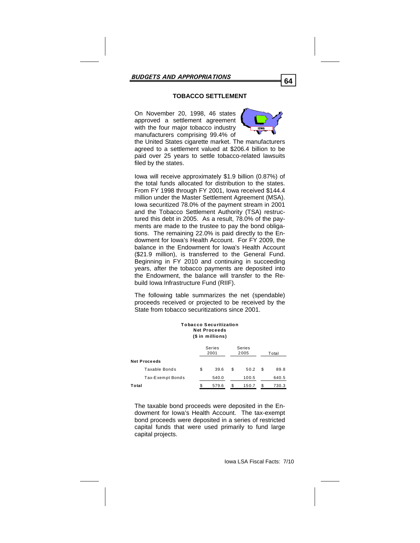# **TOBACCO SETTLEMENT**

On November 20, 1998, 46 states approved a settlement agreement with the four major tobacco industry manufacturers comprising 99.4% of



the United States cigarette market. The manufacturers agreed to a settlement valued at \$206.4 billion to be paid over 25 years to settle tobacco-related lawsuits filed by the states.

Iowa will receive approximately \$1.9 billion (0.87%) of the total funds allocated for distribution to the states. From FY 1998 through FY 2001, Iowa received \$144.4 million under the Master Settlement Agreement (MSA). Iowa securitized 78.0% of the payment stream in 2001 and the Tobacco Settlement Authority (TSA) restructured this debt in 2005. As a result, 78.0% of the payments are made to the trustee to pay the bond obligations. The remaining 22.0% is paid directly to the Endowment for Iowa's Health Account. For FY 2009, the balance in the Endowment for Iowa's Health Account (\$21.9 million), is transferred to the General Fund. Beginning in FY 2010 and continuing in succeeding years, after the tobacco payments are deposited into the Endowment, the balance will transfer to the Rebuild Iowa Infrastructure Fund (RIIF).

The following table summarizes the net (spendable) proceeds received or projected to be received by the State from tobacco securitizations since 2001.

| Tobacco Securitization<br><b>Net Proceeds</b><br>(\$ in millions) |    |                |    |                |   |       |
|-------------------------------------------------------------------|----|----------------|----|----------------|---|-------|
|                                                                   |    | Series<br>2001 |    | Series<br>2005 |   | Total |
| Net Proceeds                                                      |    |                |    |                |   |       |
| Taxable Bonds                                                     | \$ | 39.6           | \$ | 50.2           | S | 89.8  |
| Tax-Exempt Bonds                                                  |    | 540.0          |    | 100.5          |   | 640.5 |
| Total                                                             | \$ | 579.6          | S  | 150.7          |   | 730.3 |

The taxable bond proceeds were deposited in the Endowment for Iowa's Health Account. The tax-exempt bond proceeds were deposited in a series of restricted capital funds that were used primarily to fund large capital projects.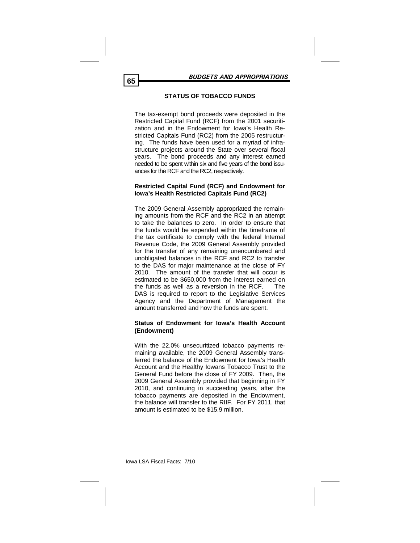# **STATUS OF TOBACCO FUNDS**

The tax-exempt bond proceeds were deposited in the Restricted Capital Fund (RCF) from the 2001 securitization and in the Endowment for Iowa's Health Restricted Capitals Fund (RC2) from the 2005 restructuring. The funds have been used for a myriad of infrastructure projects around the State over several fiscal years. The bond proceeds and any interest earned needed to be spent within six and five years of the bond issuances for the RCF and the RC2, respectively.

#### **Restricted Capital Fund (RCF) and Endowment for Iowa's Health Restricted Capitals Fund (RC2)**

The 2009 General Assembly appropriated the remaining amounts from the RCF and the RC2 in an attempt to take the balances to zero. In order to ensure that the funds would be expended within the timeframe of the tax certificate to comply with the federal Internal Revenue Code, the 2009 General Assembly provided for the transfer of any remaining unencumbered and unobligated balances in the RCF and RC2 to transfer to the DAS for major maintenance at the close of FY 2010. The amount of the transfer that will occur is estimated to be \$650,000 from the interest earned on the funds as well as a reversion in the RCF. The DAS is required to report to the Legislative Services Agency and the Department of Management the amount transferred and how the funds are spent.

#### **Status of Endowment for Iowa's Health Account (Endowment)**

With the 22.0% unsecuritized tobacco payments remaining available, the 2009 General Assembly transferred the balance of the Endowment for Iowa's Health Account and the Healthy Iowans Tobacco Trust to the General Fund before the close of FY 2009. Then, the 2009 General Assembly provided that beginning in FY 2010, and continuing in succeeding years, after the tobacco payments are deposited in the Endowment, the balance will transfer to the RIIF. For FY 2011, that amount is estimated to be \$15.9 million.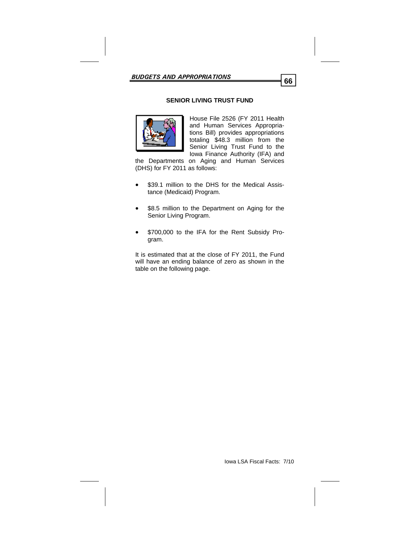# **SENIOR LIVING TRUST FUND**



House File 2526 (FY 2011 Health and Human Services Appropriations Bill) provides appropriations totaling \$48.3 million from the Senior Living Trust Fund to the Iowa Finance Authority (IFA) and

the Departments on Aging and Human Services (DHS) for FY 2011 as follows:

- \$39.1 million to the DHS for the Medical Assistance (Medicaid) Program.
- \$8.5 million to the Department on Aging for the Senior Living Program.
- \$700,000 to the IFA for the Rent Subsidy Program.

It is estimated that at the close of FY 2011, the Fund will have an ending balance of zero as shown in the table on the following page.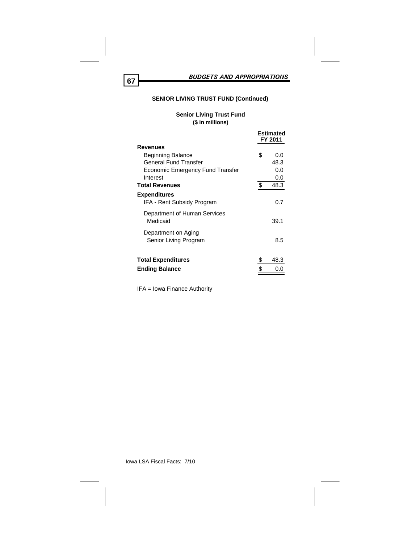# **SENIOR LIVING TRUST FUND (Continued)**

# **Senior Living Trust Fund (\$ in millions)**

|                                  | <b>Estimated</b><br>FY 2011 |
|----------------------------------|-----------------------------|
| <b>Revenues</b>                  |                             |
| <b>Beginning Balance</b>         | \$<br>0.0                   |
| <b>General Fund Transfer</b>     | 48.3                        |
| Economic Emergency Fund Transfer | 0.0                         |
| Interest                         | 0.0                         |
| <b>Total Revenues</b>            | \$<br>48.3                  |
| <b>Expenditures</b>              |                             |
| IFA - Rent Subsidy Program       | 0.7                         |
| Department of Human Services     |                             |
| Medicaid                         | 39.1                        |
| Department on Aging              |                             |
| Senior Living Program            | 8.5                         |
|                                  |                             |
| <b>Total Expenditures</b>        | \$<br>48.3                  |
| <b>Ending Balance</b>            |                             |
|                                  |                             |

IFA = Iowa Finance Authority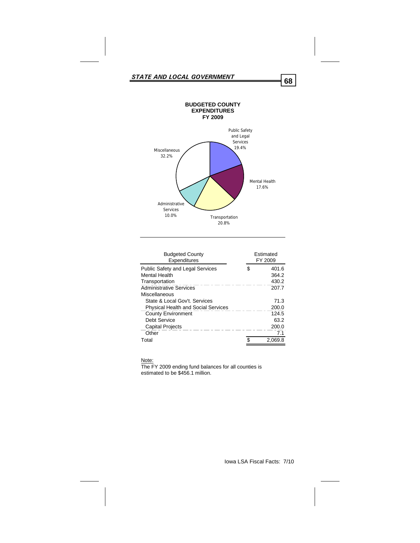

| <b>Budgeted County</b><br>Expenditures     |    | <b>Fstimated</b><br>FY 2009 |
|--------------------------------------------|----|-----------------------------|
| <b>Public Safety and Legal Services</b>    | \$ | 401.6                       |
| Mental Health                              |    | 364.2                       |
| Transportation                             |    | 430.2                       |
| <b>Administrative Services</b>             |    | 207.7                       |
| Miscellaneous                              |    |                             |
| State & Local Gov't. Services              |    | 71.3                        |
| <b>Physical Health and Social Services</b> |    | 200.0                       |
| <b>County Environment</b>                  |    | 124.5                       |
| Debt Service                               |    | 63.2                        |
| <b>Capital Projects</b>                    |    | 200.0                       |
| Other                                      |    | 7.1                         |
| Total                                      |    | 2.069.8                     |

#### Note:

The FY 2009 ending fund balances for all counties is estimated to be \$456.1 million.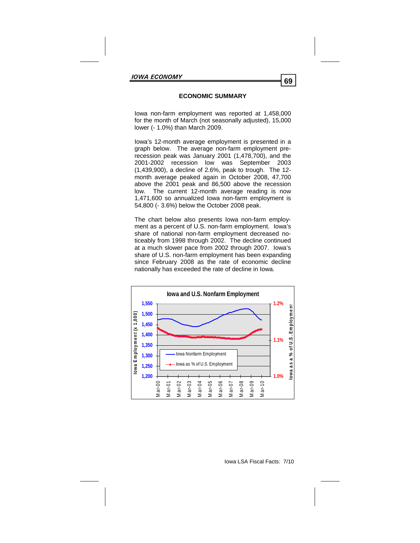# **ECONOMIC SUMMARY**

Iowa non-farm employment was reported at 1,458,000 for the month of March (not seasonally adjusted), 15,000 lower (- 1.0%) than March 2009.

Iowa's 12-month average employment is presented in a graph below. The average non-farm employment prerecession peak was January 2001 (1,478,700), and the 2001-2002 recession low was September 2003 (1,439,900), a decline of 2.6%, peak to trough. The 12 month average peaked again in October 2008, 47,700 above the 2001 peak and 86,500 above the recession low. The current 12-month average reading is now 1,471,600 so annualized Iowa non-farm employment is 54,800 (- 3.6%) below the October 2008 peak.

The chart below also presents Iowa non-farm employment as a percent of U.S. non-farm employment. Iowa's share of national non-farm employment decreased noticeably from 1998 through 2002. The decline continued at a much slower pace from 2002 through 2007. Iowa's share of U.S. non-farm employment has been expanding since February 2008 as the rate of economic decline nationally has exceeded the rate of decline in Iowa.

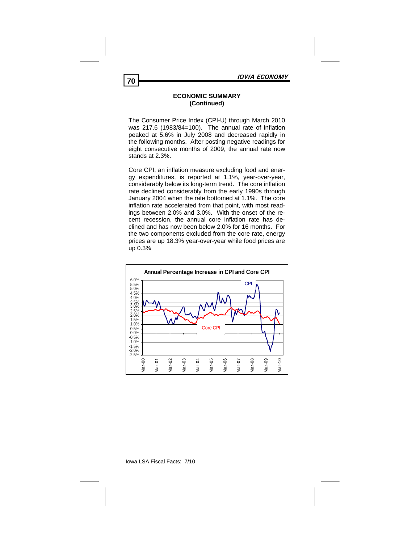#### **ECONOMIC SUMMARY (Continued)**

The Consumer Price Index (CPI-U) through March 2010 was 217.6 (1983/84=100). The annual rate of inflation peaked at 5.6% in July 2008 and decreased rapidly in the following months. After posting negative readings for eight consecutive months of 2009, the annual rate now stands at 2.3%.

Core CPI, an inflation measure excluding food and energy expenditures, is reported at 1.1%, year-over-year, considerably below its long-term trend. The core inflation rate declined considerably from the early 1990s through January 2004 when the rate bottomed at 1.1%. The core inflation rate accelerated from that point, with most readings between 2.0% and 3.0%. With the onset of the recent recession, the annual core inflation rate has declined and has now been below 2.0% for 16 months. For the two components excluded from the core rate, energy prices are up 18.3% year-over-year while food prices are up 0.3%

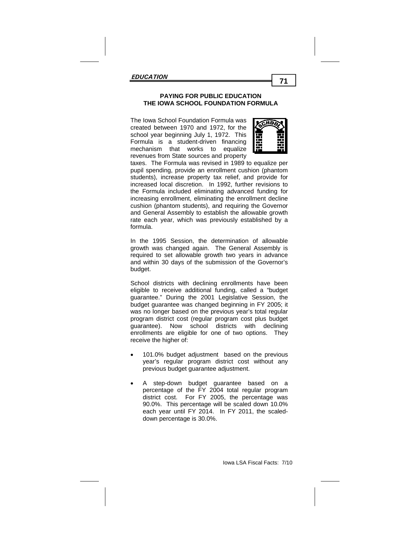### **PAYING FOR PUBLIC EDUCATION PAYING FOR PUBLIC EDUCATION THE IOWA SCHOOL FOUNDATION FORMULA THE IOWA SCHOOL FOUNDATION FORMULA**

The Iowa School Foundation Formula was **chool** created between 1970 and 1972, for the  $\mathbb{S}^2$ school year beginning July 1, 1972. This  $\mathbb{F}$   $\mathbb{F}$ Formula is a student-driven financing  $\mathbb{H}$   $\mathbb{H}$ mechanism that works to equalize  $\Box$   $\Box$ revenues from State sources and property



taxes. The Formula was revised in 1989 to equalize per pupil spending, provide an enrollment cushion (phantom students), increase property tax relief, and provide for increased local discretion. In 1992, further revisions to the Formula included eliminating advanced funding for increasing enrollment, eliminating the enrollment decline cushion (phantom students), and requiring the Governor and General Assembly to establish the allowable growth **In the 1995 Session, the determination of allowable of allowable of allowable of allowable of allowable of all** rate each year, which was previously established by a

In the 1995 Session, the determination of allowable growth was changed again. The General Assembly is required to set allowable growth two years in advance budget. With districts with declining enrollments have been eligiand within 30 days of the submission of the Governor's

School districts with declining enrollments have been eligible to receive additional funding, called a "budget guarantee." During the 2001 Legislative Session, the budget guarantee was changed beginning in FY 2005; it was no longer based on the previous year's total regular program district cost (regular program cost plus budget enrollments are eligible for one of two options. They receive the higher of: **regular any cost without any cost without any cost without any cost without any cost without any cost with any cost with any cost with any cost with any cost with any cost with any cost with any cos** guarantee). Now school districts with declining

- year's regular program district cost without any previous budget guarantee adjustment. 101.0% budget adjustment based on the previous
- A step-down budget guarantee based on a percentage of the FY 2004 total regular program district cost. For FY 2005, the percentage was 90.0%. This percentage will be scaled down 10.0% each year until FY 2014. In FY 2011, the scaleddown percentage is 30.0%.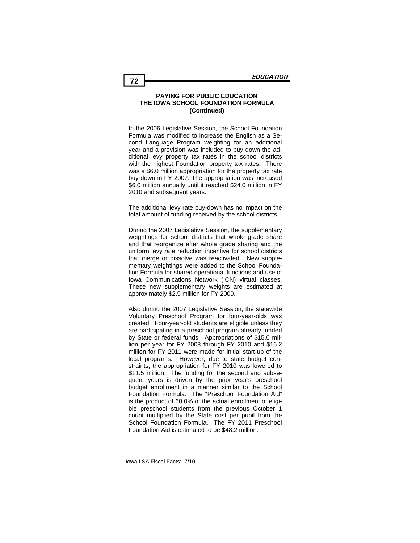In the 2006 Legislative Session, the School Foundation Formula was modified to increase the English as a Second Language Program weighting for an additional year and a provision was included to buy down the additional levy property tax rates in the school districts with the highest Foundation property tax rates. There was a \$6.0 million appropriation for the property tax rate buy-down in FY 2007. The appropriation was increased \$6.0 million annually until it reached \$24.0 million in FY 2010 and subsequent years.

The additional levy rate buy-down has no impact on the total amount of funding received by the school districts.

During the 2007 Legislative Session, the supplementary weightings for school districts that whole grade share and that reorganize after whole grade sharing and the uniform levy rate reduction incentive for school districts that merge or dissolve was reactivated. New supplementary weightings were added to the School Foundation Formula for shared operational functions and use of Iowa Communications Network (ICN) virtual classes. These new supplementary weights are estimated at approximately \$2.9 million for FY 2009.

Also during the 2007 Legislative Session, the statewide Voluntary Preschool Program for four-year-olds was created. Four-year-old students are eligible unless they are participating in a preschool program already funded by State or federal funds. Appropriations of \$15.0 million per year for FY 2008 through FY 2010 and \$16.2 million for FY 2011 were made for initial start-up of the local programs. However, due to state budget constraints, the appropriation for FY 2010 was lowered to \$11.5 million. The funding for the second and subsequent years is driven by the prior year's preschool budget enrollment in a manner similar to the School Foundation Formula. The "Preschool Foundation Aid" is the product of 60.0% of the actual enrollment of eligible preschool students from the previous October 1 count multiplied by the State cost per pupil from the School Foundation Formula. The FY 2011 Preschool Foundation Aid is estimated to be \$48.2 million.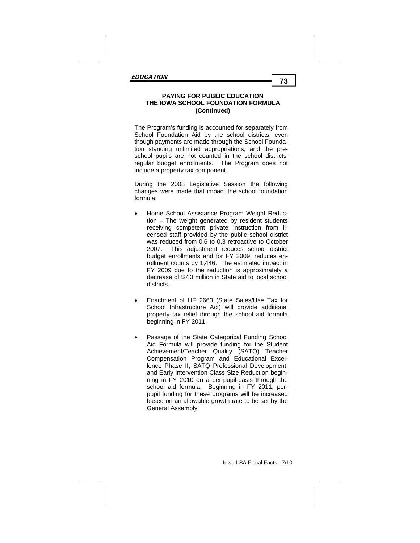The Program's funding is accounted for separately from School Foundation Aid by the school districts, even though payments are made through the School Foundation standing unlimited appropriations, and the preschool pupils are not counted in the school districts' regular budget enrollments. The Program does not include a property tax component.

During the 2008 Legislative Session the following changes were made that impact the school foundation formula:

- Home School Assistance Program Weight Reduction – The weight generated by resident students receiving competent private instruction from licensed staff provided by the public school district was reduced from 0.6 to 0.3 retroactive to October 2007. This adjustment reduces school district budget enrollments and for FY 2009, reduces enrollment counts by 1,446. The estimated impact in FY 2009 due to the reduction is approximately a decrease of \$7.3 million in State aid to local school districts.
- Enactment of HF 2663 (State Sales/Use Tax for School Infrastructure Act) will provide additional property tax relief through the school aid formula beginning in FY 2011.
- Passage of the State Categorical Funding School Aid Formula will provide funding for the Student Achievement/Teacher Quality (SATQ) Teacher Compensation Program and Educational Excellence Phase II, SATQ Professional Development, and Early Intervention Class Size Reduction beginning in FY 2010 on a per-pupil-basis through the school aid formula. Beginning in FY 2011, perpupil funding for these programs will be increased based on an allowable growth rate to be set by the General Assembly.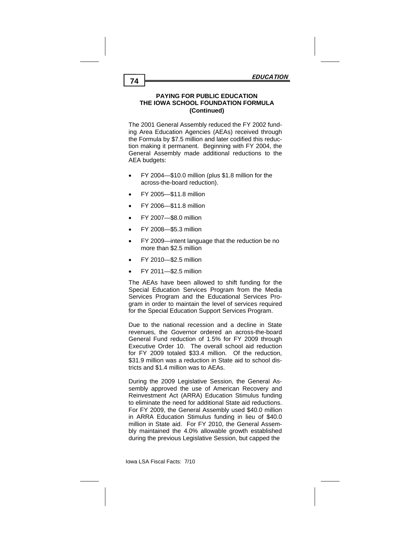The 2001 General Assembly reduced the FY 2002 funding Area Education Agencies (AEAs) received through the Formula by \$7.5 million and later codified this reduction making it permanent. Beginning with FY 2004, the General Assembly made additional reductions to the AEA budgets:

- FY 2004—\$10.0 million (plus \$1.8 million for the across-the-board reduction).
- FY 2005—\$11.8 million
- FY 2006—\$11.8 million
- FY 2007—\$8.0 million
- FY 2008—\$5.3 million
- FY 2009—intent language that the reduction be no more than \$2.5 million
- FY 2010—\$2.5 million
- FY 2011—\$2.5 million

The AEAs have been allowed to shift funding for the Special Education Services Program from the Media Services Program and the Educational Services Program in order to maintain the level of services required for the Special Education Support Services Program.

Due to the national recession and a decline in State revenues, the Governor ordered an across-the-board General Fund reduction of 1.5% for FY 2009 through Executive Order 10. The overall school aid reduction for FY 2009 totaled \$33.4 million. Of the reduction, \$31.9 million was a reduction in State aid to school districts and \$1.4 million was to AEAs.

During the 2009 Legislative Session, the General Assembly approved the use of American Recovery and Reinvestment Act (ARRA) Education Stimulus funding to eliminate the need for additional State aid reductions. For FY 2009, the General Assembly used \$40.0 million in ARRA Education Stimulus funding in lieu of \$40.0 million in State aid. For FY 2010, the General Assembly maintained the 4.0% allowable growth established during the previous Legislative Session, but capped the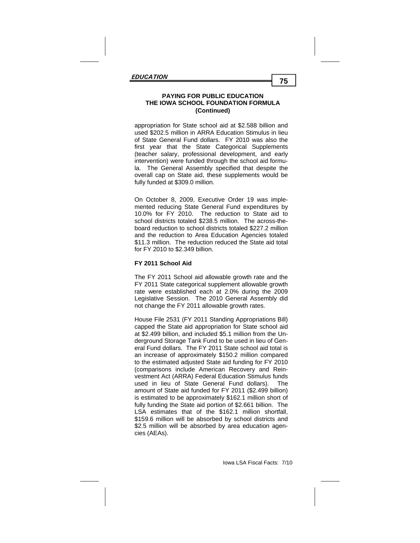appropriation for State school aid at \$2.588 billion and used \$202.5 million in ARRA Education Stimulus in lieu of State General Fund dollars. FY 2010 was also the first year that the State Categorical Supplements (teacher salary, professional development, and early intervention) were funded through the school aid formula. The General Assembly specified that despite the overall cap on State aid, these supplements would be fully funded at \$309.0 million.

On October 8, 2009, Executive Order 19 was implemented reducing State General Fund expenditures by 10.0% for FY 2010. The reduction to State aid to school districts totaled \$238.5 million. The across-theboard reduction to school districts totaled \$227.2 million and the reduction to Area Education Agencies totaled \$11.3 million. The reduction reduced the State aid total for FY 2010 to \$2.349 billion.

## **FY 2011 School Aid**

The FY 2011 School aid allowable growth rate and the FY 2011 State categorical supplement allowable growth rate were established each at 2.0% during the 2009 Legislative Session. The 2010 General Assembly did not change the FY 2011 allowable growth rates.

House File 2531 (FY 2011 Standing Appropriations Bill) capped the State aid appropriation for State school aid at \$2.499 billion, and included \$5.1 million from the Underground Storage Tank Fund to be used in lieu of General Fund dollars. The FY 2011 State school aid total is an increase of approximately \$150.2 million compared to the estimated adjusted State aid funding for FY 2010 (comparisons include American Recovery and Reinvestment Act (ARRA) Federal Education Stimulus funds used in lieu of State General Fund dollars). The amount of State aid funded for FY 2011 (\$2.499 billion) is estimated to be approximately \$162.1 million short of fully funding the State aid portion of \$2.661 billion. The LSA estimates that of the \$162.1 million shortfall, \$159.6 million will be absorbed by school districts and \$2.5 million will be absorbed by area education agencies (AEAs).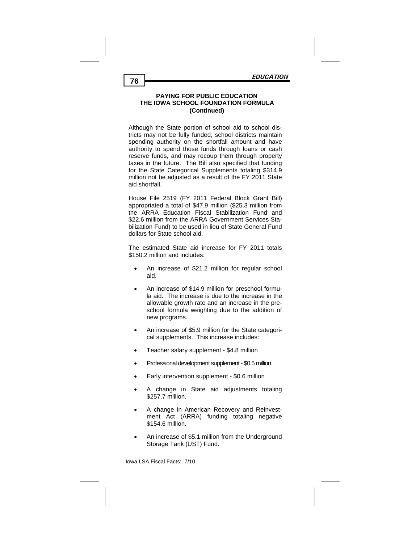Although the State portion of school aid to school districts may not be fully funded, school districts maintain spending authority on the shortfall amount and have authority to spend those funds through loans or cash reserve funds, and may recoup them through property taxes in the future. The Bill also specified that funding for the State Categorical Supplements totaling \$314.9 million not be adjusted as a result of the FY 2011 State aid shortfall.

House File 2519 (FY 2011 Federal Block Grant Bill) appropriated a total of \$47.9 million (\$25.3 million from the ARRA Education Fiscal Stabilization Fund and \$22.6 million from the ARRA Government Services Stabilization Fund) to be used in lieu of State General Fund dollars for State school aid.

The estimated State aid increase for FY 2011 totals \$150.2 million and includes:

- An increase of \$21.2 million for regular school aid.
- An increase of \$14.9 million for preschool formula aid. The increase is due to the increase in the allowable growth rate and an increase in the preschool formula weighting due to the addition of new programs.
- An increase of \$5.9 million for the State categorical supplements. This increase includes:
- Teacher salary supplement \$4.8 million
- Professional development supplement \$0.5 million
- Early intervention supplement \$0.6 million
- A change in State aid adjustments totaling \$257.7 million.
- A change in American Recovery and Reinvestment Act (ARRA) funding totaling negative \$154.6 million.
- An increase of \$5.1 million from the Underground Storage Tank (UST) Fund.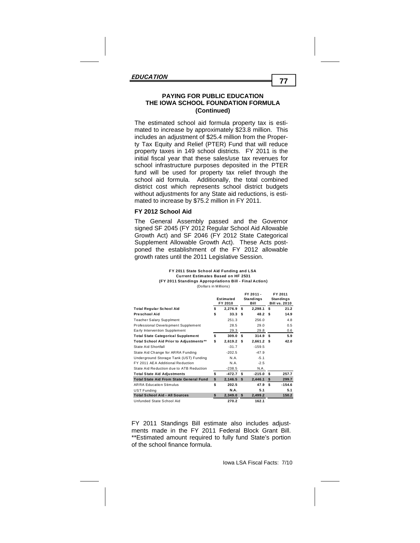The estimated school aid formula property tax is estimated to increase by approximately \$23.8 million. This includes an adjustment of \$25.4 million from the Property Tax Equity and Relief (PTER) Fund that will reduce property taxes in 149 school districts. FY 2011 is the initial fiscal year that these sales/use tax revenues for school infrastructure purposes deposited in the PTER fund will be used for property tax relief through the school aid formula. Additionally, the total combined district cost which represents school district budgets without adjustments for any State aid reductions, is estimated to increase by \$75.2 million in FY 2011.

#### **FY 2012 School Aid**

The General Assembly passed and the Governor signed SF 2045 (FY 2012 Regular School Aid Allowable Growth Act) and SF 2046 (FY 2012 State Categorical Supplement Allowable Growth Act). These Acts postponed the establishment of the FY 2012 allowable growth rates until the 2011 Legislative Session.

| FY 2011 State School Aid Funding and LSA               |
|--------------------------------------------------------|
| <b>Current Estimates Based on HF 2531</b>              |
| (FY 2011 Standings Appropriations Bill - Final Action) |
| (Dollars in Millions)                                  |

|                                                | Estimated<br>FY 2010    | FY 2011 -<br><b>Standings</b><br>Bill |      | FY 2011<br><b>Standings</b><br><b>Bill vs. 2010</b> |
|------------------------------------------------|-------------------------|---------------------------------------|------|-----------------------------------------------------|
| <b>Total Regular School Aid</b>                | \$<br>2.276.9 S         | 2,298.1 \$                            |      | 21.2                                                |
| <b>Preschool Aid</b>                           | \$<br>33.3 <sup>5</sup> | 48.2                                  | - \$ | 14.9                                                |
| <b>Teacher Salary Supplment</b>                | 251.3                   | 256.0                                 |      | 4.8                                                 |
| Professional Development Supplement            | 28.5                    | 29.0                                  |      | 0.5                                                 |
| Early Intervention Supplement                  | 29.3                    | 29.8                                  |      | 0.6                                                 |
| <b>Total State Categorical Supplement</b>      | \$<br>309.0 S           | 314.9 S                               |      | 5.9                                                 |
| <b>Total School Aid Prior to Adjustments**</b> | \$<br>$2,619.2$ \$      | $2,661.2$ \$                          |      | 42.0                                                |
| <b>State Aid Shortfall</b>                     | $-31.7$                 | $-159.5$                              |      |                                                     |
| State Aid Change for ARRA Funding              | $-202.5$                | $-47.9$                               |      |                                                     |
| Underground Storage Tank (UST) Funding         | N.A.                    | $-5.1$                                |      |                                                     |
| FY 2011 AEA Additional Reduction               | N.A.                    | $-2.5$                                |      |                                                     |
| State Aid Reduction due to ATB Reduction       | $-238.5$                | N.A.                                  |      |                                                     |
| <b>Total State Aid Adjustments</b>             | \$<br>$-472.7$ \$       | $-215.0$ \$                           |      | 257.7                                               |
| <b>Total State Aid From State General Fund</b> | \$<br>2,146.5           | \$<br>2.446.1                         | - S  | 299.7                                               |
| <b>ARRA Education Stimulus</b>                 | \$<br>202.5             | 47.9                                  | - \$ | $-154.6$                                            |
| <b>UST Funding</b>                             | <b>N.A.</b>             | 5.1                                   |      | 5.1                                                 |
| <b>Total School Aid - All Sources</b>          | \$<br>2,349.0           | 2,499.2                               |      | 150.2                                               |
| Unfunded State School Aid                      | 270.2                   | 162.1                                 |      |                                                     |

FY 2011 Standings Bill estimate also includes adjustments made in the FY 2011 Federal Block Grant Bill. \*\*Estimated amount required to fully fund State's portion of the school finance formula.

**FY 2011 -**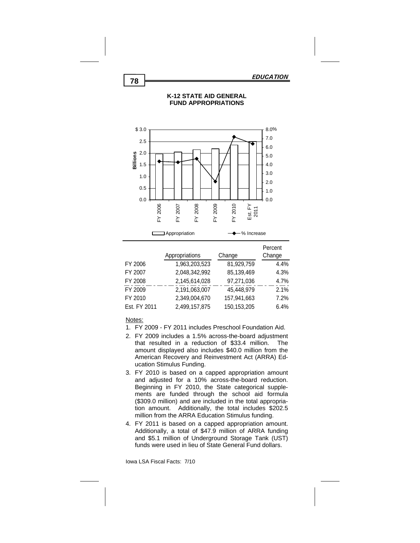

## **K-12 STATE AID GENERAL FUND APPROPRIATIONS**

|                |               | Percent |
|----------------|---------------|---------|
| Appropriations | Change        | Change  |
| 1,963,203,523  | 81,929,759    | 4.4%    |
| 2,048,342,992  | 85,139,469    | 4.3%    |
| 2,145,614,028  | 97,271,036    | 4.7%    |
| 2,191,063,007  | 45,448,979    | 2.1%    |
| 2,349,004,670  | 157,941,663   | 7.2%    |
| 2,499,157,875  | 150, 153, 205 | 6.4%    |
|                |               |         |

### Notes:

- 1. FY 2009 FY 2011 includes Preschool Foundation Aid.
- 2. FY 2009 includes a 1.5% across-the-board adjustment that resulted in a reduction of \$33.4 million. The amount displayed also includes \$40.0 million from the American Recovery and Reinvestment Act (ARRA) Education Stimulus Funding.
- 3. FY 2010 is based on a capped appropriation amount and adjusted for a 10% across-the-board reduction. Beginning in FY 2010, the State categorical supplements are funded through the school aid formula (\$309.0 million) and are included in the total appropriation amount. Additionally, the total includes \$202.5 million from the ARRA Education Stimulus funding.
- 4. FY 2011 is based on a capped appropriation amount. Additionally, a total of \$47.9 million of ARRA funding and \$5.1 million of Underground Storage Tank (UST) funds were used in lieu of State General Fund dollars.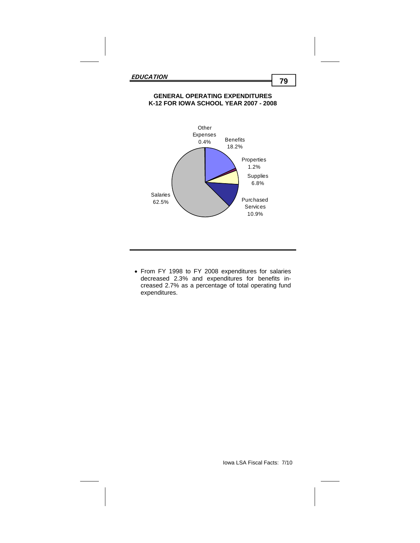## **GENERAL OPERATING EXPENDITURES K-12 FOR IOWA SCHOOL YEAR 2007 - 2008**



 From FY 1998 to FY 2008 expenditures for salaries decreased 2.3% and expenditures for benefits increased 2.7% as a percentage of total operating fund expenditures.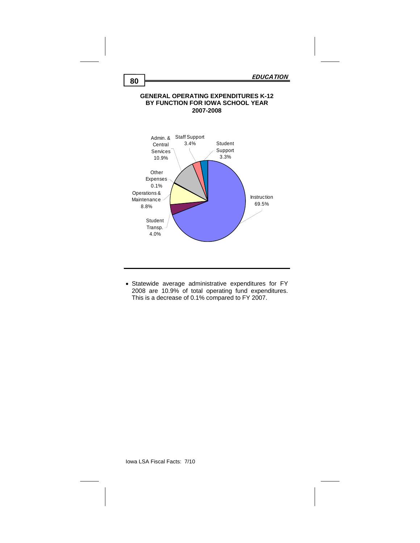### **GENERAL OPERATING EXPENDITURES K-12 BY FUNCTION FOR IOWA SCHOOL YEAR 2007-2008**



 Statewide average administrative expenditures for FY 2008 are 10.9% of total operating fund expenditures. This is a decrease of 0.1% compared to FY 2007.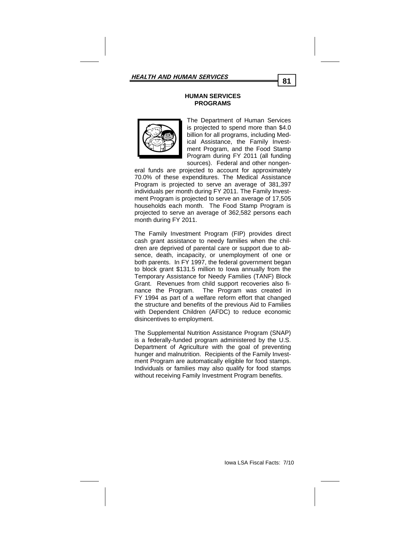### **HUMAN SERVICES PROGRAMS**



The Department of Human Services is projected to spend more than \$4.0 billion for all programs, including Medical Assistance, the Family Investment Program, and the Food Stamp Program during FY 2011 (all funding sources). Federal and other nongen-

eral funds are projected to account for approximately 70.0% of these expenditures. The Medical Assistance Program is projected to serve an average of 381,397 individuals per month during FY 2011. The Family Investment Program is projected to serve an average of 17,505 households each month. The Food Stamp Program is projected to serve an average of 362,582 persons each month during FY 2011.

The Family Investment Program (FIP) provides direct cash grant assistance to needy families when the children are deprived of parental care or support due to absence, death, incapacity, or unemployment of one or both parents. In FY 1997, the federal government began to block grant \$131.5 million to Iowa annually from the Temporary Assistance for Needy Families (TANF) Block Grant. Revenues from child support recoveries also finance the Program. The Program was created in FY 1994 as part of a welfare reform effort that changed the structure and benefits of the previous Aid to Families with Dependent Children (AFDC) to reduce economic disincentives to employment.

The Supplemental Nutrition Assistance Program (SNAP) is a federally-funded program administered by the U.S. Department of Agriculture with the goal of preventing hunger and malnutrition. Recipients of the Family Investment Program are automatically eligible for food stamps. Individuals or families may also qualify for food stamps without receiving Family Investment Program benefits.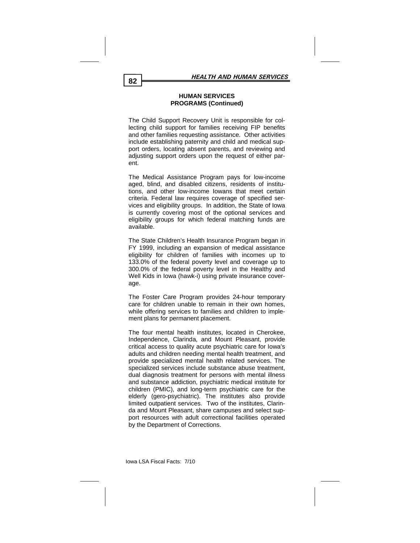### **HUMAN SERVICES PROGRAMS (Continued)**

The Child Support Recovery Unit is responsible for collecting child support for families receiving FIP benefits and other families requesting assistance. Other activities include establishing paternity and child and medical support orders, locating absent parents, and reviewing and adjusting support orders upon the request of either parent.

The Medical Assistance Program pays for low-income aged, blind, and disabled citizens, residents of institutions, and other low-income Iowans that meet certain criteria. Federal law requires coverage of specified services and eligibility groups. In addition, the State of Iowa is currently covering most of the optional services and eligibility groups for which federal matching funds are available.

The State Children's Health Insurance Program began in FY 1999, including an expansion of medical assistance eligibility for children of families with incomes up to 133.0% of the federal poverty level and coverage up to 300.0% of the federal poverty level in the Healthy and Well Kids in Iowa (hawk-i) using private insurance coverage.

The Foster Care Program provides 24-hour temporary care for children unable to remain in their own homes, while offering services to families and children to implement plans for permanent placement.

The four mental health institutes, located in Cherokee, Independence, Clarinda, and Mount Pleasant, provide critical access to quality acute psychiatric care for Iowa's adults and children needing mental health treatment, and provide specialized mental health related services. The specialized services include substance abuse treatment, dual diagnosis treatment for persons with mental illness and substance addiction, psychiatric medical institute for children (PMIC), and long-term psychiatric care for the elderly (gero-psychiatric). The institutes also provide limited outpatient services. Two of the institutes, Clarinda and Mount Pleasant, share campuses and select support resources with adult correctional facilities operated by the Department of Corrections.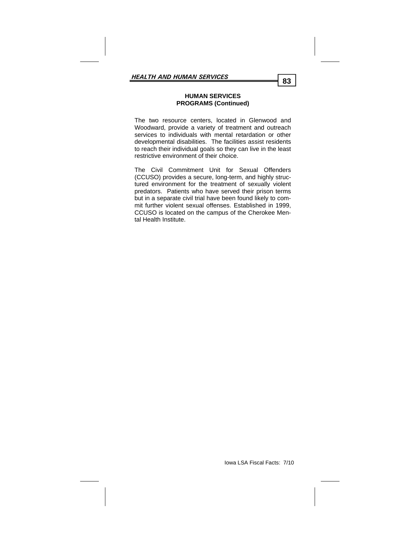### **HUMAN SERVICES PROGRAMS (Continued)**

The two resource centers, located in Glenwood and Woodward, provide a variety of treatment and outreach services to individuals with mental retardation or other developmental disabilities. The facilities assist residents to reach their individual goals so they can live in the least restrictive environment of their choice.

The Civil Commitment Unit for Sexual Offenders (CCUSO) provides a secure, long-term, and highly structured environment for the treatment of sexually violent predators. Patients who have served their prison terms but in a separate civil trial have been found likely to commit further violent sexual offenses. Established in 1999, CCUSO is located on the campus of the Cherokee Mental Health Institute.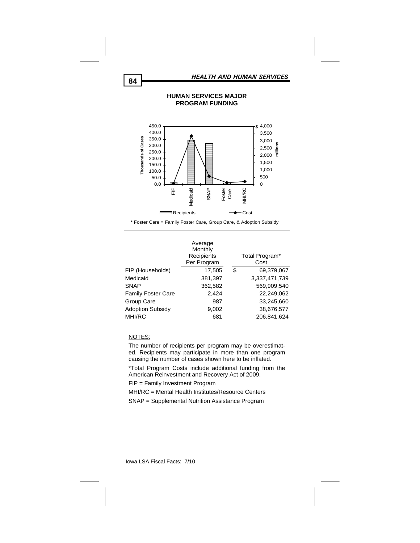

\* Foster Care = Family Foster Care, Group Care, & Adoption Subsidy

|                           | Average<br>Monthly<br>Recipients<br>Per Program | Total Program*<br>Cost |
|---------------------------|-------------------------------------------------|------------------------|
| FIP (Households)          | 17,505                                          | \$<br>69,379,067       |
| Medicaid                  | 381,397                                         | 3,337,471,739          |
| <b>SNAP</b>               | 362,582                                         | 569,909,540            |
| <b>Family Foster Care</b> | 2.424                                           | 22,249,062             |
| Group Care                | 987                                             | 33,245,660             |
| <b>Adoption Subsidy</b>   | 9,002                                           | 38,676,577             |
| MHI/RC                    | 681                                             | 206.841.624            |
|                           |                                                 |                        |

#### NOTES:

The number of recipients per program may be overestimated. Recipients may participate in more than one program causing the number of cases shown here to be inflated.

\*Total Program Costs include additional funding from the American Reinvestment and Recovery Act of 2009.

FIP = Family Investment Program

MHI/RC = Mental Health Institutes/Resource Centers

SNAP = Supplemental Nutrition Assistance Program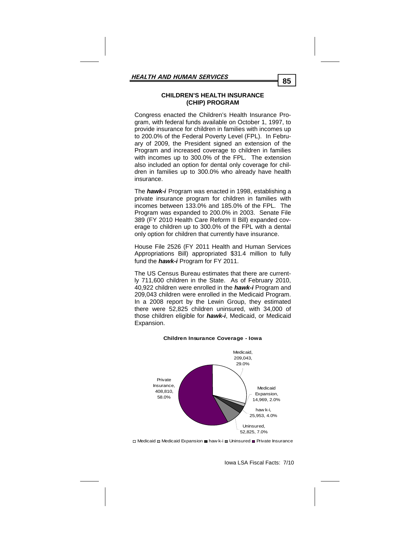### **CHILDREN'S HEALTH INSURANCE (CHIP) PROGRAM**

Congress enacted the Children's Health Insurance Program, with federal funds available on October 1, 1997, to provide insurance for children in families with incomes up to 200.0% of the Federal Poverty Level (FPL). In February of 2009, the President signed an extension of the Program and increased coverage to children in families with incomes up to 300.0% of the FPL. The extension also included an option for dental only coverage for children in families up to 300.0% who already have health insurance.

The *hawk-i* Program was enacted in 1998, establishing a private insurance program for children in families with incomes between 133.0% and 185.0% of the FPL. The Program was expanded to 200.0% in 2003. Senate File 389 (FY 2010 Health Care Reform II Bill) expanded coverage to children up to 300.0% of the FPL with a dental only option for children that currently have insurance.

House File 2526 (FY 2011 Health and Human Services Appropriations Bill) appropriated \$31.4 million to fully fund the *hawk-i* Program for FY 2011.

The US Census Bureau estimates that there are currently 711,600 children in the State. As of February 2010, 40,922 children were enrolled in the *hawk-i* Program and 209,043 children were enrolled in the Medicaid Program. In a 2008 report by the Lewin Group, they estimated there were 52,825 children uninsured, with 34,000 of those children eligible for *hawk-i*, Medicaid, or Medicaid Expansion.



#### **Children Insurance Coverage - Iowa**

□ Medicaid □ Medicaid Expansion ■ haw k-i ■ Uninsured ■ Private Insurance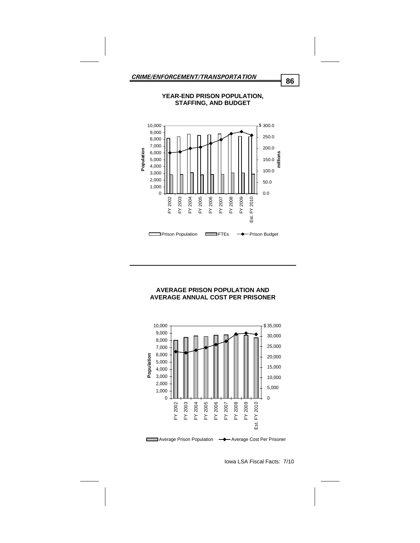

**YEAR-END PRISON POPULATION,** 

### **AVERAGE PRISON POPULATION AND AVERAGE ANNUAL COST PER PRISONER**



Iowa LSA Fiscal Facts: 7/10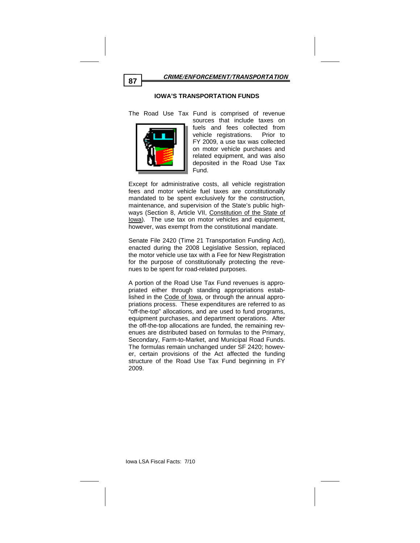

### **IOWA'S TRANSPORTATION FUNDS**

The Road Use Tax Fund is comprised of revenue



sources that include taxes on fuels and fees collected from vehicle registrations. Prior to FY 2009, a use tax was collected on motor vehicle purchases and related equipment, and was also deposited in the Road Use Tax Fund.

Except for administrative costs, all vehicle registration fees and motor vehicle fuel taxes are constitutionally mandated to be spent exclusively for the construction, maintenance, and supervision of the State's public highways (Section 8, Article VII, Constitution of the State of Iowa). The use tax on motor vehicles and equipment, however, was exempt from the constitutional mandate.

Senate File 2420 (Time 21 Transportation Funding Act), enacted during the 2008 Legislative Session, replaced the motor vehicle use tax with a Fee for New Registration for the purpose of constitutionally protecting the revenues to be spent for road-related purposes.

A portion of the Road Use Tax Fund revenues is appropriated either through standing appropriations established in the Code of Iowa, or through the annual appropriations process. These expenditures are referred to as "off-the-top" allocations, and are used to fund programs, equipment purchases, and department operations. After the off-the-top allocations are funded, the remaining revenues are distributed based on formulas to the Primary, Secondary, Farm-to-Market, and Municipal Road Funds. The formulas remain unchanged under SF 2420; however, certain provisions of the Act affected the funding structure of the Road Use Tax Fund beginning in FY 2009.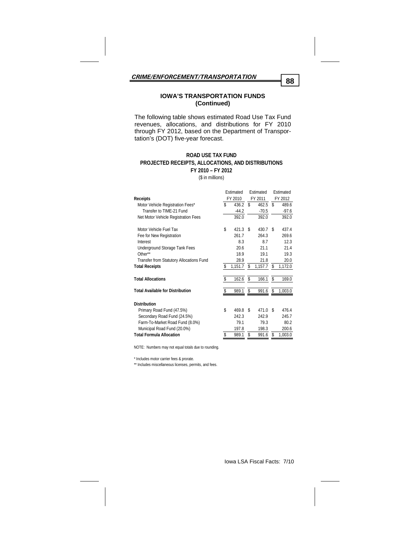### **IOWA'S TRANSPORTATION FUNDS (Continued)**

The following table shows estimated Road Use Tax Fund revenues, allocations, and distributions for FY 2010 through FY 2012, based on the Department of Transportation's (DOT) five-year forecast.

#### **ROAD USE TAX FUND FY 2010 – FY 2012 PROJECTED RECEIPTS, ALLOCATIONS, AND DISTRIBUTIONS**

(\$ in millions)

|                                          | Estimated |          | Estimated |          | Estimated |         |
|------------------------------------------|-----------|----------|-----------|----------|-----------|---------|
| <b>Receipts</b>                          | FY 2010   |          | FY 2011   |          | FY 2012   |         |
| Motor Vehicle Registration Fees*         | \$        | 436.2    | \$        | 462.5    | \$        | 489.6   |
| Transfer to TIME-21 Fund                 |           | $-44.2$  |           | $-70.5$  |           | $-97.6$ |
| Net Motor Vehicle Registration Fees      |           | 392.0    |           | 392.0    |           | 392.0   |
| Motor Vehicle Fuel Tax                   | \$        | 421.3    | S         | 430.7    | £.        | 437.4   |
| Fee for New Registration                 |           | 261.7    |           | 264.3    |           | 269.6   |
| Interest                                 |           | 8.3      |           | 8.7      |           | 12.3    |
| Underground Storage Tank Fees            |           | 20.6     |           | 21.1     |           | 21.4    |
| Other**                                  |           | 18.9     |           | 19.1     |           | 19.3    |
| Transfer from Statutory Allocations Fund |           | 28.9     |           | 21.8     |           | 20.0    |
| <b>Total Receipts</b>                    | S         | 1,151.7  | \$        | 1,157.7  | \$        | 1,172.0 |
| <b>Total Allocations</b>                 | \$        | 162.6 \$ |           | 166.1 \$ |           | 169.0   |
| <b>Total Available for Distribution</b>  | S         | 989.1    | S         | 991.6    | \$        | 1,003.0 |
| <b>Distribution</b>                      |           |          |           |          |           |         |
| Primary Road Fund (47.5%)                | \$        | 469.8    | S         | 471.0    | S         | 476.4   |
| Secondary Road Fund (24.5%)              |           | 242.3    |           | 242.9    |           | 245.7   |
| Farm-To-Market Road Fund (8.0%)          |           | 79.1     |           | 79.3     |           | 80.2    |
| Municipal Road Fund (20.0%)              |           | 197.8    |           | 198.3    |           | 200.6   |
| <b>Total Formula Allocation</b>          | S         | 989.1    | \$        | 991.6    | S         | 1,003.0 |

NOTE: Numbers may not equal totals due to rounding.

\* Includes motor carrier fees & prorate.

\*\* Includes miscellaneous licenses, permits, and fees.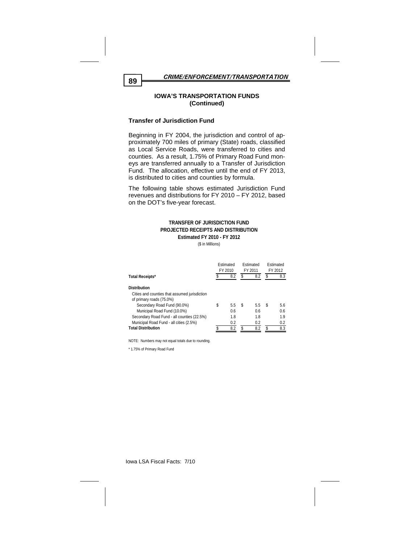### **IOWA'S TRANSPORTATION FUNDS (Continued)**

### **Transfer of Jurisdiction Fund**

Beginning in FY 2004, the jurisdiction and control of approximately 700 miles of primary (State) roads, classified as Local Service Roads, were transferred to cities and counties. As a result, 1.75% of Primary Road Fund moneys are transferred annually to a Transfer of Jurisdiction Fund. The allocation, effective until the end of FY 2013, is distributed to cities and counties by formula.

The following table shows estimated Jurisdiction Fund revenues and distributions for FY 2010 – FY 2012, based on the DOT's five-year forecast.

#### **TRANSFER OF JURISDICTION FUND PROJECTED RECEIPTS AND DISTRIBUTION Estimated FY 2010 - FY 2012**

(\$ in Millions)

|                                               | Estimated<br>FY 2010 |     | <b>Fstimated</b><br>FY 2011 |     | Estimated<br>FY 2012 |     |
|-----------------------------------------------|----------------------|-----|-----------------------------|-----|----------------------|-----|
| <b>Total Receipts*</b>                        |                      | 8.2 | \$                          | 8.2 | \$                   | 8.3 |
| <b>Distribution</b>                           |                      |     |                             |     |                      |     |
| Cities and counties that assumed jurisdiction |                      |     |                             |     |                      |     |
| of primary roads (75.0%)                      |                      |     |                             |     |                      |     |
| Secondary Road Fund (90.0%)                   | \$                   | 5.5 | S                           | 5.5 | S                    | 5.6 |
| Municipal Road Fund (10.0%)                   |                      | 0.6 |                             | 0.6 |                      | 0.6 |
| Secondary Road Fund - all counties (22.5%)    |                      | 1.8 |                             | 1.8 |                      | 1.9 |
| Municipal Road Fund - all cities (2.5%)       |                      | 0.2 |                             | 0.2 |                      | 0.2 |
| <b>Total Distribution</b>                     | σ                    | 8.2 | \$                          | 8.2 | ς                    | 8.3 |

NOTE: Numbers may not equal totals due to rounding.

\* 1.75% of Primary Road Fund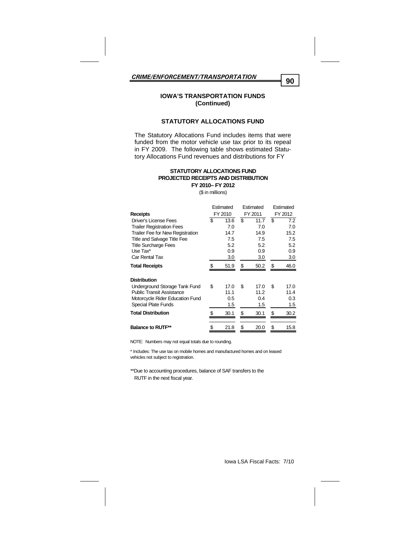### **IOWA'S TRANSPORTATION FUNDS (Continued)**

#### **STATUTORY ALLOCATIONS FUND**

The Statutory Allocations Fund includes items that were funded from the motor vehicle use tax prior to its repeal in FY 2009. The following table shows estimated Statutory Allocations Fund revenues and distributions for FY

#### **PROJECTED RECEIPTS AND DISTRIBUTION FY 2010– FY 2012 STATUTORY ALLOCATIONS FUND**

(\$ in millions)

|                                         | Estimated<br>Estimated |         |    |      | Estimated |         |         |  |
|-----------------------------------------|------------------------|---------|----|------|-----------|---------|---------|--|
| <b>Receipts</b>                         |                        | FY 2010 |    |      |           | FY 2011 | FY 2012 |  |
| <b>Driver's License Fees</b>            | \$                     | 13.6    | S  | 11.7 | S         | 7.2     |         |  |
| <b>Trailer Registration Fees</b>        |                        | 7.0     |    | 7.0  |           | 7.0     |         |  |
| <b>Trailer Fee for New Registration</b> |                        | 14.7    |    | 14.9 |           | 15.2    |         |  |
| <b>Title and Salvage Title Fee</b>      |                        | 7.5     |    | 7.5  |           | 7.5     |         |  |
| <b>Title Surcharge Fees</b>             |                        | 5.2     |    | 5.2  |           | 5.2     |         |  |
| Use Tax*                                |                        | 0.9     |    | 0.9  |           | 0.9     |         |  |
| Car Rental Tax                          |                        | 3.0     |    | 3.0  |           | 3.0     |         |  |
| <b>Total Receipts</b>                   | \$                     | 51.9    | \$ | 50.2 | \$        | 46.0    |         |  |
| <b>Distribution</b>                     |                        |         |    |      |           |         |         |  |
| Underground Storage Tank Fund           | \$                     | 17.0    | \$ | 17.0 | \$        | 17.0    |         |  |
| <b>Public Transit Assistance</b>        |                        | 11.1    |    | 11.2 |           | 11.4    |         |  |
| Motorcycle Rider Education Fund         |                        | 0.5     |    | 0.4  |           | 0.3     |         |  |
| Special Plate Funds                     |                        | 1.5     |    | 1.5  |           | 1.5     |         |  |
| <b>Total Distribution</b>               | \$                     | 30.1    | \$ | 30.1 | \$        | 30.2    |         |  |
| <b>Balance to RUTF**</b>                | \$                     | 21.8    | \$ | 20.0 | \$        | 15.8    |         |  |
|                                         |                        |         |    |      |           |         |         |  |

NOTE: Numbers may not equal totals due to rounding.

\* Includes: The use tax on mobile homes and manufactured homes and on leased vehicles not subject to registration.

\*\*Due to accounting procedures, balance of SAF transfers to the RUTF in the next fiscal year.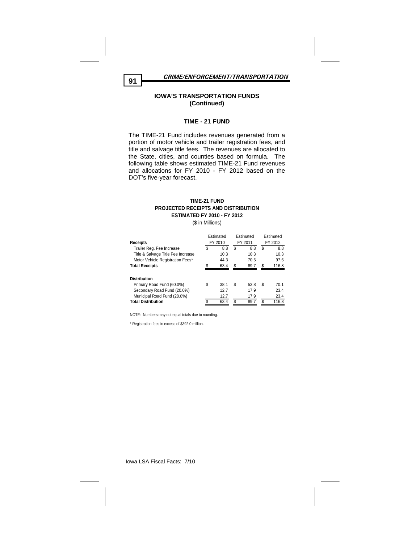*CRIME/ENFORCEMENT/TRANSPORTATION* **<sup>91</sup>**

#### **IOWA'S TRANSPORTATION FUNDS (Continued)**

#### **TIME - 21 FUND**

The TIME-21 Fund includes revenues generated from a portion of motor vehicle and trailer registration fees, and title and salvage title fees. The revenues are allocated to the State, cities, and counties based on formula. The following table shows estimated TIME-21 Fund revenues and allocations for FY 2010 - FY 2012 based on the DOT's five-year forecast.

#### **TIME-21 FUND PROJECTED RECEIPTS AND DISTRIBUTION ESTIMATED FY 2010 - FY 2012**

(\$ in Millions)

|                                    | Estimated |      | Estimated |      | Estimated |       |
|------------------------------------|-----------|------|-----------|------|-----------|-------|
| <b>Receipts</b>                    | FY 2010   |      | FY 2011   |      | FY 2012   |       |
| Trailer Reg. Fee Increase          | \$        | 8.8  | \$        | 8.8  | \$        | 8.8   |
| Title & Salvage Title Fee Increase |           | 10.3 |           | 10.3 |           | 10.3  |
| Motor Vehicle Registration Fees*   |           | 44.3 |           | 70.5 |           | 97.6  |
| <b>Total Receipts</b>              | \$        | 63.4 | \$        | 89.7 | \$        | 116.8 |
|                                    |           |      |           |      |           |       |
| <b>Distribution</b>                |           |      |           |      |           |       |
| Primary Road Fund (60.0%)          | \$        | 38.1 | S         | 53.8 | \$        | 70.1  |
| Secondary Road Fund (20.0%)        |           | 12.7 |           | 17.9 |           | 23.4  |
| Municipal Road Fund (20.0%)        |           | 12.7 |           | 17.9 |           | 23.4  |
| <b>Total Distribution</b>          | ፍ         | 63.4 | \$        | 89.7 | \$        | 116.8 |

NOTE: Numbers may not equal totals due to rounding.

\* Registration fees in excess of \$392.0 million.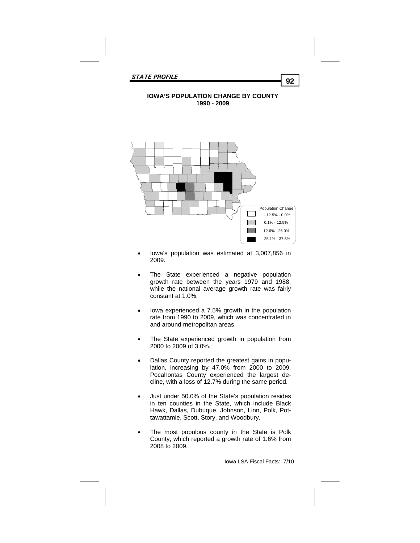## **IOWA'S POPULATION CHANGE BY COUNTY 1990 - 2009**



- Iowa's population was estimated at 3,007,856 in 2009.
- The State experienced a negative population growth rate between the years 1979 and 1988, while the national average growth rate was fairly constant at 1.0%.
- Iowa experienced a 7.5% growth in the population rate from 1990 to 2009, which was concentrated in and around metropolitan areas.
- The State experienced growth in population from 2000 to 2009 of 3.0%.
- Dallas County reported the greatest gains in population, increasing by 47.0% from 2000 to 2009. Pocahontas County experienced the largest decline, with a loss of 12.7% during the same period.
- Just under 50.0% of the State's population resides in ten counties in the State, which include Black Hawk, Dallas, Dubuque, Johnson, Linn, Polk, Pottawattamie, Scott, Story, and Woodbury.
- The most populous county in the State is Polk County, which reported a growth rate of 1.6% from 2008 to 2009.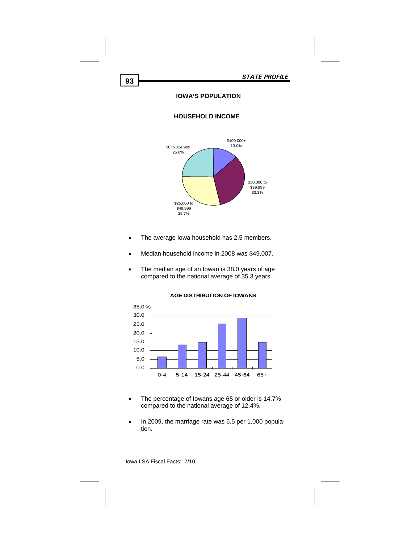## **IOWA'S POPULATION**

## **HOUSEHOLD INCOME**



- The average Iowa household has 2.5 members.
- Median household income in 2008 was \$49,007.
- The median age of an Iowan is 38.0 years of age compared to the national average of 35.3 years.



**AGE DISTRIBUTION OF IOWANS**

- The percentage of Iowans age 65 or older is 14.7% compared to the national average of 12.4%.
- In 2009, the marriage rate was 6.5 per 1,000 population.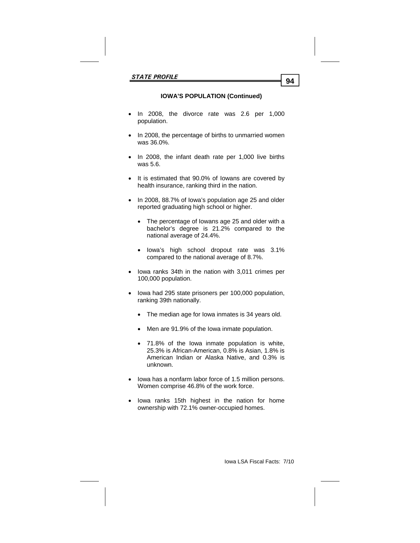# **IOWA'S POPULATION (Continued)**

- In 2008, the divorce rate was 2.6 per 1,000 population.
- In 2008, the percentage of births to unmarried women was 36.0%.
- In 2008, the infant death rate per 1,000 live births was 5.6.
- It is estimated that 90.0% of Iowans are covered by health insurance, ranking third in the nation.
- In 2008, 88.7% of Iowa's population age 25 and older reported graduating high school or higher.
	- The percentage of Iowans age 25 and older with a bachelor's degree is 21.2% compared to the national average of 24.4%.
	- Iowa's high school dropout rate was 3.1% compared to the national average of 8.7%.
- Iowa ranks 34th in the nation with 3,011 crimes per 100,000 population.
- Iowa had 295 state prisoners per 100,000 population, ranking 39th nationally.
	- The median age for Iowa inmates is 34 years old.
	- Men are 91.9% of the lowa inmate population.
	- 71.8% of the Iowa inmate population is white, 25.3% is African-American, 0.8% is Asian, 1.8% is American Indian or Alaska Native, and 0.3% is unknown.
- Iowa has a nonfarm labor force of 1.5 million persons. Women comprise 46.8% of the work force.
- Iowa ranks 15th highest in the nation for home ownership with 72.1% owner-occupied homes.